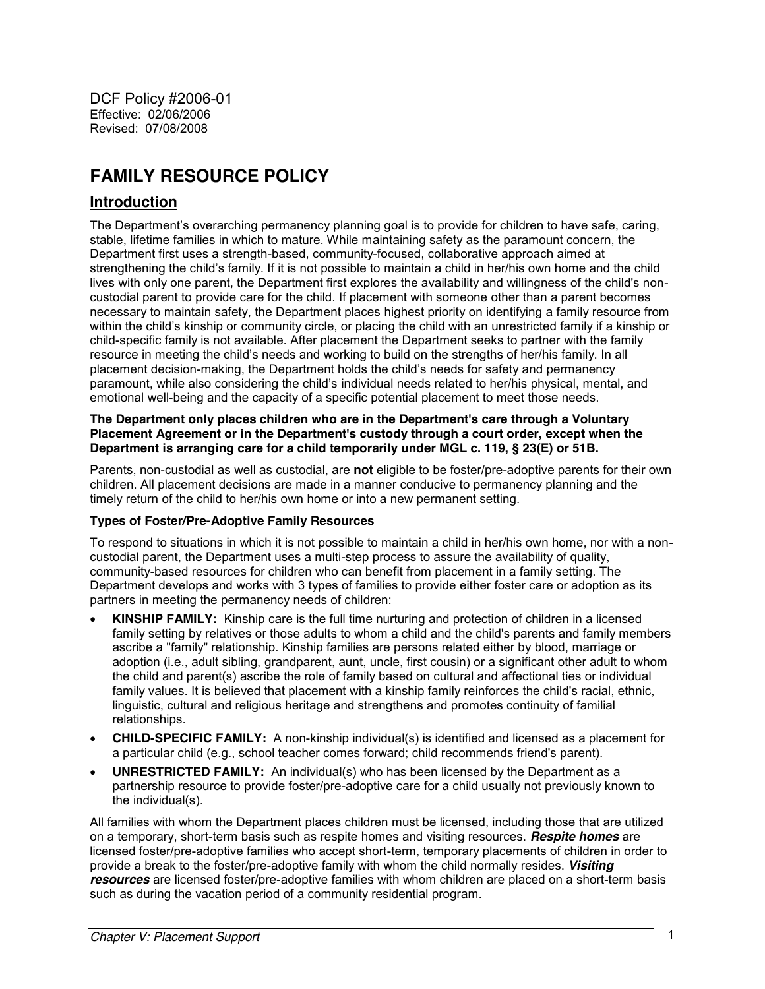DCF Policy #2006-01 Effective: 02/06/2006 Revised: 07/08/2008

# **FAMILY RESOURCE POLICY**

# **Introduction**

The Department's overarching permanency planning goal is to provide for children to have safe, caring, stable, lifetime families in which to mature. While maintaining safety as the paramount concern, the Department first uses a strength-based, community-focused, collaborative approach aimed at strengthening the child's family. If it is not possible to maintain a child in her/his own home and the child lives with only one parent, the Department first explores the availability and willingness of the child's noncustodial parent to provide care for the child. If placement with someone other than a parent becomes necessary to maintain safety, the Department places highest priority on identifying a family resource from within the child's kinship or community circle, or placing the child with an unrestricted family if a kinship or child-specific family is not available. After placement the Department seeks to partner with the family resource in meeting the child's needs and working to build on the strengths of her/his family. In all placement decision-making, the Department holds the child's needs for safety and permanency paramount, while also considering the child's individual needs related to her/his physical, mental, and emotional well-being and the capacity of a specific potential placement to meet those needs.

#### **The Department only places children who are in the Department's care through a Voluntary Placement Agreement or in the Department's custody through a court order, except when the Department is arranging care for a child temporarily under MGL c. 119, § 23(E) or 51B.**

Parents, non-custodial as well as custodial, are **not** eligible to be foster/pre-adoptive parents for their own children. All placement decisions are made in a manner conducive to permanency planning and the timely return of the child to her/his own home or into a new permanent setting.

#### **Types of Foster/Pre-Adoptive Family Resources**

To respond to situations in which it is not possible to maintain a child in her/his own home, nor with a noncustodial parent, the Department uses a multi-step process to assure the availability of quality, community-based resources for children who can benefit from placement in a family setting. The Department develops and works with 3 types of families to provide either foster care or adoption as its partners in meeting the permanency needs of children:

- x **KINSHIP FAMILY:** Kinship care is the full time nurturing and protection of children in a licensed family setting by relatives or those adults to whom a child and the child's parents and family members ascribe a "family" relationship. Kinship families are persons related either by blood, marriage or adoption (i.e., adult sibling, grandparent, aunt, uncle, first cousin) or a significant other adult to whom the child and parent(s) ascribe the role of family based on cultural and affectional ties or individual family values. It is believed that placement with a kinship family reinforces the child's racial, ethnic, linguistic, cultural and religious heritage and strengthens and promotes continuity of familial relationships.
- x **CHILD-SPECIFIC FAMILY:** A non-kinship individual(s) is identified and licensed as a placement for a particular child (e.g., school teacher comes forward; child recommends friend's parent).
- **UNRESTRICTED FAMILY:** An individual(s) who has been licensed by the Department as a partnership resource to provide foster/pre-adoptive care for a child usually not previously known to the individual(s).

All families with whom the Department places children must be licensed, including those that are utilized on a temporary, short-term basis such as respite homes and visiting resources. *Respite homes* are licensed foster/pre-adoptive families who accept short-term, temporary placements of children in order to provide a break to the foster/pre-adoptive family with whom the child normally resides. *Visiting resources* are licensed foster/pre-adoptive families with whom children are placed on a short-term basis such as during the vacation period of a community residential program.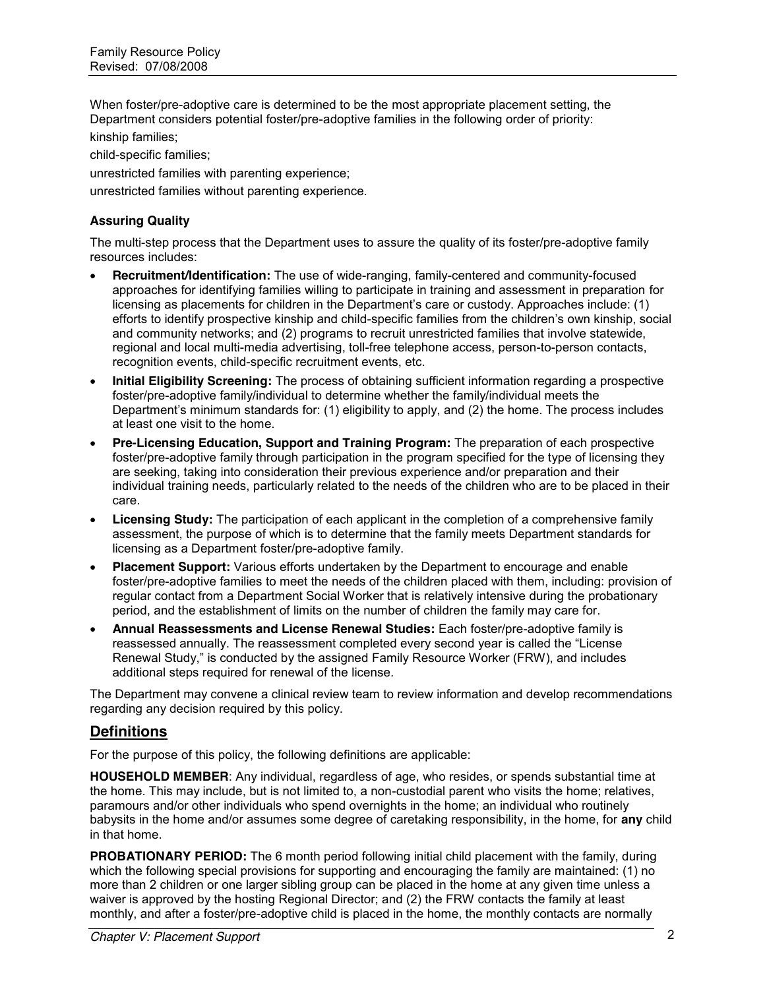When foster/pre-adoptive care is determined to be the most appropriate placement setting, the Department considers potential foster/pre-adoptive families in the following order of priority: kinship families;

child-specific families;

unrestricted families with parenting experience;

unrestricted families without parenting experience.

### **Assuring Quality**

The multi-step process that the Department uses to assure the quality of its foster/pre-adoptive family resources includes:

- x **Recruitment/Identification:** The use of wide-ranging, family-centered and community-focused approaches for identifying families willing to participate in training and assessment in preparation for licensing as placements for children in the Department's care or custody. Approaches include: (1) efforts to identify prospective kinship and child-specific families from the children's own kinship, social and community networks; and (2) programs to recruit unrestricted families that involve statewide, regional and local multi-media advertising, toll-free telephone access, person-to-person contacts, recognition events, child-specific recruitment events, etc.
- x **Initial Eligibility Screening:** The process of obtaining sufficient information regarding a prospective foster/pre-adoptive family/individual to determine whether the family/individual meets the Department's minimum standards for: (1) eligibility to apply, and (2) the home. The process includes at least one visit to the home.
- x **Pre-Licensing Education, Support and Training Program:** The preparation of each prospective foster/pre-adoptive family through participation in the program specified for the type of licensing they are seeking, taking into consideration their previous experience and/or preparation and their individual training needs, particularly related to the needs of the children who are to be placed in their care.
- **Licensing Study:** The participation of each applicant in the completion of a comprehensive family assessment, the purpose of which is to determine that the family meets Department standards for licensing as a Department foster/pre-adoptive family.
- **Placement Support:** Various efforts undertaken by the Department to encourage and enable foster/pre-adoptive families to meet the needs of the children placed with them, including: provision of regular contact from a Department Social Worker that is relatively intensive during the probationary period, and the establishment of limits on the number of children the family may care for.
- x **Annual Reassessments and License Renewal Studies:** Each foster/pre-adoptive family is reassessed annually. The reassessment completed every second year is called the "License Renewal Study," is conducted by the assigned Family Resource Worker (FRW), and includes additional steps required for renewal of the license.

The Department may convene a clinical review team to review information and develop recommendations regarding any decision required by this policy.

### **Definitions**

For the purpose of this policy, the following definitions are applicable:

**HOUSEHOLD MEMBER**: Any individual, regardless of age, who resides, or spends substantial time at the home. This may include, but is not limited to, a non-custodial parent who visits the home; relatives, paramours and/or other individuals who spend overnights in the home; an individual who routinely babysits in the home and/or assumes some degree of caretaking responsibility, in the home, for **any** child in that home.

**PROBATIONARY PERIOD:** The 6 month period following initial child placement with the family, during which the following special provisions for supporting and encouraging the family are maintained: (1) no more than 2 children or one larger sibling group can be placed in the home at any given time unless a waiver is approved by the hosting Regional Director; and (2) the FRW contacts the family at least monthly, and after a foster/pre-adoptive child is placed in the home, the monthly contacts are normally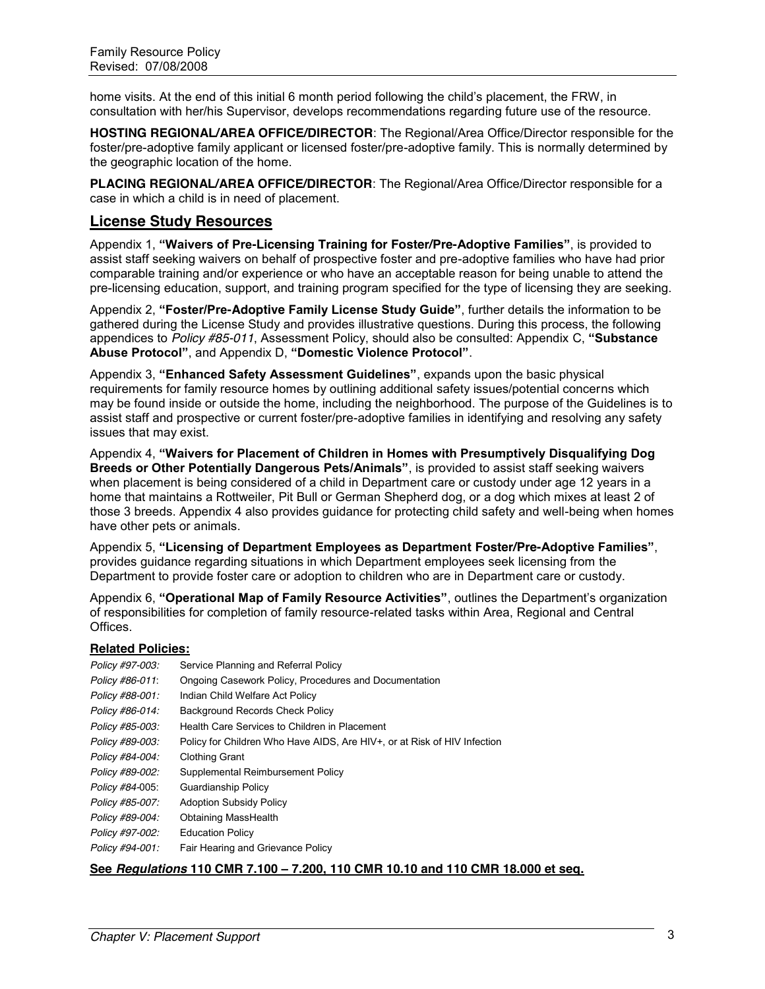home visits. At the end of this initial 6 month period following the child's placement, the FRW, in consultation with her/his Supervisor, develops recommendations regarding future use of the resource.

**HOSTING REGIONAL/AREA OFFICE/DIRECTOR**: The Regional/Area Office/Director responsible for the foster/pre-adoptive family applicant or licensed foster/pre-adoptive family. This is normally determined by the geographic location of the home.

**PLACING REGIONAL/AREA OFFICE/DIRECTOR**: The Regional/Area Office/Director responsible for a case in which a child is in need of placement.

### **License Study Resources**

Appendix 1, **"Waivers of Pre-Licensing Training for Foster/Pre-Adoptive Families"**, is provided to assist staff seeking waivers on behalf of prospective foster and pre-adoptive families who have had prior comparable training and/or experience or who have an acceptable reason for being unable to attend the pre-licensing education, support, and training program specified for the type of licensing they are seeking.

Appendix 2, **"Foster/Pre-Adoptive Family License Study Guide"**, further details the information to be gathered during the License Study and provides illustrative questions. During this process, the following appendices to *Policy #85-011*, Assessment Policy, should also be consulted: Appendix C, **"Substance Abuse Protocol"**, and Appendix D, **"Domestic Violence Protocol"**.

Appendix 3, **"Enhanced Safety Assessment Guidelines"**, expands upon the basic physical requirements for family resource homes by outlining additional safety issues/potential concerns which may be found inside or outside the home, including the neighborhood. The purpose of the Guidelines is to assist staff and prospective or current foster/pre-adoptive families in identifying and resolving any safety issues that may exist.

Appendix 4, **"Waivers for Placement of Children in Homes with Presumptively Disqualifying Dog Breeds or Other Potentially Dangerous Pets/Animals"**, is provided to assist staff seeking waivers when placement is being considered of a child in Department care or custody under age 12 years in a home that maintains a Rottweiler, Pit Bull or German Shepherd dog, or a dog which mixes at least 2 of those 3 breeds. Appendix 4 also provides guidance for protecting child safety and well-being when homes have other pets or animals.

Appendix 5, **"Licensing of Department Employees as Department Foster/Pre-Adoptive Families"**, provides guidance regarding situations in which Department employees seek licensing from the Department to provide foster care or adoption to children who are in Department care or custody.

Appendix 6, **"Operational Map of Family Resource Activities"**, outlines the Department's organization of responsibilities for completion of family resource-related tasks within Area, Regional and Central Offices.

#### **Related Policies:**

| Policy #97-003: | Service Planning and Referral Policy                                     |
|-----------------|--------------------------------------------------------------------------|
| Policy #86-011: | Ongoing Casework Policy, Procedures and Documentation                    |
| Policy #88-001: | Indian Child Welfare Act Policy                                          |
| Policy #86-014: | Background Records Check Policy                                          |
| Policy #85-003: | Health Care Services to Children in Placement                            |
| Policy #89-003: | Policy for Children Who Have AIDS, Are HIV+, or at Risk of HIV Infection |
| Policy #84-004: | <b>Clothing Grant</b>                                                    |
| Policy #89-002: | Supplemental Reimbursement Policy                                        |
| Policy #84-005: | <b>Guardianship Policy</b>                                               |
| Policy #85-007: | <b>Adoption Subsidy Policy</b>                                           |
| Policy #89-004: | <b>Obtaining MassHealth</b>                                              |
| Policy #97-002: | <b>Education Policy</b>                                                  |
| Policy #94-001: | Fair Hearing and Grievance Policy                                        |

#### **See** *Regulations* **110 CMR 7.100 – 7.200, 110 CMR 10.10 and 110 CMR 18.000 et seq.**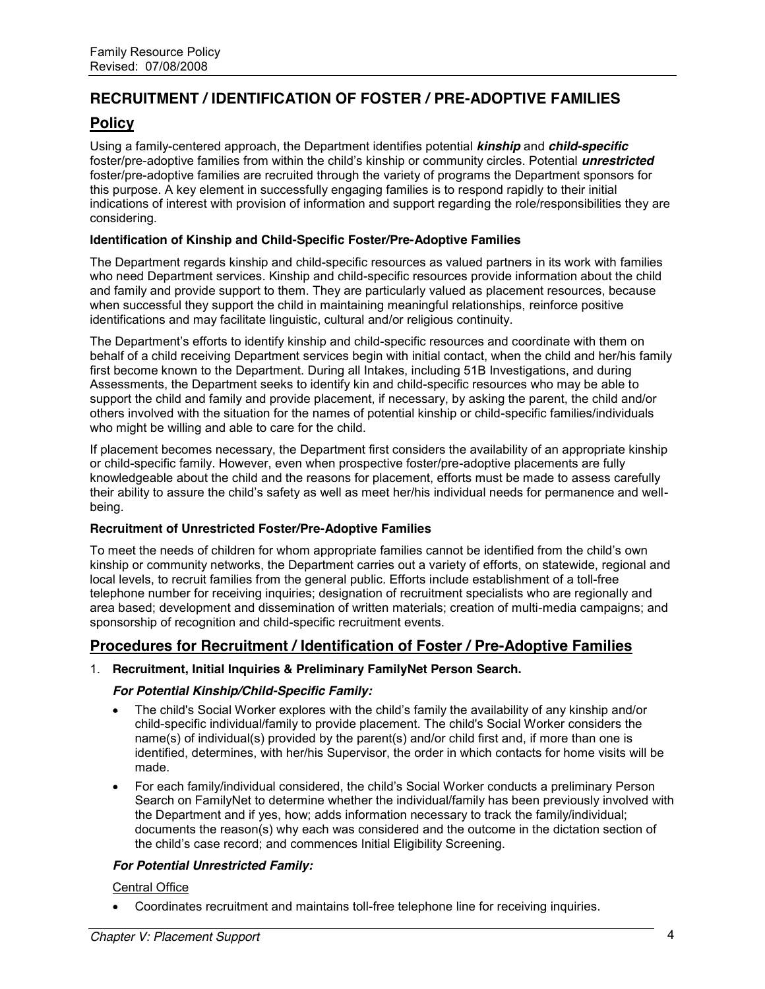# **RECRUITMENT / IDENTIFICATION OF FOSTER / PRE-ADOPTIVE FAMILIES**

# **Policy**

Using a family-centered approach, the Department identifies potential *kinship* and *child-specific* foster/pre-adoptive families from within the child's kinship or community circles. Potential *unrestricted* foster/pre-adoptive families are recruited through the variety of programs the Department sponsors for this purpose. A key element in successfully engaging families is to respond rapidly to their initial indications of interest with provision of information and support regarding the role/responsibilities they are considering.

#### **Identification of Kinship and Child-Specific Foster/Pre-Adoptive Families**

The Department regards kinship and child-specific resources as valued partners in its work with families who need Department services. Kinship and child-specific resources provide information about the child and family and provide support to them. They are particularly valued as placement resources, because when successful they support the child in maintaining meaningful relationships, reinforce positive identifications and may facilitate linguistic, cultural and/or religious continuity.

The Department's efforts to identify kinship and child-specific resources and coordinate with them on behalf of a child receiving Department services begin with initial contact, when the child and her/his family first become known to the Department. During all Intakes, including 51B Investigations, and during Assessments, the Department seeks to identify kin and child-specific resources who may be able to support the child and family and provide placement, if necessary, by asking the parent, the child and/or others involved with the situation for the names of potential kinship or child-specific families/individuals who might be willing and able to care for the child.

If placement becomes necessary, the Department first considers the availability of an appropriate kinship or child-specific family. However, even when prospective foster/pre-adoptive placements are fully knowledgeable about the child and the reasons for placement, efforts must be made to assess carefully their ability to assure the child's safety as well as meet her/his individual needs for permanence and wellbeing.

#### **Recruitment of Unrestricted Foster/Pre-Adoptive Families**

To meet the needs of children for whom appropriate families cannot be identified from the child's own kinship or community networks, the Department carries out a variety of efforts, on statewide, regional and local levels, to recruit families from the general public. Efforts include establishment of a toll-free telephone number for receiving inquiries; designation of recruitment specialists who are regionally and area based; development and dissemination of written materials; creation of multi-media campaigns; and sponsorship of recognition and child-specific recruitment events.

# **Procedures for Recruitment / Identification of Foster / Pre-Adoptive Families**

#### 1. **Recruitment, Initial Inquiries & Preliminary FamilyNet Person Search.**

#### *For Potential Kinship/Child-Specific Family:*

- The child's Social Worker explores with the child's family the availability of any kinship and/or child-specific individual/family to provide placement. The child's Social Worker considers the name(s) of individual(s) provided by the parent(s) and/or child first and, if more than one is identified, determines, with her/his Supervisor, the order in which contacts for home visits will be made.
- For each family/individual considered, the child's Social Worker conducts a preliminary Person Search on FamilyNet to determine whether the individual/family has been previously involved with the Department and if yes, how; adds information necessary to track the family/individual; documents the reason(s) why each was considered and the outcome in the dictation section of the child's case record; and commences Initial Eligibility Screening.

#### *For Potential Unrestricted Family:*

#### Central Office

Coordinates recruitment and maintains toll-free telephone line for receiving inquiries.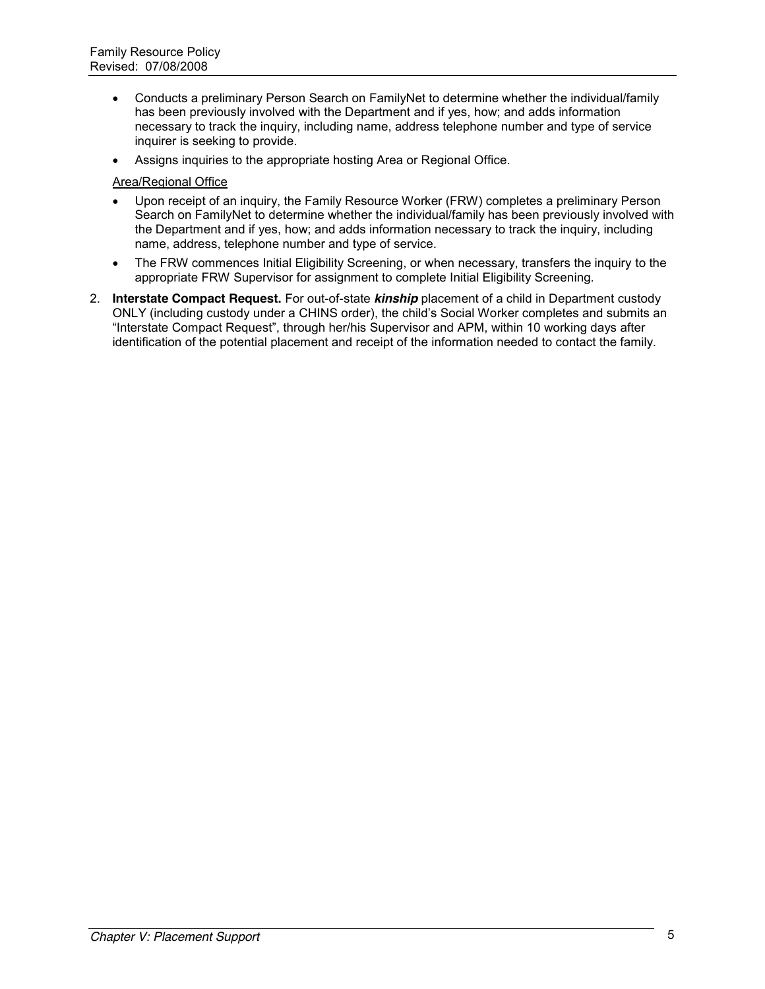- Conducts a preliminary Person Search on FamilyNet to determine whether the individual/family has been previously involved with the Department and if yes, how; and adds information necessary to track the inquiry, including name, address telephone number and type of service inquirer is seeking to provide.
- Assigns inquiries to the appropriate hosting Area or Regional Office.

#### Area/Regional Office

- Upon receipt of an inquiry, the Family Resource Worker (FRW) completes a preliminary Person Search on FamilyNet to determine whether the individual/family has been previously involved with the Department and if yes, how; and adds information necessary to track the inquiry, including name, address, telephone number and type of service.
- The FRW commences Initial Eligibility Screening, or when necessary, transfers the inquiry to the appropriate FRW Supervisor for assignment to complete Initial Eligibility Screening.
- 2. **Interstate Compact Request.** For out-of-state *kinship* placement of a child in Department custody ONLY (including custody under a CHINS order), the child's Social Worker completes and submits an "Interstate Compact Request", through her/his Supervisor and APM, within 10 working days after identification of the potential placement and receipt of the information needed to contact the family.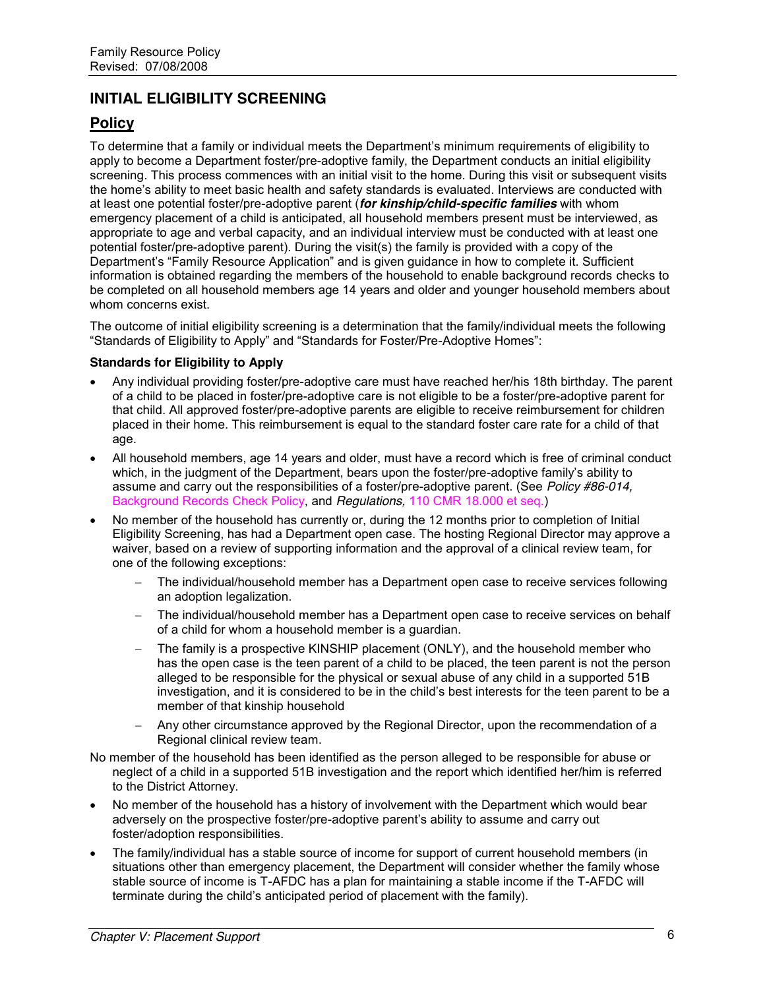# **INITIAL ELIGIBILITY SCREENING**

# **Policy**

To determine that a family or individual meets the Department's minimum requirements of eligibility to apply to become a Department foster/pre-adoptive family, the Department conducts an initial eligibility screening. This process commences with an initial visit to the home. During this visit or subsequent visits the home's ability to meet basic health and safety standards is evaluated. Interviews are conducted with at least one potential foster/pre-adoptive parent (*for kinship/child-specific families* with whom emergency placement of a child is anticipated, all household members present must be interviewed, as appropriate to age and verbal capacity, and an individual interview must be conducted with at least one potential foster/pre-adoptive parent). During the visit(s) the family is provided with a copy of the Department's "Family Resource Application" and is given guidance in how to complete it. Sufficient information is obtained regarding the members of the household to enable background records checks to be completed on all household members age 14 years and older and younger household members about whom concerns exist.

The outcome of initial eligibility screening is a determination that the family/individual meets the following "Standards of Eligibility to Apply" and "Standards for Foster/Pre-Adoptive Homes":

#### **Standards for Eligibility to Apply**

- x Any individual providing foster/pre-adoptive care must have reached her/his 18th birthday. The parent of a child to be placed in foster/pre-adoptive care is not eligible to be a foster/pre-adoptive parent for that child. All approved foster/pre-adoptive parents are eligible to receive reimbursement for children placed in their home. This reimbursement is equal to the standard foster care rate for a child of that age.
- x All household members, age 14 years and older, must have a record which is free of criminal conduct which, in the judgment of the Department, bears upon the foster/pre-adoptive family's ability to assume and carry out the responsibilities of a foster/pre-adoptive parent. (See *Policy #86-014,*  Background Records Check Policy, and *Regulations,* 110 CMR 18.000 et seq.)
- No member of the household has currently or, during the 12 months prior to completion of Initial Eligibility Screening, has had a Department open case. The hosting Regional Director may approve a waiver, based on a review of supporting information and the approval of a clinical review team, for one of the following exceptions:
	- The individual/household member has a Department open case to receive services following an adoption legalization.
	- The individual/household member has a Department open case to receive services on behalf of a child for whom a household member is a guardian.
	- The family is a prospective KINSHIP placement (ONLY), and the household member who has the open case is the teen parent of a child to be placed, the teen parent is not the person alleged to be responsible for the physical or sexual abuse of any child in a supported 51B investigation, and it is considered to be in the child's best interests for the teen parent to be a member of that kinship household
	- Any other circumstance approved by the Regional Director, upon the recommendation of a Regional clinical review team.
- No member of the household has been identified as the person alleged to be responsible for abuse or neglect of a child in a supported 51B investigation and the report which identified her/him is referred to the District Attorney.
- No member of the household has a history of involvement with the Department which would bear adversely on the prospective foster/pre-adoptive parent's ability to assume and carry out foster/adoption responsibilities.
- The family/individual has a stable source of income for support of current household members (in situations other than emergency placement, the Department will consider whether the family whose stable source of income is T-AFDC has a plan for maintaining a stable income if the T-AFDC will terminate during the child's anticipated period of placement with the family).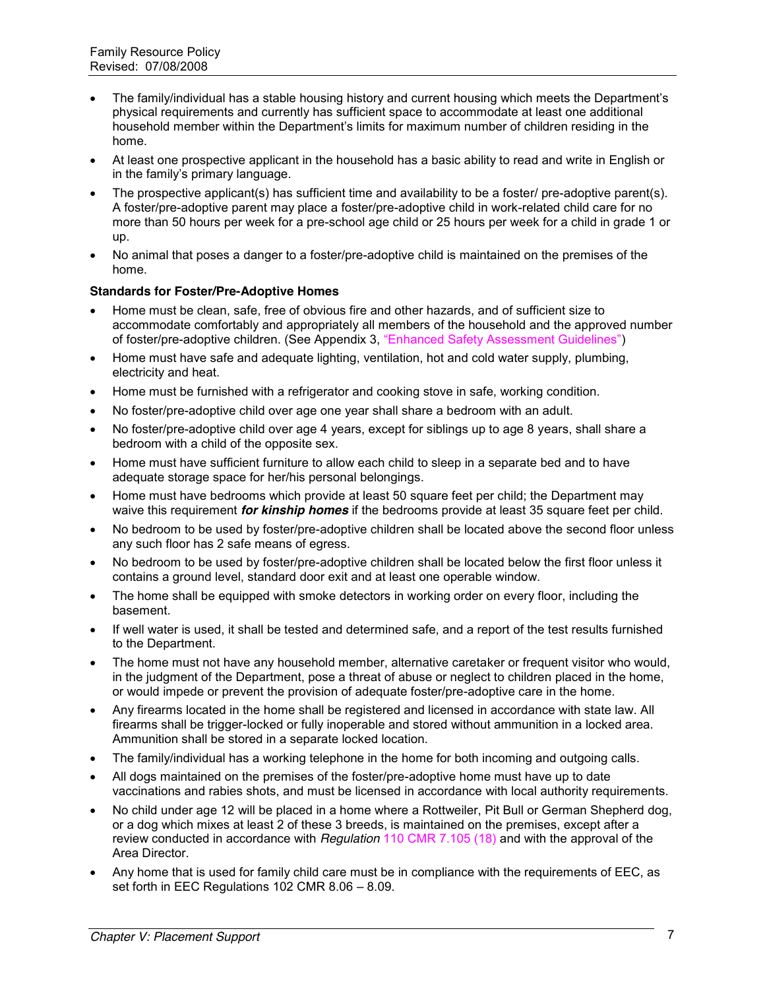- The family/individual has a stable housing history and current housing which meets the Department's physical requirements and currently has sufficient space to accommodate at least one additional household member within the Department's limits for maximum number of children residing in the home.
- At least one prospective applicant in the household has a basic ability to read and write in English or in the family's primary language.
- The prospective applicant(s) has sufficient time and availability to be a foster/ pre-adoptive parent(s). A foster/pre-adoptive parent may place a foster/pre-adoptive child in work-related child care for no more than 50 hours per week for a pre-school age child or 25 hours per week for a child in grade 1 or up.
- No animal that poses a danger to a foster/pre-adoptive child is maintained on the premises of the home.

#### **Standards for Foster/Pre-Adoptive Homes**

- Home must be clean, safe, free of obvious fire and other hazards, and of sufficient size to accommodate comfortably and appropriately all members of the household and the approved number of foster/pre-adoptive children. (See Appendix 3, "Enhanced Safety Assessment Guidelines")
- Home must have safe and adequate lighting, ventilation, hot and cold water supply, plumbing, electricity and heat.
- Home must be furnished with a refrigerator and cooking stove in safe, working condition.
- No foster/pre-adoptive child over age one year shall share a bedroom with an adult.
- No foster/pre-adoptive child over age 4 years, except for siblings up to age 8 years, shall share a bedroom with a child of the opposite sex.
- Home must have sufficient furniture to allow each child to sleep in a separate bed and to have adequate storage space for her/his personal belongings.
- Home must have bedrooms which provide at least 50 square feet per child; the Department may waive this requirement *for kinship homes* if the bedrooms provide at least 35 square feet per child.
- No bedroom to be used by foster/pre-adoptive children shall be located above the second floor unless any such floor has 2 safe means of egress.
- No bedroom to be used by foster/pre-adoptive children shall be located below the first floor unless it contains a ground level, standard door exit and at least one operable window.
- The home shall be equipped with smoke detectors in working order on every floor, including the basement.
- If well water is used, it shall be tested and determined safe, and a report of the test results furnished to the Department.
- The home must not have any household member, alternative caretaker or frequent visitor who would, in the judgment of the Department, pose a threat of abuse or neglect to children placed in the home, or would impede or prevent the provision of adequate foster/pre-adoptive care in the home.
- Any firearms located in the home shall be registered and licensed in accordance with state law. All firearms shall be trigger-locked or fully inoperable and stored without ammunition in a locked area. Ammunition shall be stored in a separate locked location.
- The family/individual has a working telephone in the home for both incoming and outgoing calls.
- All dogs maintained on the premises of the foster/pre-adoptive home must have up to date vaccinations and rabies shots, and must be licensed in accordance with local authority requirements.
- No child under age 12 will be placed in a home where a Rottweiler, Pit Bull or German Shepherd dog, or a dog which mixes at least 2 of these 3 breeds, is maintained on the premises, except after a review conducted in accordance with *Regulation* 110 CMR 7.105 (18) and with the approval of the Area Director.
- Any home that is used for family child care must be in compliance with the requirements of EEC, as set forth in EEC Regulations 102 CMR 8.06 – 8.09.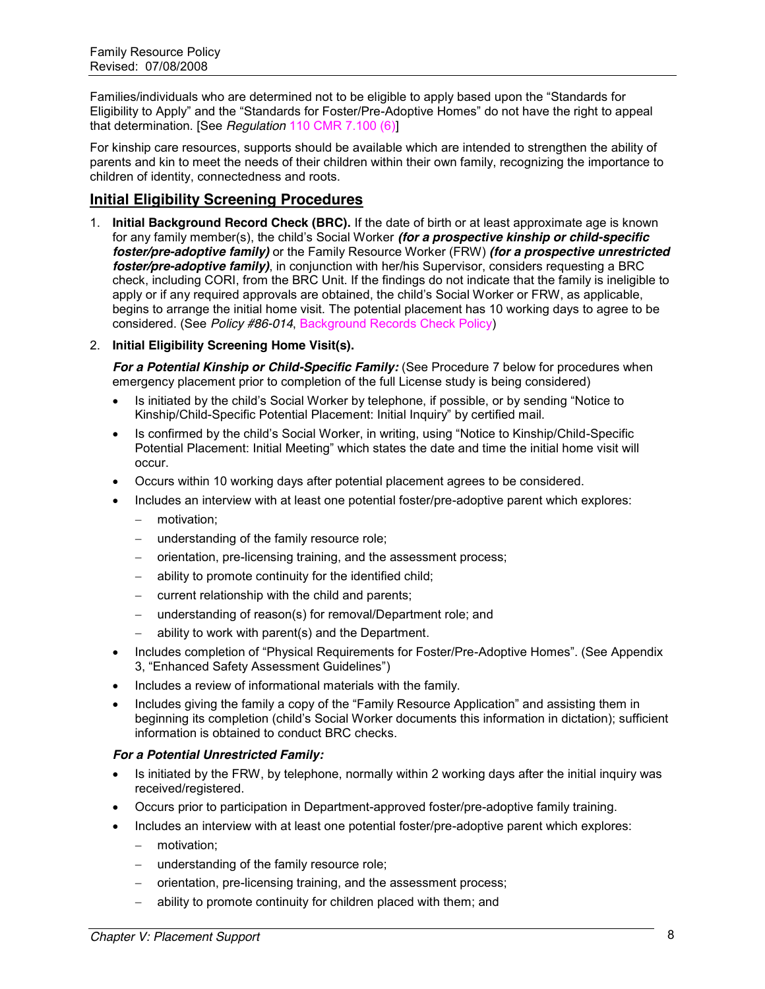Families/individuals who are determined not to be eligible to apply based upon the "Standards for Eligibility to Apply" and the "Standards for Foster/Pre-Adoptive Homes" do not have the right to appeal that determination. [See *Regulation* 110 CMR 7.100 (6)]

For kinship care resources, supports should be available which are intended to strengthen the ability of parents and kin to meet the needs of their children within their own family, recognizing the importance to children of identity, connectedness and roots.

# **Initial Eligibility Screening Procedures**

1. **Initial Background Record Check (BRC).** If the date of birth or at least approximate age is known for any family member(s), the child's Social Worker *(for a prospective kinship or child-specific foster/pre-adoptive family)* or the Family Resource Worker (FRW) *(for a prospective unrestricted foster/pre-adoptive family)*, in conjunction with her/his Supervisor, considers requesting a BRC check, including CORI, from the BRC Unit. If the findings do not indicate that the family is ineligible to apply or if any required approvals are obtained, the child's Social Worker or FRW, as applicable, begins to arrange the initial home visit. The potential placement has 10 working days to agree to be considered. (See *Policy #86-014*, Background Records Check Policy)

#### 2. **Initial Eligibility Screening Home Visit(s).**

*For a Potential Kinship or Child-Specific Family:* (See Procedure 7 below for procedures when emergency placement prior to completion of the full License study is being considered)

- Is initiated by the child's Social Worker by telephone, if possible, or by sending "Notice to Kinship/Child-Specific Potential Placement: Initial Inquiry‖ by certified mail.
- Is confirmed by the child's Social Worker, in writing, using "Notice to Kinship/Child-Specific Potential Placement: Initial Meeting" which states the date and time the initial home visit will occur.
- Occurs within 10 working days after potential placement agrees to be considered.
- Includes an interview with at least one potential foster/pre-adoptive parent which explores:
	- motivation:
	- understanding of the family resource role;
	- orientation, pre-licensing training, and the assessment process;
	- ability to promote continuity for the identified child;
	- $-$  current relationship with the child and parents;
	- understanding of reason(s) for removal/Department role; and
	- ability to work with parent(s) and the Department.
- Includes completion of "Physical Requirements for Foster/Pre-Adoptive Homes". (See Appendix 3, "Enhanced Safety Assessment Guidelines")
- Includes a review of informational materials with the family.
- Includes giving the family a copy of the "Family Resource Application" and assisting them in beginning its completion (child's Social Worker documents this information in dictation); sufficient information is obtained to conduct BRC checks.

#### *For a Potential Unrestricted Family:*

- Is initiated by the FRW, by telephone, normally within 2 working days after the initial inquiry was received/registered.
- Occurs prior to participation in Department-approved foster/pre-adoptive family training.
- Includes an interview with at least one potential foster/pre-adoptive parent which explores:
	- motivation:
	- understanding of the family resource role;
	- orientation, pre-licensing training, and the assessment process;
	- ability to promote continuity for children placed with them; and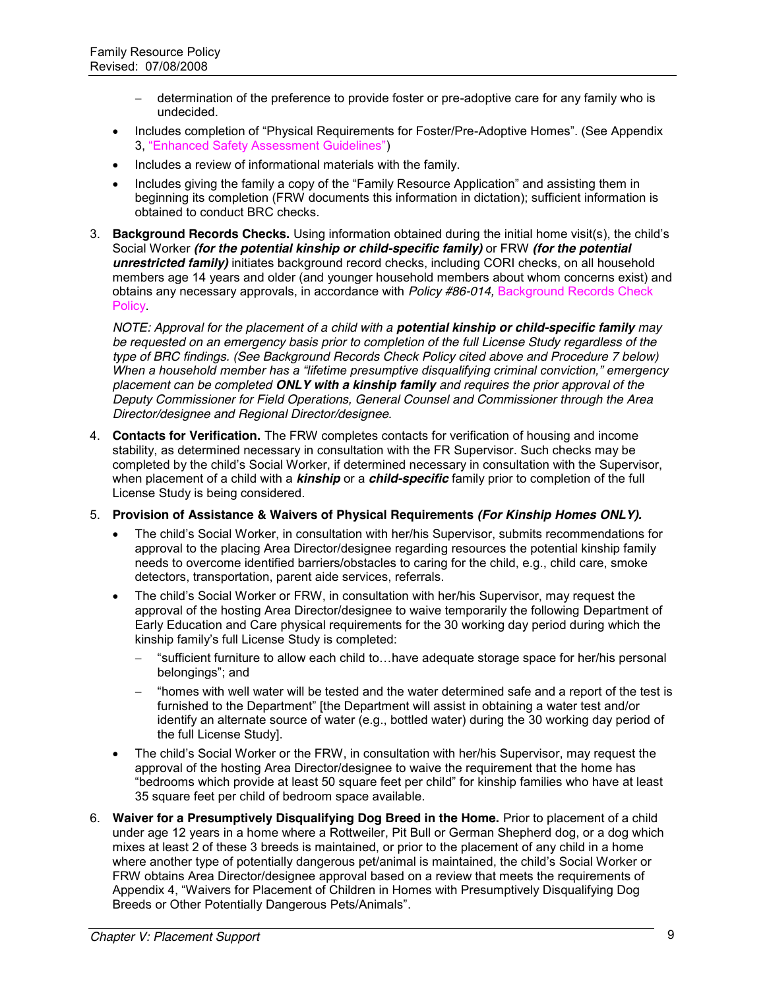- determination of the preference to provide foster or pre-adoptive care for any family who is undecided.
- Includes completion of "Physical Requirements for Foster/Pre-Adoptive Homes". (See Appendix 3, "Enhanced Safety Assessment Guidelines")
- Includes a review of informational materials with the family.
- Includes giving the family a copy of the "Family Resource Application" and assisting them in beginning its completion (FRW documents this information in dictation); sufficient information is obtained to conduct BRC checks.
- 3. **Background Records Checks.** Using information obtained during the initial home visit(s), the child's Social Worker *(for the potential kinship or child-specific family)* or FRW *(for the potential unrestricted family)* initiates background record checks, including CORI checks, on all household members age 14 years and older (and younger household members about whom concerns exist) and obtains any necessary approvals, in accordance with *Policy #86-014,* Background Records Check **Policy**

*NOTE: Approval for the placement of a child with a potential kinship or child-specific family may be requested on an emergency basis prior to completion of the full License Study regardless of the type of BRC findings. (See Background Records Check Policy cited above and Procedure 7 below) When a household member has a "lifetime presumptive disqualifying criminal conviction," emergency placement can be completed ONLY with a kinship family and requires the prior approval of the Deputy Commissioner for Field Operations, General Counsel and Commissioner through the Area Director/designee and Regional Director/designee.*

- 4. **Contacts for Verification.** The FRW completes contacts for verification of housing and income stability, as determined necessary in consultation with the FR Supervisor. Such checks may be completed by the child's Social Worker, if determined necessary in consultation with the Supervisor, when placement of a child with a *kinship* or a *child-specific* family prior to completion of the full License Study is being considered.
- 5. **Provision of Assistance & Waivers of Physical Requirements** *(For Kinship Homes ONLY).*
	- The child's Social Worker, in consultation with her/his Supervisor, submits recommendations for approval to the placing Area Director/designee regarding resources the potential kinship family needs to overcome identified barriers/obstacles to caring for the child, e.g., child care, smoke detectors, transportation, parent aide services, referrals.
	- The child's Social Worker or FRW, in consultation with her/his Supervisor, may request the approval of the hosting Area Director/designee to waive temporarily the following Department of Early Education and Care physical requirements for the 30 working day period during which the kinship family's full License Study is completed:
		- ―sufficient furniture to allow each child to…have adequate storage space for her/his personal belongings"; and
		- "homes with well water will be tested and the water determined safe and a report of the test is furnished to the Department" [the Department will assist in obtaining a water test and/or identify an alternate source of water (e.g., bottled water) during the 30 working day period of the full License Study].
	- The child's Social Worker or the FRW, in consultation with her/his Supervisor, may request the approval of the hosting Area Director/designee to waive the requirement that the home has ―bedrooms which provide at least 50 square feet per child‖ for kinship families who have at least 35 square feet per child of bedroom space available.
- 6. **Waiver for a Presumptively Disqualifying Dog Breed in the Home.** Prior to placement of a child under age 12 years in a home where a Rottweiler, Pit Bull or German Shepherd dog, or a dog which mixes at least 2 of these 3 breeds is maintained, or prior to the placement of any child in a home where another type of potentially dangerous pet/animal is maintained, the child's Social Worker or FRW obtains Area Director/designee approval based on a review that meets the requirements of Appendix 4, "Waivers for Placement of Children in Homes with Presumptively Disqualifying Dog Breeds or Other Potentially Dangerous Pets/Animals".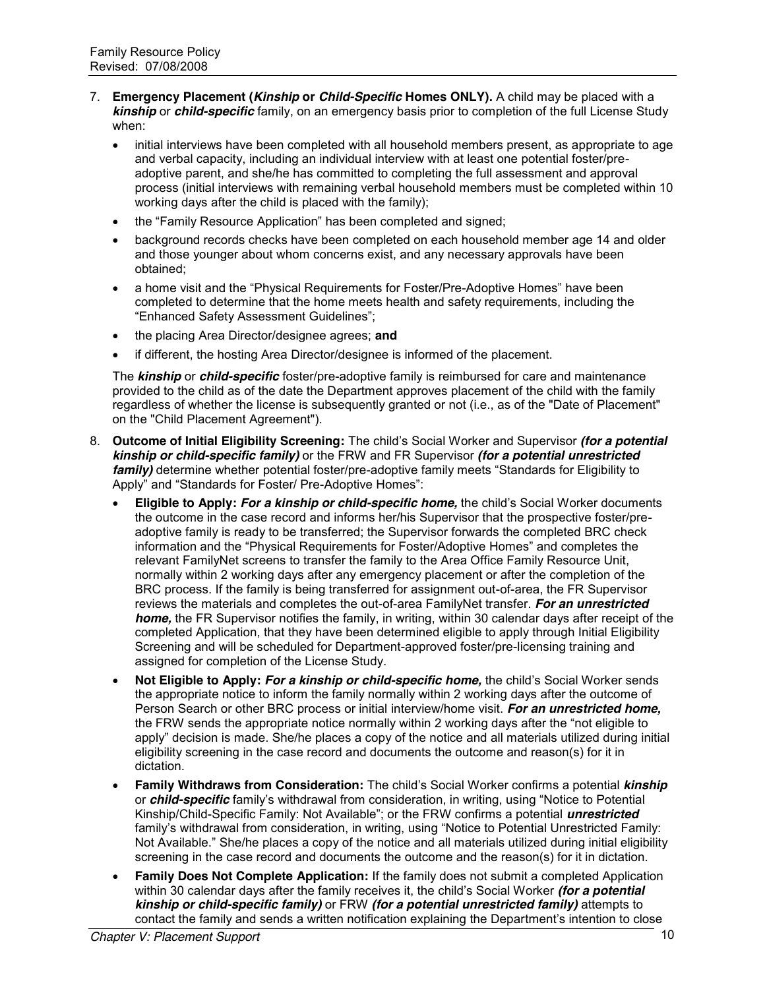- 7. **Emergency Placement (***Kinship* **or** *Child-Specific* **Homes ONLY).** A child may be placed with a *kinship* or *child-specific* family, on an emergency basis prior to completion of the full License Study when:
	- initial interviews have been completed with all household members present, as appropriate to age and verbal capacity, including an individual interview with at least one potential foster/preadoptive parent, and she/he has committed to completing the full assessment and approval process (initial interviews with remaining verbal household members must be completed within 10 working days after the child is placed with the family);
	- the "Family Resource Application" has been completed and signed:
	- background records checks have been completed on each household member age 14 and older and those younger about whom concerns exist, and any necessary approvals have been obtained;
	- a home visit and the "Physical Requirements for Foster/Pre-Adoptive Homes" have been completed to determine that the home meets health and safety requirements, including the "Enhanced Safety Assessment Guidelines";
	- the placing Area Director/designee agrees; and
	- if different, the hosting Area Director/designee is informed of the placement.

The *kinship* or *child-specific* foster/pre-adoptive family is reimbursed for care and maintenance provided to the child as of the date the Department approves placement of the child with the family regardless of whether the license is subsequently granted or not (i.e., as of the "Date of Placement" on the "Child Placement Agreement").

- 8. **Outcome of Initial Eligibility Screening:** The child's Social Worker and Supervisor *(for a potential kinship or child-specific family)* or the FRW and FR Supervisor *(for a potential unrestricted family*) determine whether potential foster/pre-adoptive family meets "Standards for Eligibility to Apply" and "Standards for Foster/ Pre-Adoptive Homes":
	- x **Eligible to Apply:** *For a kinship or child-specific home,* the child's Social Worker documents the outcome in the case record and informs her/his Supervisor that the prospective foster/preadoptive family is ready to be transferred; the Supervisor forwards the completed BRC check information and the "Physical Requirements for Foster/Adoptive Homes" and completes the relevant FamilyNet screens to transfer the family to the Area Office Family Resource Unit, normally within 2 working days after any emergency placement or after the completion of the BRC process. If the family is being transferred for assignment out-of-area, the FR Supervisor reviews the materials and completes the out-of-area FamilyNet transfer. *For an unrestricted home,* the FR Supervisor notifies the family, in writing, within 30 calendar days after receipt of the completed Application, that they have been determined eligible to apply through Initial Eligibility Screening and will be scheduled for Department-approved foster/pre-licensing training and assigned for completion of the License Study.
	- Not Eligible to Apply: For a kinship or child-specific home, the child's Social Worker sends the appropriate notice to inform the family normally within 2 working days after the outcome of Person Search or other BRC process or initial interview/home visit. *For an unrestricted home,* the FRW sends the appropriate notice normally within 2 working days after the "not eligible to apply" decision is made. She/he places a copy of the notice and all materials utilized during initial eligibility screening in the case record and documents the outcome and reason(s) for it in dictation.
	- x **Family Withdraws from Consideration:** The child's Social Worker confirms a potential *kinship* or *child-specific* family's withdrawal from consideration, in writing, using "Notice to Potential Kinship/Child-Specific Family: Not Available"; or the FRW confirms a potential *unrestricted* family's withdrawal from consideration, in writing, using "Notice to Potential Unrestricted Family: Not Available." She/he places a copy of the notice and all materials utilized during initial eligibility screening in the case record and documents the outcome and the reason(s) for it in dictation.
	- **Family Does Not Complete Application:** If the family does not submit a completed Application within 30 calendar days after the family receives it, the child's Social Worker *(for a potential kinship or child-specific family)* or FRW *(for a potential unrestricted family)* attempts to contact the family and sends a written notification explaining the Department's intention to close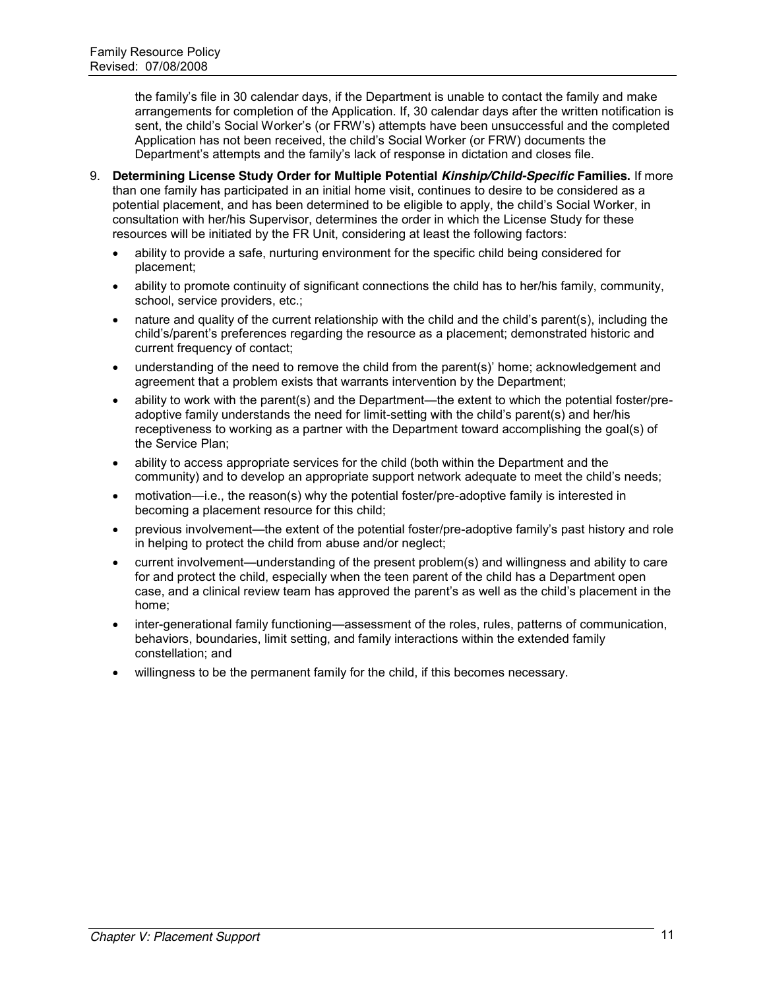the family's file in 30 calendar days, if the Department is unable to contact the family and make arrangements for completion of the Application. If, 30 calendar days after the written notification is sent, the child's Social Worker's (or FRW's) attempts have been unsuccessful and the completed Application has not been received, the child's Social Worker (or FRW) documents the Department's attempts and the family's lack of response in dictation and closes file.

- 9. **Determining License Study Order for Multiple Potential** *Kinship/Child-Specific* **Families.** If more than one family has participated in an initial home visit, continues to desire to be considered as a potential placement, and has been determined to be eligible to apply, the child's Social Worker, in consultation with her/his Supervisor, determines the order in which the License Study for these resources will be initiated by the FR Unit, considering at least the following factors:
	- ability to provide a safe, nurturing environment for the specific child being considered for placement;
	- ability to promote continuity of significant connections the child has to her/his family, community, school, service providers, etc.;
	- nature and quality of the current relationship with the child and the child's parent(s), including the child's/parent's preferences regarding the resource as a placement; demonstrated historic and current frequency of contact;
	- understanding of the need to remove the child from the parent(s)' home; acknowledgement and agreement that a problem exists that warrants intervention by the Department;
	- ability to work with the parent(s) and the Department—the extent to which the potential foster/preadoptive family understands the need for limit-setting with the child's parent(s) and her/his receptiveness to working as a partner with the Department toward accomplishing the goal(s) of the Service Plan;
	- ability to access appropriate services for the child (both within the Department and the community) and to develop an appropriate support network adequate to meet the child's needs;
	- motivation—i.e., the reason(s) why the potential foster/pre-adoptive family is interested in becoming a placement resource for this child;
	- previous involvement—the extent of the potential foster/pre-adoptive family's past history and role in helping to protect the child from abuse and/or neglect;
	- current involvement—understanding of the present problem(s) and willingness and ability to care for and protect the child, especially when the teen parent of the child has a Department open case, and a clinical review team has approved the parent's as well as the child's placement in the home;
	- inter-generational family functioning—assessment of the roles, rules, patterns of communication, behaviors, boundaries, limit setting, and family interactions within the extended family constellation; and
	- x willingness to be the permanent family for the child, if this becomes necessary.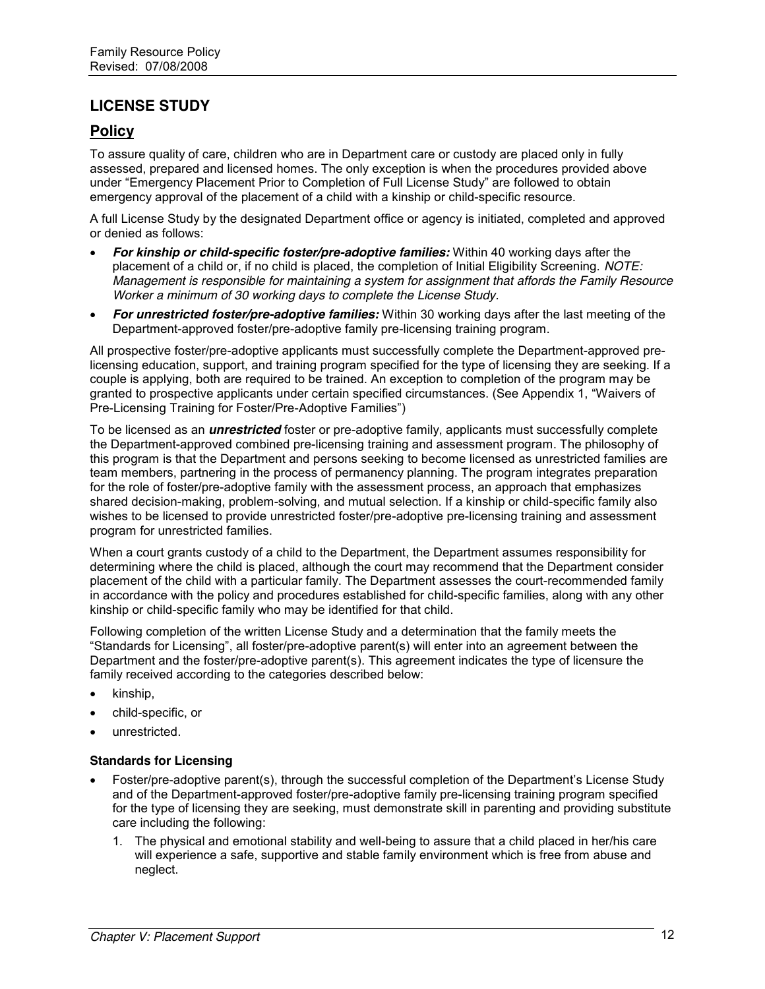# **LICENSE STUDY**

# **Policy**

To assure quality of care, children who are in Department care or custody are placed only in fully assessed, prepared and licensed homes. The only exception is when the procedures provided above under "Emergency Placement Prior to Completion of Full License Study" are followed to obtain emergency approval of the placement of a child with a kinship or child-specific resource.

A full License Study by the designated Department office or agency is initiated, completed and approved or denied as follows:

- **For kinship or child-specific foster/pre-adoptive families:** Within 40 working days after the placement of a child or, if no child is placed, the completion of Initial Eligibility Screening. *NOTE: Management is responsible for maintaining a system for assignment that affords the Family Resource Worker a minimum of 30 working days to complete the License Study.*
- **For unrestricted foster/pre-adoptive families:** Within 30 working days after the last meeting of the Department-approved foster/pre-adoptive family pre-licensing training program.

All prospective foster/pre-adoptive applicants must successfully complete the Department-approved prelicensing education, support, and training program specified for the type of licensing they are seeking. If a couple is applying, both are required to be trained. An exception to completion of the program may be granted to prospective applicants under certain specified circumstances. (See Appendix 1, "Waivers of Pre-Licensing Training for Foster/Pre-Adoptive Families")

To be licensed as an *unrestricted* foster or pre-adoptive family, applicants must successfully complete the Department-approved combined pre-licensing training and assessment program. The philosophy of this program is that the Department and persons seeking to become licensed as unrestricted families are team members, partnering in the process of permanency planning. The program integrates preparation for the role of foster/pre-adoptive family with the assessment process, an approach that emphasizes shared decision-making, problem-solving, and mutual selection. If a kinship or child-specific family also wishes to be licensed to provide unrestricted foster/pre-adoptive pre-licensing training and assessment program for unrestricted families.

When a court grants custody of a child to the Department, the Department assumes responsibility for determining where the child is placed, although the court may recommend that the Department consider placement of the child with a particular family. The Department assesses the court-recommended family in accordance with the policy and procedures established for child-specific families, along with any other kinship or child-specific family who may be identified for that child.

Following completion of the written License Study and a determination that the family meets the ―Standards for Licensing‖, all foster/pre-adoptive parent(s) will enter into an agreement between the Department and the foster/pre-adoptive parent(s). This agreement indicates the type of licensure the family received according to the categories described below:

- kinship,
- x child-specific, or
- unrestricted.

#### **Standards for Licensing**

- Foster/pre-adoptive parent(s), through the successful completion of the Department's License Study and of the Department-approved foster/pre-adoptive family pre-licensing training program specified for the type of licensing they are seeking, must demonstrate skill in parenting and providing substitute care including the following:
	- 1. The physical and emotional stability and well-being to assure that a child placed in her/his care will experience a safe, supportive and stable family environment which is free from abuse and neglect.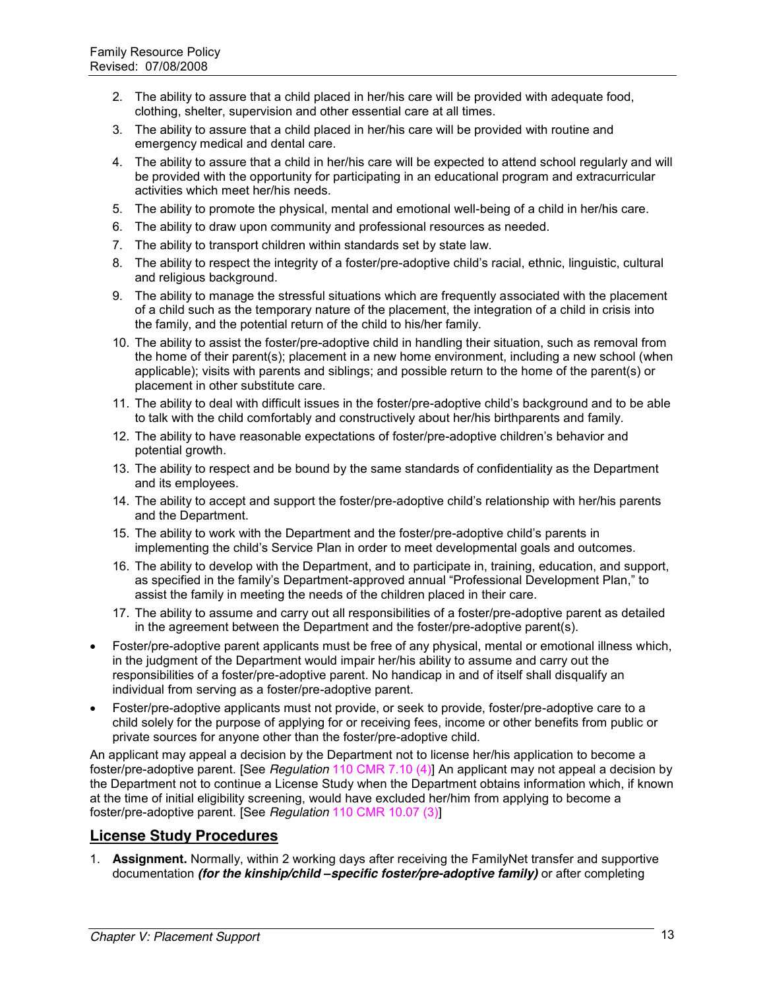- 2. The ability to assure that a child placed in her/his care will be provided with adequate food, clothing, shelter, supervision and other essential care at all times.
- 3. The ability to assure that a child placed in her/his care will be provided with routine and emergency medical and dental care.
- 4. The ability to assure that a child in her/his care will be expected to attend school regularly and will be provided with the opportunity for participating in an educational program and extracurricular activities which meet her/his needs.
- 5. The ability to promote the physical, mental and emotional well-being of a child in her/his care.
- 6. The ability to draw upon community and professional resources as needed.
- 7. The ability to transport children within standards set by state law.
- 8. The ability to respect the integrity of a foster/pre-adoptive child's racial, ethnic, linguistic, cultural and religious background.
- 9. The ability to manage the stressful situations which are frequently associated with the placement of a child such as the temporary nature of the placement, the integration of a child in crisis into the family, and the potential return of the child to his/her family.
- 10. The ability to assist the foster/pre-adoptive child in handling their situation, such as removal from the home of their parent(s); placement in a new home environment, including a new school (when applicable); visits with parents and siblings; and possible return to the home of the parent(s) or placement in other substitute care.
- 11. The ability to deal with difficult issues in the foster/pre-adoptive child's background and to be able to talk with the child comfortably and constructively about her/his birthparents and family.
- 12. The ability to have reasonable expectations of foster/pre-adoptive children's behavior and potential growth.
- 13. The ability to respect and be bound by the same standards of confidentiality as the Department and its employees.
- 14. The ability to accept and support the foster/pre-adoptive child's relationship with her/his parents and the Department.
- 15. The ability to work with the Department and the foster/pre-adoptive child's parents in implementing the child's Service Plan in order to meet developmental goals and outcomes.
- 16. The ability to develop with the Department, and to participate in, training, education, and support, as specified in the family's Department-approved annual "Professional Development Plan," to assist the family in meeting the needs of the children placed in their care.
- 17. The ability to assume and carry out all responsibilities of a foster/pre-adoptive parent as detailed in the agreement between the Department and the foster/pre-adoptive parent(s).
- Foster/pre-adoptive parent applicants must be free of any physical, mental or emotional illness which, in the judgment of the Department would impair her/his ability to assume and carry out the responsibilities of a foster/pre-adoptive parent. No handicap in and of itself shall disqualify an individual from serving as a foster/pre-adoptive parent.
- Foster/pre-adoptive applicants must not provide, or seek to provide, foster/pre-adoptive care to a child solely for the purpose of applying for or receiving fees, income or other benefits from public or private sources for anyone other than the foster/pre-adoptive child.

An applicant may appeal a decision by the Department not to license her/his application to become a foster/pre-adoptive parent. [See *Regulation* 110 CMR 7.10 (4)] An applicant may not appeal a decision by the Department not to continue a License Study when the Department obtains information which, if known at the time of initial eligibility screening, would have excluded her/him from applying to become a foster/pre-adoptive parent. [See *Regulation* 110 CMR 10.07 (3)]

# **License Study Procedures**

1. **Assignment.** Normally, within 2 working days after receiving the FamilyNet transfer and supportive documentation *(for the kinship/child –specific foster/pre-adoptive family)* or after completing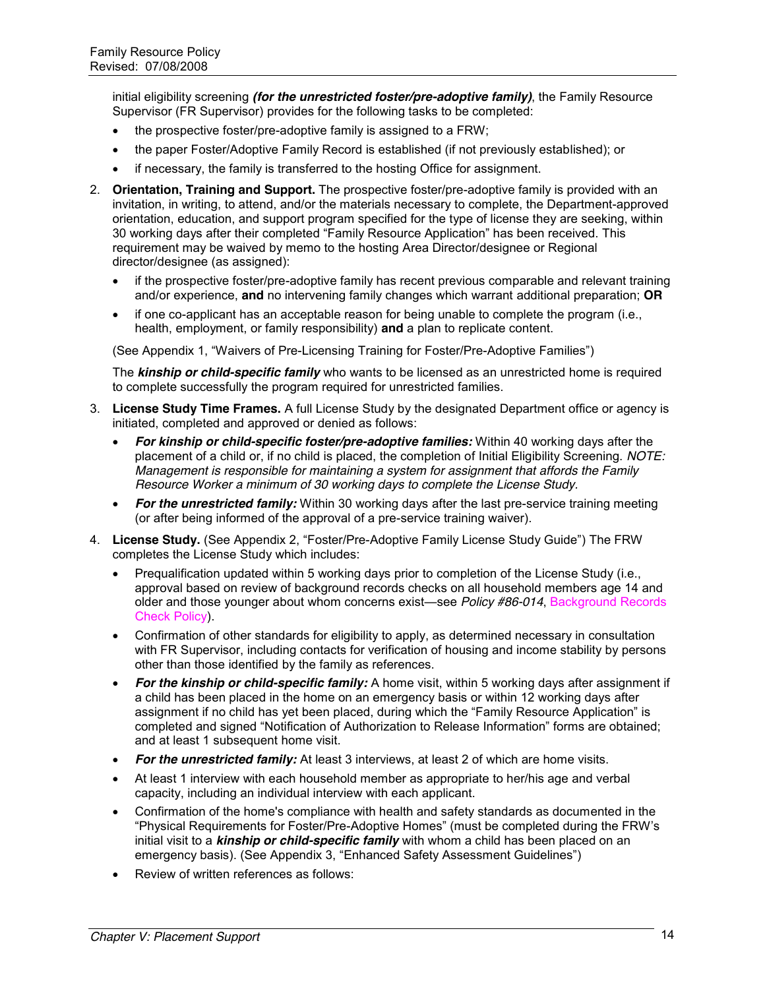initial eligibility screening *(for the unrestricted foster/pre-adoptive family)*, the Family Resource Supervisor (FR Supervisor) provides for the following tasks to be completed:

- $\bullet$  the prospective foster/pre-adoptive family is assigned to a FRW;
- the paper Foster/Adoptive Family Record is established (if not previously established); or
- if necessary, the family is transferred to the hosting Office for assignment.
- 2. **Orientation, Training and Support.** The prospective foster/pre-adoptive family is provided with an invitation, in writing, to attend, and/or the materials necessary to complete, the Department-approved orientation, education, and support program specified for the type of license they are seeking, within 30 working days after their completed "Family Resource Application" has been received. This requirement may be waived by memo to the hosting Area Director/designee or Regional director/designee (as assigned):
	- if the prospective foster/pre-adoptive family has recent previous comparable and relevant training and/or experience, **and** no intervening family changes which warrant additional preparation; **OR**
	- if one co-applicant has an acceptable reason for being unable to complete the program (i.e., health, employment, or family responsibility) **and** a plan to replicate content.

(See Appendix 1, "Waivers of Pre-Licensing Training for Foster/Pre-Adoptive Families")

The *kinship or child-specific family* who wants to be licensed as an unrestricted home is required to complete successfully the program required for unrestricted families.

- 3. **License Study Time Frames.** A full License Study by the designated Department office or agency is initiated, completed and approved or denied as follows:
	- **For kinship or child-specific foster/pre-adoptive families:** Within 40 working days after the placement of a child or, if no child is placed, the completion of Initial Eligibility Screening. *NOTE: Management is responsible for maintaining a system for assignment that affords the Family Resource Worker a minimum of 30 working days to complete the License Study.*
	- **For the unrestricted family:** Within 30 working days after the last pre-service training meeting (or after being informed of the approval of a pre-service training waiver).
- 4. License Study. (See Appendix 2, "Foster/Pre-Adoptive Family License Study Guide") The FRW completes the License Study which includes:
	- $\bullet$  Prequalification updated within 5 working days prior to completion of the License Study (i.e., approval based on review of background records checks on all household members age 14 and older and those younger about whom concerns exist—see *Policy #86-014*, Background Records Check Policy).
	- Confirmation of other standards for eligibility to apply, as determined necessary in consultation with FR Supervisor, including contacts for verification of housing and income stability by persons other than those identified by the family as references.
	- *For the kinship or child-specific family:* A home visit, within 5 working days after assignment if a child has been placed in the home on an emergency basis or within 12 working days after assignment if no child has yet been placed, during which the "Family Resource Application" is completed and signed "Notification of Authorization to Release Information" forms are obtained; and at least 1 subsequent home visit.
	- **For the unrestricted family:** At least 3 interviews, at least 2 of which are home visits.
	- At least 1 interview with each household member as appropriate to her/his age and verbal capacity, including an individual interview with each applicant.
	- Confirmation of the home's compliance with health and safety standards as documented in the ―Physical Requirements for Foster/Pre-Adoptive Homes‖ (must be completed during the FRW's initial visit to a *kinship or child-specific family* with whom a child has been placed on an emergency basis). (See Appendix 3, "Enhanced Safety Assessment Guidelines")
	- Review of written references as follows: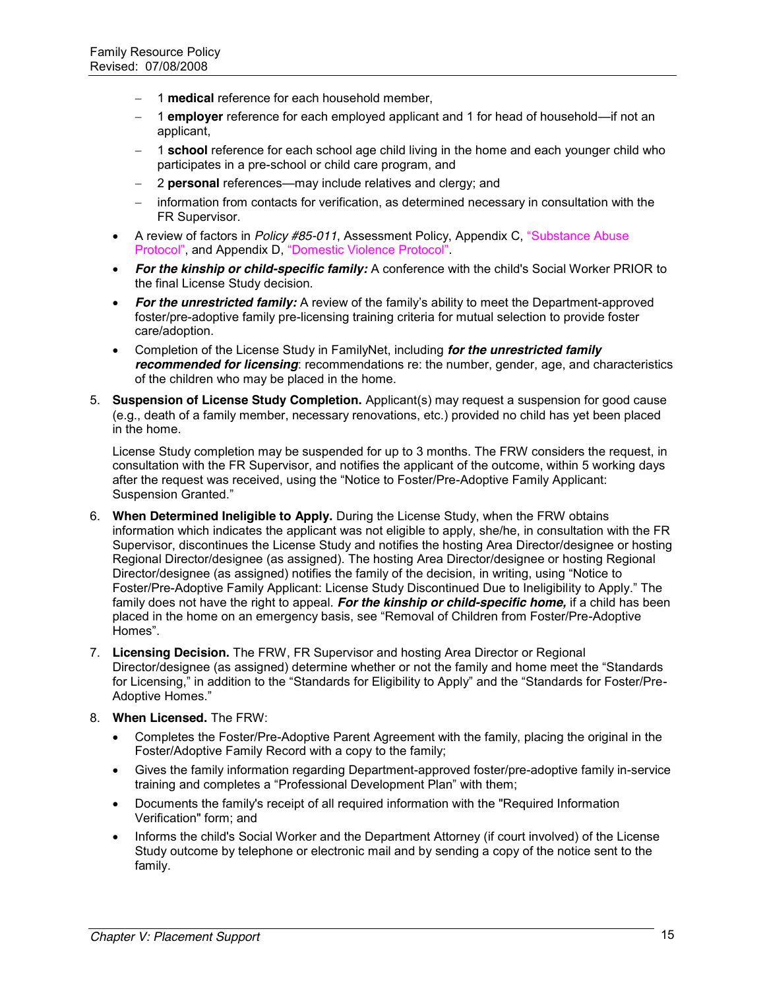- 1 **medical** reference for each household member,
- 1 **employer** reference for each employed applicant and 1 for head of household—if not an applicant,
- 1 **school** reference for each school age child living in the home and each younger child who participates in a pre-school or child care program, and
- 2 **personal** references—may include relatives and clergy; and
- information from contacts for verification, as determined necessary in consultation with the FR Supervisor.
- A review of factors in *Policy #85-011*, Assessment Policy, Appendix C, "Substance Abuse Protocol", and Appendix D, "Domestic Violence Protocol".
- **For the kinship or child-specific family:** A conference with the child's Social Worker PRIOR to the final License Study decision.
- *For the unrestricted family:* A review of the family's ability to meet the Department-approved foster/pre-adoptive family pre-licensing training criteria for mutual selection to provide foster care/adoption.
- **Exampletion of the License Study in FamilyNet, including** *for the unrestricted family* $\overline{a}$ *recommended for licensing*: recommendations re: the number, gender, age, and characteristics of the children who may be placed in the home.
- 5. **Suspension of License Study Completion.** Applicant(s) may request a suspension for good cause (e.g., death of a family member, necessary renovations, etc.) provided no child has yet been placed in the home.

License Study completion may be suspended for up to 3 months. The FRW considers the request, in consultation with the FR Supervisor, and notifies the applicant of the outcome, within 5 working days after the request was received, using the "Notice to Foster/Pre-Adoptive Family Applicant: Suspension Granted."

- 6. **When Determined Ineligible to Apply.** During the License Study, when the FRW obtains information which indicates the applicant was not eligible to apply, she/he, in consultation with the FR Supervisor, discontinues the License Study and notifies the hosting Area Director/designee or hosting Regional Director/designee (as assigned). The hosting Area Director/designee or hosting Regional Director/designee (as assigned) notifies the family of the decision, in writing, using "Notice to Foster/Pre-Adoptive Family Applicant: License Study Discontinued Due to Ineligibility to Apply." The family does not have the right to appeal. *For the kinship or child-specific home,* if a child has been placed in the home on an emergency basis, see "Removal of Children from Foster/Pre-Adoptive Homes".
- 7. **Licensing Decision.** The FRW, FR Supervisor and hosting Area Director or Regional Director/designee (as assigned) determine whether or not the family and home meet the "Standards for Licensing," in addition to the "Standards for Eligibility to Apply" and the "Standards for Foster/Pre-Adoptive Homes."
- 8. **When Licensed.** The FRW:
	- Completes the Foster/Pre-Adoptive Parent Agreement with the family, placing the original in the Foster/Adoptive Family Record with a copy to the family;
	- Gives the family information regarding Department-approved foster/pre-adoptive family in-service training and completes a "Professional Development Plan" with them;
	- Documents the family's receipt of all required information with the "Required Information Verification" form; and
	- Informs the child's Social Worker and the Department Attorney (if court involved) of the License Study outcome by telephone or electronic mail and by sending a copy of the notice sent to the family.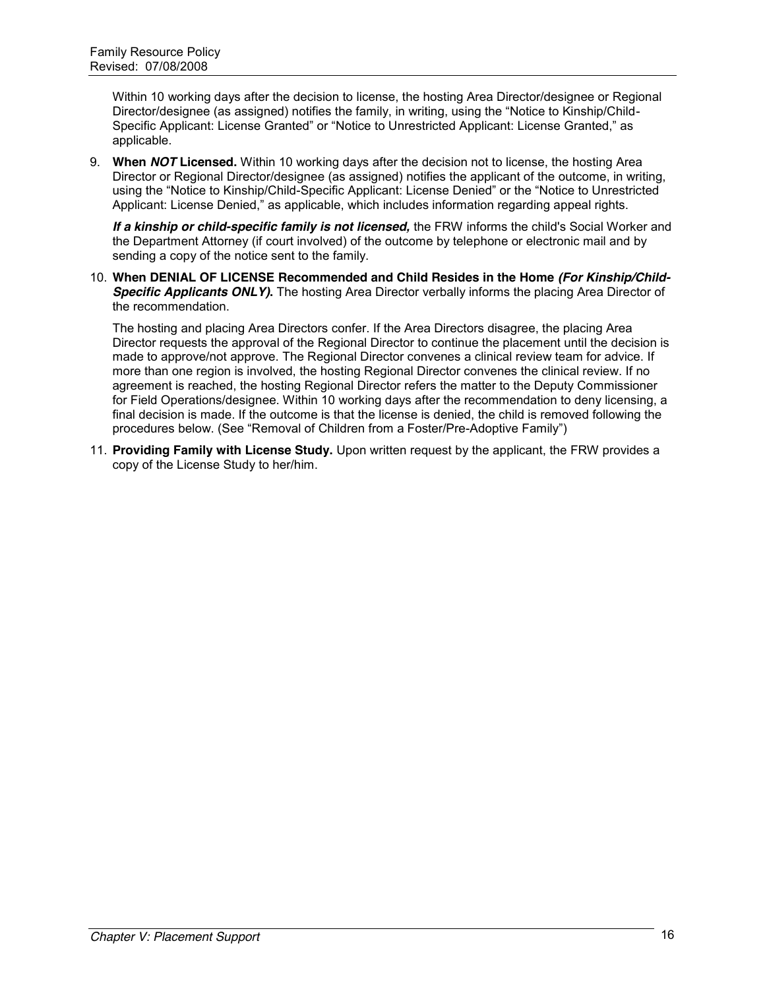Within 10 working days after the decision to license, the hosting Area Director/designee or Regional Director/designee (as assigned) notifies the family, in writing, using the "Notice to Kinship/Child-Specific Applicant: License Granted" or "Notice to Unrestricted Applicant: License Granted," as applicable.

9. **When** *NOT* **Licensed.** Within 10 working days after the decision not to license, the hosting Area Director or Regional Director/designee (as assigned) notifies the applicant of the outcome, in writing, using the "Notice to Kinship/Child-Specific Applicant: License Denied" or the "Notice to Unrestricted Applicant: License Denied," as applicable, which includes information regarding appeal rights.

*If a kinship or child-specific family is not licensed,* the FRW informs the child's Social Worker and the Department Attorney (if court involved) of the outcome by telephone or electronic mail and by sending a copy of the notice sent to the family.

10. **When DENIAL OF LICENSE Recommended and Child Resides in the Home** *(For Kinship/Child-Specific Applicants ONLY)***.** The hosting Area Director verbally informs the placing Area Director of the recommendation.

The hosting and placing Area Directors confer. If the Area Directors disagree, the placing Area Director requests the approval of the Regional Director to continue the placement until the decision is made to approve/not approve. The Regional Director convenes a clinical review team for advice. If more than one region is involved, the hosting Regional Director convenes the clinical review. If no agreement is reached, the hosting Regional Director refers the matter to the Deputy Commissioner for Field Operations/designee. Within 10 working days after the recommendation to deny licensing, a final decision is made. If the outcome is that the license is denied, the child is removed following the procedures below. (See "Removal of Children from a Foster/Pre-Adoptive Family")

11. **Providing Family with License Study.** Upon written request by the applicant, the FRW provides a copy of the License Study to her/him.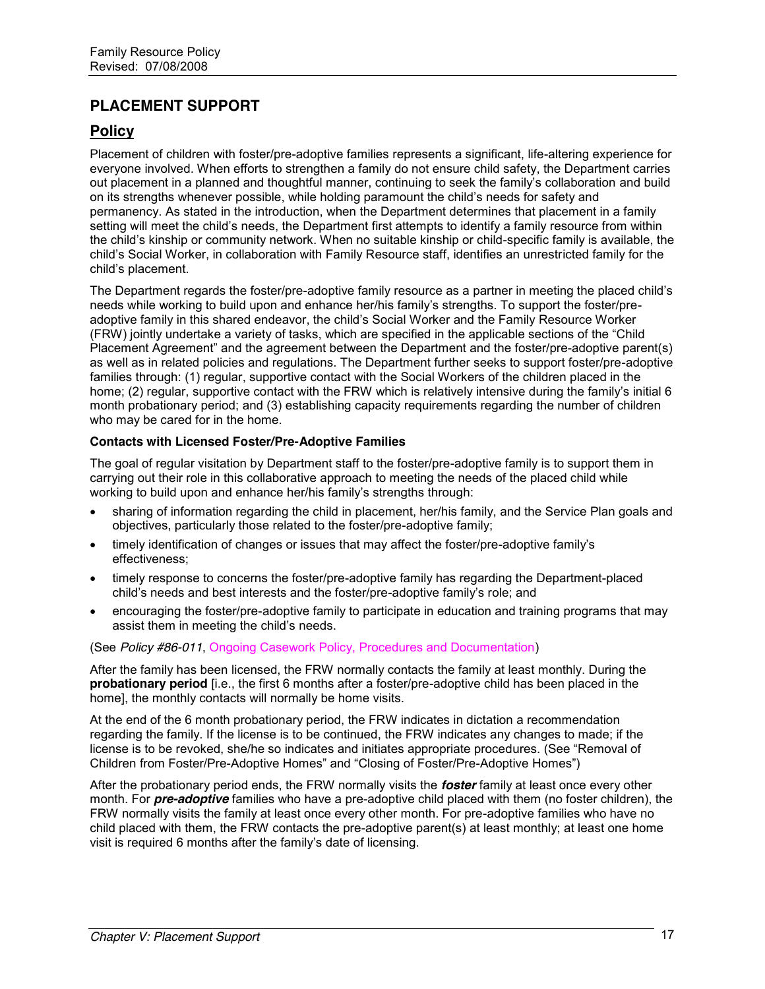# **PLACEMENT SUPPORT**

# **Policy**

Placement of children with foster/pre-adoptive families represents a significant, life-altering experience for everyone involved. When efforts to strengthen a family do not ensure child safety, the Department carries out placement in a planned and thoughtful manner, continuing to seek the family's collaboration and build on its strengths whenever possible, while holding paramount the child's needs for safety and permanency. As stated in the introduction, when the Department determines that placement in a family setting will meet the child's needs, the Department first attempts to identify a family resource from within the child's kinship or community network. When no suitable kinship or child-specific family is available, the child's Social Worker, in collaboration with Family Resource staff, identifies an unrestricted family for the child's placement.

The Department regards the foster/pre-adoptive family resource as a partner in meeting the placed child's needs while working to build upon and enhance her/his family's strengths. To support the foster/preadoptive family in this shared endeavor, the child's Social Worker and the Family Resource Worker (FRW) jointly undertake a variety of tasks, which are specified in the applicable sections of the "Child" Placement Agreement" and the agreement between the Department and the foster/pre-adoptive parent(s) as well as in related policies and regulations. The Department further seeks to support foster/pre-adoptive families through: (1) regular, supportive contact with the Social Workers of the children placed in the home; (2) regular, supportive contact with the FRW which is relatively intensive during the family's initial 6 month probationary period; and (3) establishing capacity requirements regarding the number of children who may be cared for in the home.

#### **Contacts with Licensed Foster/Pre-Adoptive Families**

The goal of regular visitation by Department staff to the foster/pre-adoptive family is to support them in carrying out their role in this collaborative approach to meeting the needs of the placed child while working to build upon and enhance her/his family's strengths through:

- sharing of information regarding the child in placement, her/his family, and the Service Plan goals and objectives, particularly those related to the foster/pre-adoptive family;
- timely identification of changes or issues that may affect the foster/pre-adoptive family's effectiveness;
- timely response to concerns the foster/pre-adoptive family has regarding the Department-placed child's needs and best interests and the foster/pre-adoptive family's role; and
- encouraging the foster/pre-adoptive family to participate in education and training programs that may assist them in meeting the child's needs.

(See *Policy #86-011*, Ongoing Casework Policy, Procedures and Documentation)

After the family has been licensed, the FRW normally contacts the family at least monthly. During the **probationary period** [i.e., the first 6 months after a foster/pre-adoptive child has been placed in the home], the monthly contacts will normally be home visits.

At the end of the 6 month probationary period, the FRW indicates in dictation a recommendation regarding the family. If the license is to be continued, the FRW indicates any changes to made; if the license is to be revoked, she/he so indicates and initiates appropriate procedures. (See "Removal of Children from Foster/Pre-Adoptive Homes" and "Closing of Foster/Pre-Adoptive Homes")

After the probationary period ends, the FRW normally visits the *foster* family at least once every other month. For *pre-adoptive* families who have a pre-adoptive child placed with them (no foster children), the FRW normally visits the family at least once every other month. For pre-adoptive families who have no child placed with them, the FRW contacts the pre-adoptive parent(s) at least monthly; at least one home visit is required 6 months after the family's date of licensing.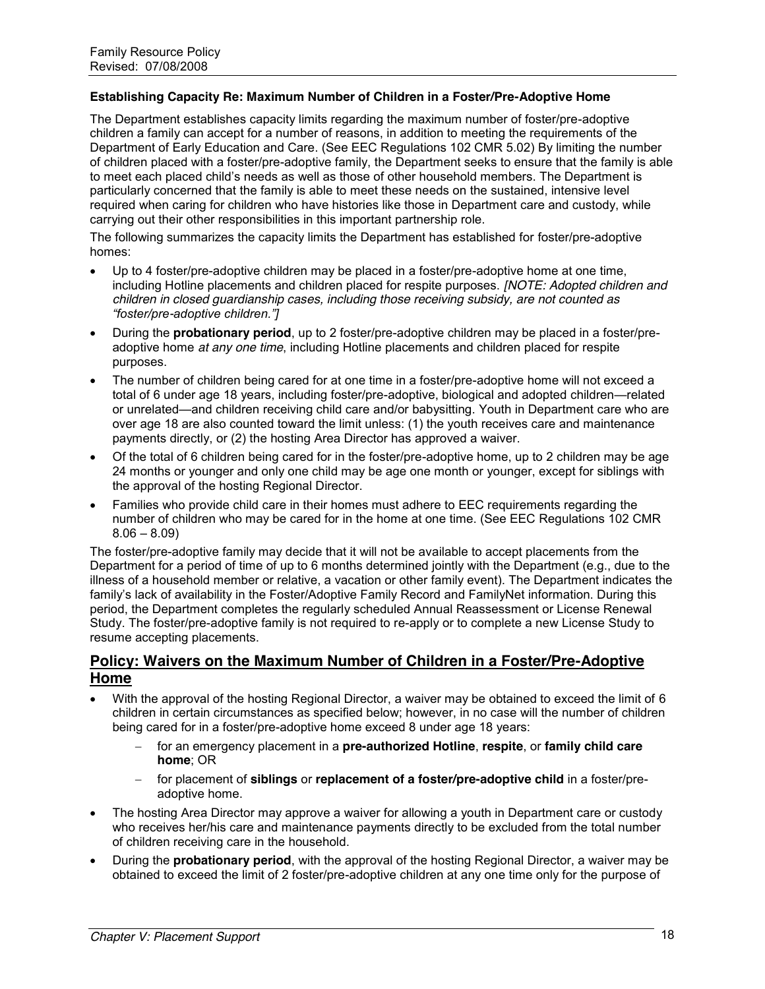#### **Establishing Capacity Re: Maximum Number of Children in a Foster/Pre-Adoptive Home**

The Department establishes capacity limits regarding the maximum number of foster/pre-adoptive children a family can accept for a number of reasons, in addition to meeting the requirements of the Department of Early Education and Care. (See EEC Regulations 102 CMR 5.02) By limiting the number of children placed with a foster/pre-adoptive family, the Department seeks to ensure that the family is able to meet each placed child's needs as well as those of other household members. The Department is particularly concerned that the family is able to meet these needs on the sustained, intensive level required when caring for children who have histories like those in Department care and custody, while carrying out their other responsibilities in this important partnership role.

The following summarizes the capacity limits the Department has established for foster/pre-adoptive homes:

- Up to 4 foster/pre-adoptive children may be placed in a foster/pre-adoptive home at one time, including Hotline placements and children placed for respite purposes. *[NOTE: Adopted children and children in closed guardianship cases, including those receiving subsidy, are not counted as "foster/pre-adoptive children."]*
- x During the **probationary period**, up to 2 foster/pre-adoptive children may be placed in a foster/preadoptive home *at any one time*, including Hotline placements and children placed for respite purposes.
- The number of children being cared for at one time in a foster/pre-adoptive home will not exceed a total of 6 under age 18 years, including foster/pre-adoptive, biological and adopted children—related or unrelated—and children receiving child care and/or babysitting. Youth in Department care who are over age 18 are also counted toward the limit unless: (1) the youth receives care and maintenance payments directly, or (2) the hosting Area Director has approved a waiver.
- Of the total of 6 children being cared for in the foster/pre-adoptive home, up to 2 children may be age 24 months or younger and only one child may be age one month or younger, except for siblings with the approval of the hosting Regional Director.
- Families who provide child care in their homes must adhere to EEC requirements regarding the number of children who may be cared for in the home at one time. (See EEC Regulations 102 CMR  $8.06 - 8.09$

The foster/pre-adoptive family may decide that it will not be available to accept placements from the Department for a period of time of up to 6 months determined jointly with the Department (e.g., due to the illness of a household member or relative, a vacation or other family event). The Department indicates the family's lack of availability in the Foster/Adoptive Family Record and FamilyNet information. During this period, the Department completes the regularly scheduled Annual Reassessment or License Renewal Study. The foster/pre-adoptive family is not required to re-apply or to complete a new License Study to resume accepting placements.

### **Policy: Waivers on the Maximum Number of Children in a Foster/Pre-Adoptive Home**

- With the approval of the hosting Regional Director, a waiver may be obtained to exceed the limit of 6 children in certain circumstances as specified below; however, in no case will the number of children being cared for in a foster/pre-adoptive home exceed 8 under age 18 years:
	- for an emergency placement in a **pre-authorized Hotline**, **respite**, or **family child care home**; OR
	- for placement of **siblings** or **replacement of a foster/pre-adoptive child** in a foster/preadoptive home.
- The hosting Area Director may approve a waiver for allowing a youth in Department care or custody who receives her/his care and maintenance payments directly to be excluded from the total number of children receiving care in the household.
- x During the **probationary period**, with the approval of the hosting Regional Director, a waiver may be obtained to exceed the limit of 2 foster/pre-adoptive children at any one time only for the purpose of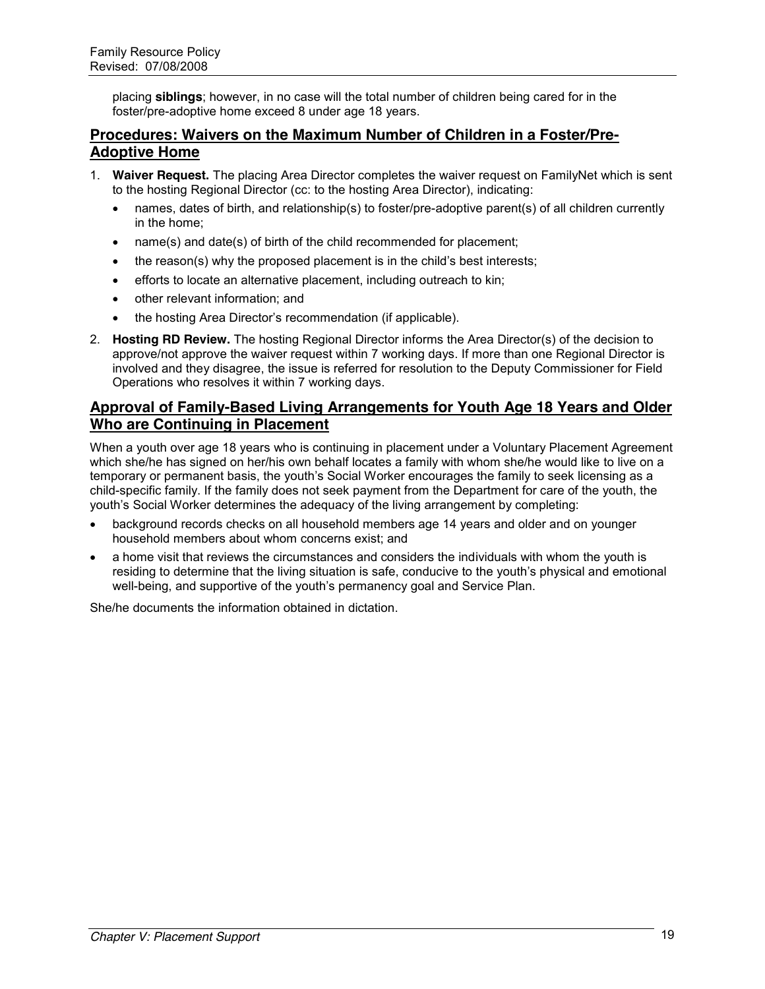placing **siblings**; however, in no case will the total number of children being cared for in the foster/pre-adoptive home exceed 8 under age 18 years.

# **Procedures: Waivers on the Maximum Number of Children in a Foster/Pre-Adoptive Home**

- 1. **Waiver Request.** The placing Area Director completes the waiver request on FamilyNet which is sent to the hosting Regional Director (cc: to the hosting Area Director), indicating:
	- **•** names, dates of birth, and relationship(s) to foster/pre-adoptive parent(s) of all children currently in the home;
	- $\bullet$  name(s) and date(s) of birth of the child recommended for placement;
	- $\bullet$  the reason(s) why the proposed placement is in the child's best interests;
	- $\bullet$  efforts to locate an alternative placement, including outreach to kin;
	- other relevant information; and
	- the hosting Area Director's recommendation (if applicable).
- 2. **Hosting RD Review.** The hosting Regional Director informs the Area Director(s) of the decision to approve/not approve the waiver request within 7 working days. If more than one Regional Director is involved and they disagree, the issue is referred for resolution to the Deputy Commissioner for Field Operations who resolves it within 7 working days.

# **Approval of Family-Based Living Arrangements for Youth Age 18 Years and Older Who are Continuing in Placement**

When a youth over age 18 years who is continuing in placement under a Voluntary Placement Agreement which she/he has signed on her/his own behalf locates a family with whom she/he would like to live on a temporary or permanent basis, the youth's Social Worker encourages the family to seek licensing as a child-specific family. If the family does not seek payment from the Department for care of the youth, the youth's Social Worker determines the adequacy of the living arrangement by completing:

- background records checks on all household members age 14 years and older and on younger household members about whom concerns exist; and
- a home visit that reviews the circumstances and considers the individuals with whom the youth is residing to determine that the living situation is safe, conducive to the youth's physical and emotional well-being, and supportive of the youth's permanency goal and Service Plan.

She/he documents the information obtained in dictation.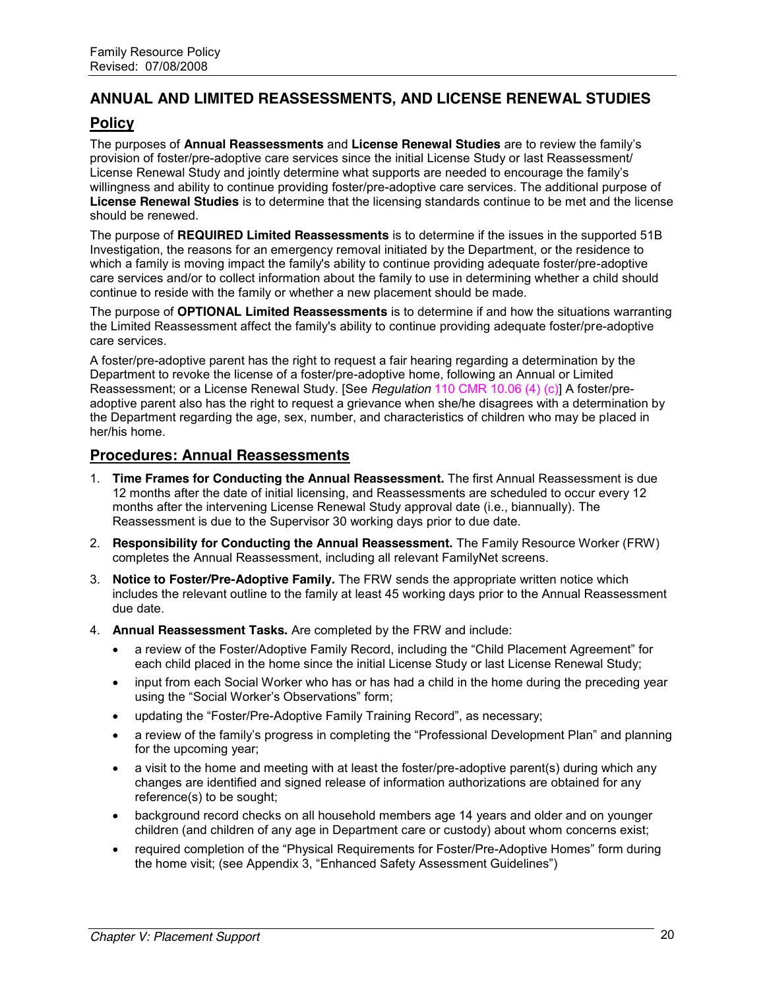# **ANNUAL AND LIMITED REASSESSMENTS, AND LICENSE RENEWAL STUDIES**

# **Policy**

The purposes of **Annual Reassessments** and **License Renewal Studies** are to review the family's provision of foster/pre-adoptive care services since the initial License Study or last Reassessment/ License Renewal Study and jointly determine what supports are needed to encourage the family's willingness and ability to continue providing foster/pre-adoptive care services. The additional purpose of **License Renewal Studies** is to determine that the licensing standards continue to be met and the license should be renewed.

The purpose of **REQUIRED Limited Reassessments** is to determine if the issues in the supported 51B Investigation, the reasons for an emergency removal initiated by the Department, or the residence to which a family is moving impact the family's ability to continue providing adequate foster/pre-adoptive care services and/or to collect information about the family to use in determining whether a child should continue to reside with the family or whether a new placement should be made.

The purpose of **OPTIONAL Limited Reassessments** is to determine if and how the situations warranting the Limited Reassessment affect the family's ability to continue providing adequate foster/pre-adoptive care services.

A foster/pre-adoptive parent has the right to request a fair hearing regarding a determination by the Department to revoke the license of a foster/pre-adoptive home, following an Annual or Limited Reassessment; or a License Renewal Study. [See *Regulation* 110 CMR 10.06 (4) (c)] A foster/preadoptive parent also has the right to request a grievance when she/he disagrees with a determination by the Department regarding the age, sex, number, and characteristics of children who may be placed in her/his home.

### **Procedures: Annual Reassessments**

- 1. **Time Frames for Conducting the Annual Reassessment.** The first Annual Reassessment is due 12 months after the date of initial licensing, and Reassessments are scheduled to occur every 12 months after the intervening License Renewal Study approval date (i.e., biannually). The Reassessment is due to the Supervisor 30 working days prior to due date.
- 2. **Responsibility for Conducting the Annual Reassessment.** The Family Resource Worker (FRW) completes the Annual Reassessment, including all relevant FamilyNet screens.
- 3. **Notice to Foster/Pre-Adoptive Family.** The FRW sends the appropriate written notice which includes the relevant outline to the family at least 45 working days prior to the Annual Reassessment due date.
- 4. **Annual Reassessment Tasks.** Are completed by the FRW and include:
	- a review of the Foster/Adoptive Family Record, including the "Child Placement Agreement" for each child placed in the home since the initial License Study or last License Renewal Study;
	- input from each Social Worker who has or has had a child in the home during the preceding year using the "Social Worker's Observations" form;
	- updating the "Foster/Pre-Adoptive Family Training Record", as necessary;
	- a review of the family's progress in completing the "Professional Development Plan" and planning for the upcoming year;
	- a visit to the home and meeting with at least the foster/pre-adoptive parent(s) during which any changes are identified and signed release of information authorizations are obtained for any reference(s) to be sought;
	- background record checks on all household members age 14 years and older and on younger children (and children of any age in Department care or custody) about whom concerns exist;
	- required completion of the "Physical Requirements for Foster/Pre-Adoptive Homes" form during the home visit; (see Appendix 3, "Enhanced Safety Assessment Guidelines")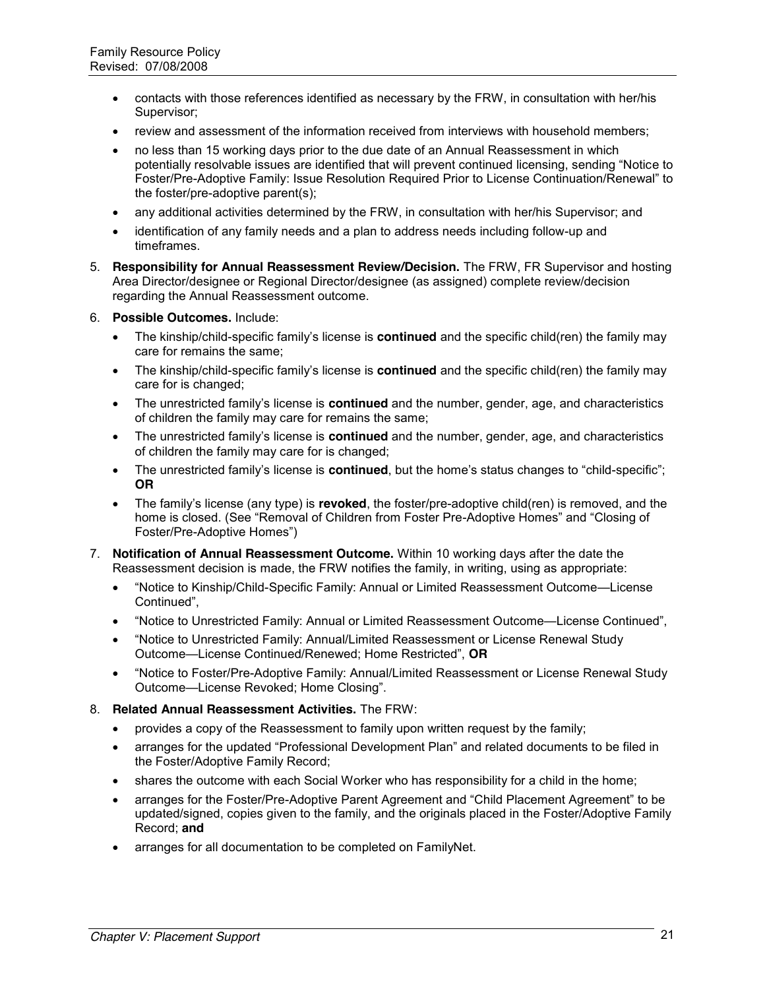- contacts with those references identified as necessary by the FRW, in consultation with her/his Supervisor;
- review and assessment of the information received from interviews with household members;
- no less than 15 working days prior to the due date of an Annual Reassessment in which potentially resolvable issues are identified that will prevent continued licensing, sending "Notice to Foster/Pre-Adoptive Family: Issue Resolution Required Prior to License Continuation/Renewal" to the foster/pre-adoptive parent(s);
- any additional activities determined by the FRW, in consultation with her/his Supervisor; and
- identification of any family needs and a plan to address needs including follow-up and timeframes.
- 5. **Responsibility for Annual Reassessment Review/Decision.** The FRW, FR Supervisor and hosting Area Director/designee or Regional Director/designee (as assigned) complete review/decision regarding the Annual Reassessment outcome.
- 6. **Possible Outcomes.** Include:
	- The kinship/child-specific family's license is **continued** and the specific child(ren) the family may care for remains the same;
	- The kinship/child-specific family's license is **continued** and the specific child(ren) the family may care for is changed;
	- The unrestricted family's license is **continued** and the number, gender, age, and characteristics of children the family may care for remains the same;
	- The unrestricted family's license is **continued** and the number, gender, age, and characteristics of children the family may care for is changed;
	- The unrestricted family's license is **continued**, but the home's status changes to "child-specific"; **OR**
	- x The family's license (any type) is **revoked**, the foster/pre-adoptive child(ren) is removed, and the home is closed. (See "Removal of Children from Foster Pre-Adoptive Homes" and "Closing of Foster/Pre-Adoptive Homes")
- 7. **Notification of Annual Reassessment Outcome.** Within 10 working days after the date the Reassessment decision is made, the FRW notifies the family, in writing, using as appropriate:
	- "Notice to Kinship/Child-Specific Family: Annual or Limited Reassessment Outcome—License Continued".
	- "Notice to Unrestricted Family: Annual or Limited Reassessment Outcome—License Continued",
	- "Notice to Unrestricted Family: Annual/Limited Reassessment or License Renewal Study Outcome—License Continued/Renewed; Home Restricted‖, **OR**
	- "Notice to Foster/Pre-Adoptive Family: Annual/Limited Reassessment or License Renewal Study Outcome—License Revoked; Home Closing‖.
- 8. **Related Annual Reassessment Activities.** The FRW:
	- provides a copy of the Reassessment to family upon written request by the family;
	- arranges for the updated "Professional Development Plan" and related documents to be filed in the Foster/Adoptive Family Record;
	- shares the outcome with each Social Worker who has responsibility for a child in the home;
	- arranges for the Foster/Pre-Adoptive Parent Agreement and "Child Placement Agreement" to be updated/signed, copies given to the family, and the originals placed in the Foster/Adoptive Family Record; **and**
	- arranges for all documentation to be completed on FamilyNet.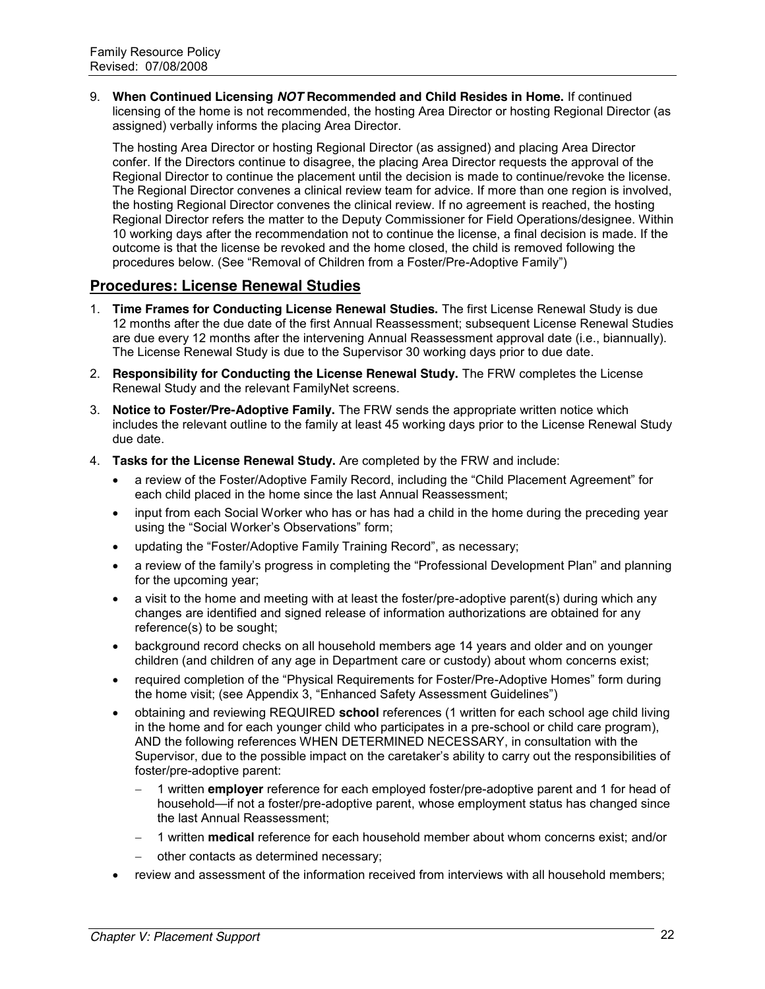9. **When Continued Licensing** *NOT* **Recommended and Child Resides in Home.** If continued licensing of the home is not recommended, the hosting Area Director or hosting Regional Director (as assigned) verbally informs the placing Area Director.

The hosting Area Director or hosting Regional Director (as assigned) and placing Area Director confer. If the Directors continue to disagree, the placing Area Director requests the approval of the Regional Director to continue the placement until the decision is made to continue/revoke the license. The Regional Director convenes a clinical review team for advice. If more than one region is involved, the hosting Regional Director convenes the clinical review. If no agreement is reached, the hosting Regional Director refers the matter to the Deputy Commissioner for Field Operations/designee. Within 10 working days after the recommendation not to continue the license, a final decision is made. If the outcome is that the license be revoked and the home closed, the child is removed following the procedures below. (See "Removal of Children from a Foster/Pre-Adoptive Family")

### **Procedures: License Renewal Studies**

- 1. **Time Frames for Conducting License Renewal Studies.** The first License Renewal Study is due 12 months after the due date of the first Annual Reassessment; subsequent License Renewal Studies are due every 12 months after the intervening Annual Reassessment approval date (i.e., biannually). The License Renewal Study is due to the Supervisor 30 working days prior to due date.
- 2. **Responsibility for Conducting the License Renewal Study.** The FRW completes the License Renewal Study and the relevant FamilyNet screens.
- 3. **Notice to Foster/Pre-Adoptive Family.** The FRW sends the appropriate written notice which includes the relevant outline to the family at least 45 working days prior to the License Renewal Study due date.
- 4. **Tasks for the License Renewal Study.** Are completed by the FRW and include:
	- a review of the Foster/Adoptive Family Record, including the "Child Placement Agreement" for each child placed in the home since the last Annual Reassessment;
	- input from each Social Worker who has or has had a child in the home during the preceding year using the "Social Worker's Observations" form;
	- updating the "Foster/Adoptive Family Training Record", as necessary;
	- a review of the family's progress in completing the "Professional Development Plan" and planning for the upcoming year;
	- $\bullet$  a visit to the home and meeting with at least the foster/pre-adoptive parent(s) during which any changes are identified and signed release of information authorizations are obtained for any reference(s) to be sought;
	- background record checks on all household members age 14 years and older and on younger children (and children of any age in Department care or custody) about whom concerns exist;
	- required completion of the "Physical Requirements for Foster/Pre-Adoptive Homes" form during the home visit; (see Appendix 3, "Enhanced Safety Assessment Guidelines")
	- x obtaining and reviewing REQUIRED **school** references (1 written for each school age child living in the home and for each younger child who participates in a pre-school or child care program), AND the following references WHEN DETERMINED NECESSARY, in consultation with the Supervisor, due to the possible impact on the caretaker's ability to carry out the responsibilities of foster/pre-adoptive parent:
		- 1 written **employer** reference for each employed foster/pre-adoptive parent and 1 for head of household—if not a foster/pre-adoptive parent, whose employment status has changed since the last Annual Reassessment;
		- 1 written **medical** reference for each household member about whom concerns exist; and/or
		- other contacts as determined necessary;
	- review and assessment of the information received from interviews with all household members;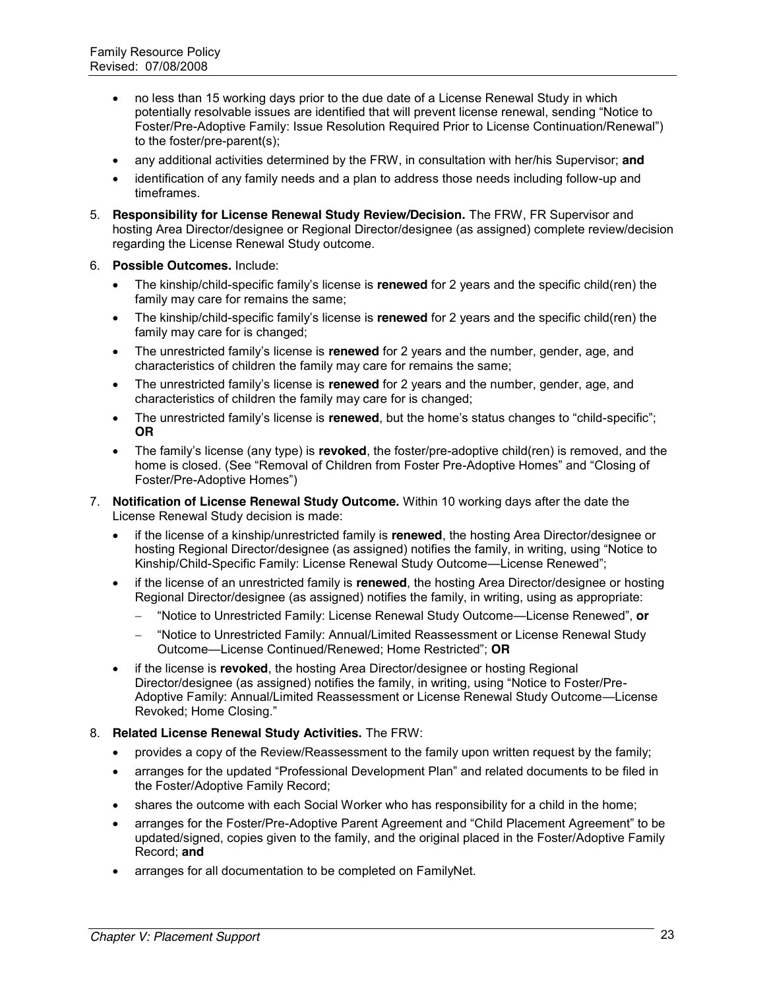- no less than 15 working days prior to the due date of a License Renewal Study in which potentially resolvable issues are identified that will prevent license renewal, sending "Notice to Foster/Pre-Adoptive Family: Issue Resolution Required Prior to License Continuation/Renewal‖) to the foster/pre-parent(s);
- any additional activities determined by the FRW, in consultation with her/his Supervisor; **and**
- identification of any family needs and a plan to address those needs including follow-up and timeframes.
- 5. **Responsibility for License Renewal Study Review/Decision.** The FRW, FR Supervisor and hosting Area Director/designee or Regional Director/designee (as assigned) complete review/decision regarding the License Renewal Study outcome.
- 6. **Possible Outcomes.** Include:
	- The kinship/child-specific family's license is **renewed** for 2 years and the specific child(ren) the family may care for remains the same;
	- The kinship/child-specific family's license is **renewed** for 2 years and the specific child(ren) the family may care for is changed;
	- The unrestricted family's license is **renewed** for 2 years and the number, gender, age, and characteristics of children the family may care for remains the same;
	- The unrestricted family's license is **renewed** for 2 years and the number, gender, age, and characteristics of children the family may care for is changed;
	- The unrestricted family's license is **renewed**, but the home's status changes to "child-specific"; **OR**
	- x The family's license (any type) is **revoked**, the foster/pre-adoptive child(ren) is removed, and the home is closed. (See "Removal of Children from Foster Pre-Adoptive Homes" and "Closing of Foster/Pre-Adoptive Homes")
- 7. **Notification of License Renewal Study Outcome.** Within 10 working days after the date the License Renewal Study decision is made:
	- x if the license of a kinship/unrestricted family is **renewed**, the hosting Area Director/designee or hosting Regional Director/designee (as assigned) notifies the family, in writing, using "Notice to Kinship/Child-Specific Family: License Renewal Study Outcome—License Renewed";
	- if the license of an unrestricted family is **renewed**, the hosting Area Director/designee or hosting Regional Director/designee (as assigned) notifies the family, in writing, using as appropriate:
		- ―Notice to Unrestricted Family: License Renewal Study Outcome—License Renewed‖, **or**
		- "Notice to Unrestricted Family: Annual/Limited Reassessment or License Renewal Study Outcome—License Continued/Renewed; Home Restricted‖; **OR**
	- if the license is **revoked**, the hosting Area Director/designee or hosting Regional Director/designee (as assigned) notifies the family, in writing, using "Notice to Foster/Pre-Adoptive Family: Annual/Limited Reassessment or License Renewal Study Outcome—License Revoked; Home Closing."
- 8. **Related License Renewal Study Activities.** The FRW:
	- provides a copy of the Review/Reassessment to the family upon written request by the family;
	- arranges for the updated "Professional Development Plan" and related documents to be filed in the Foster/Adoptive Family Record;
	- shares the outcome with each Social Worker who has responsibility for a child in the home;
	- arranges for the Foster/Pre-Adoptive Parent Agreement and "Child Placement Agreement" to be updated/signed, copies given to the family, and the original placed in the Foster/Adoptive Family Record; **and**
	- arranges for all documentation to be completed on FamilyNet.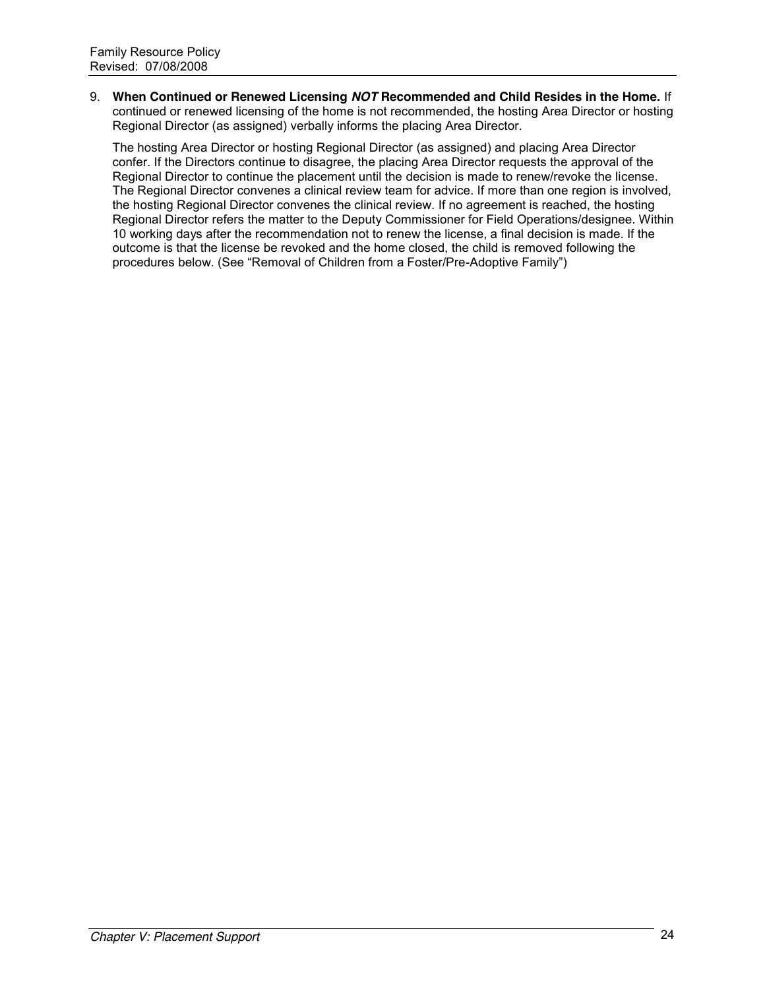9. **When Continued or Renewed Licensing** *NOT* **Recommended and Child Resides in the Home.** If continued or renewed licensing of the home is not recommended, the hosting Area Director or hosting Regional Director (as assigned) verbally informs the placing Area Director.

The hosting Area Director or hosting Regional Director (as assigned) and placing Area Director confer. If the Directors continue to disagree, the placing Area Director requests the approval of the Regional Director to continue the placement until the decision is made to renew/revoke the license. The Regional Director convenes a clinical review team for advice. If more than one region is involved, the hosting Regional Director convenes the clinical review. If no agreement is reached, the hosting Regional Director refers the matter to the Deputy Commissioner for Field Operations/designee. Within 10 working days after the recommendation not to renew the license, a final decision is made. If the outcome is that the license be revoked and the home closed, the child is removed following the procedures below. (See "Removal of Children from a Foster/Pre-Adoptive Family")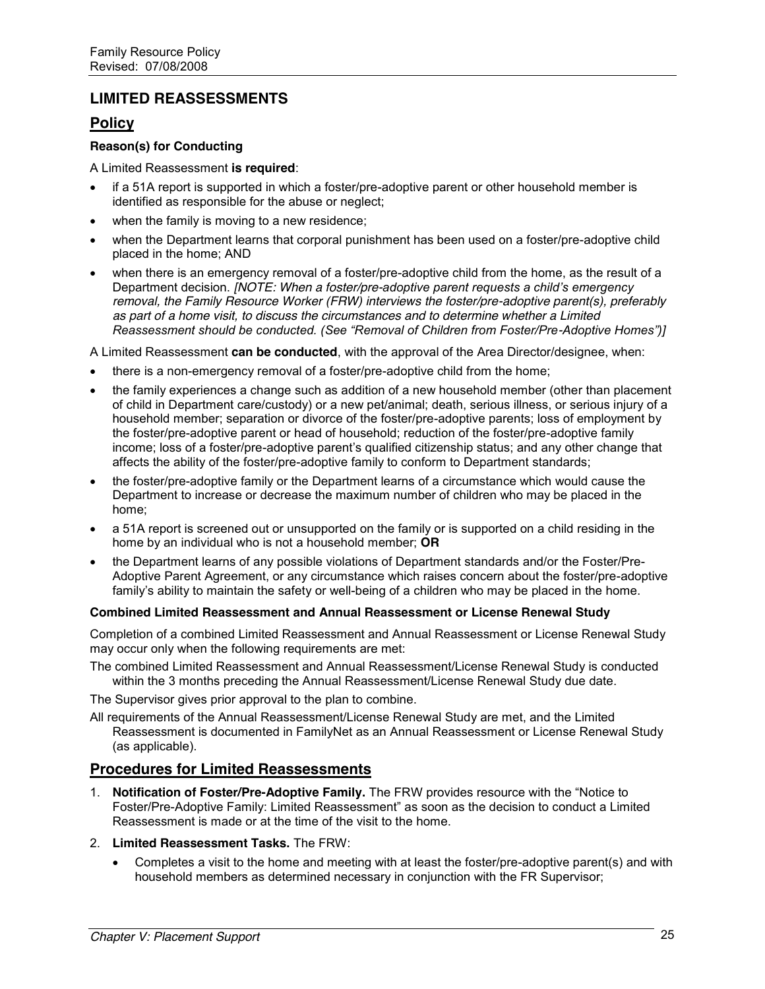# **LIMITED REASSESSMENTS**

### **Policy**

#### **Reason(s) for Conducting**

#### A Limited Reassessment **is required**:

- if a 51A report is supported in which a foster/pre-adoptive parent or other household member is identified as responsible for the abuse or neglect;
- when the family is moving to a new residence;
- when the Department learns that corporal punishment has been used on a foster/pre-adoptive child placed in the home; AND
- x when there is an emergency removal of a foster/pre-adoptive child from the home, as the result of a Department decision. *[NOTE: When a foster/pre-adoptive parent requests a child's emergency removal, the Family Resource Worker (FRW) interviews the foster/pre-adoptive parent(s), preferably as part of a home visit, to discuss the circumstances and to determine whether a Limited Reassessment should be conducted. (See "Removal of Children from Foster/Pre-Adoptive Homes")]*

A Limited Reassessment **can be conducted**, with the approval of the Area Director/designee, when:

- there is a non-emergency removal of a foster/pre-adoptive child from the home;
- the family experiences a change such as addition of a new household member (other than placement of child in Department care/custody) or a new pet/animal; death, serious illness, or serious injury of a household member; separation or divorce of the foster/pre-adoptive parents; loss of employment by the foster/pre-adoptive parent or head of household; reduction of the foster/pre-adoptive family income; loss of a foster/pre-adoptive parent's qualified citizenship status; and any other change that affects the ability of the foster/pre-adoptive family to conform to Department standards;
- the foster/pre-adoptive family or the Department learns of a circumstance which would cause the Department to increase or decrease the maximum number of children who may be placed in the home;
- a 51A report is screened out or unsupported on the family or is supported on a child residing in the home by an individual who is not a household member; **OR**
- the Department learns of any possible violations of Department standards and/or the Foster/Pre-Adoptive Parent Agreement, or any circumstance which raises concern about the foster/pre-adoptive family's ability to maintain the safety or well-being of a children who may be placed in the home.

#### **Combined Limited Reassessment and Annual Reassessment or License Renewal Study**

Completion of a combined Limited Reassessment and Annual Reassessment or License Renewal Study may occur only when the following requirements are met:

The combined Limited Reassessment and Annual Reassessment/License Renewal Study is conducted within the 3 months preceding the Annual Reassessment/License Renewal Study due date.

The Supervisor gives prior approval to the plan to combine.

All requirements of the Annual Reassessment/License Renewal Study are met, and the Limited Reassessment is documented in FamilyNet as an Annual Reassessment or License Renewal Study (as applicable).

### **Procedures for Limited Reassessments**

- 1. **Notification of Foster/Pre-Adoptive Family.** The FRW provides resource with the "Notice to Foster/Pre-Adoptive Family: Limited Reassessment" as soon as the decision to conduct a Limited Reassessment is made or at the time of the visit to the home.
- 2. **Limited Reassessment Tasks.** The FRW:
	- Completes a visit to the home and meeting with at least the foster/pre-adoptive parent(s) and with household members as determined necessary in conjunction with the FR Supervisor;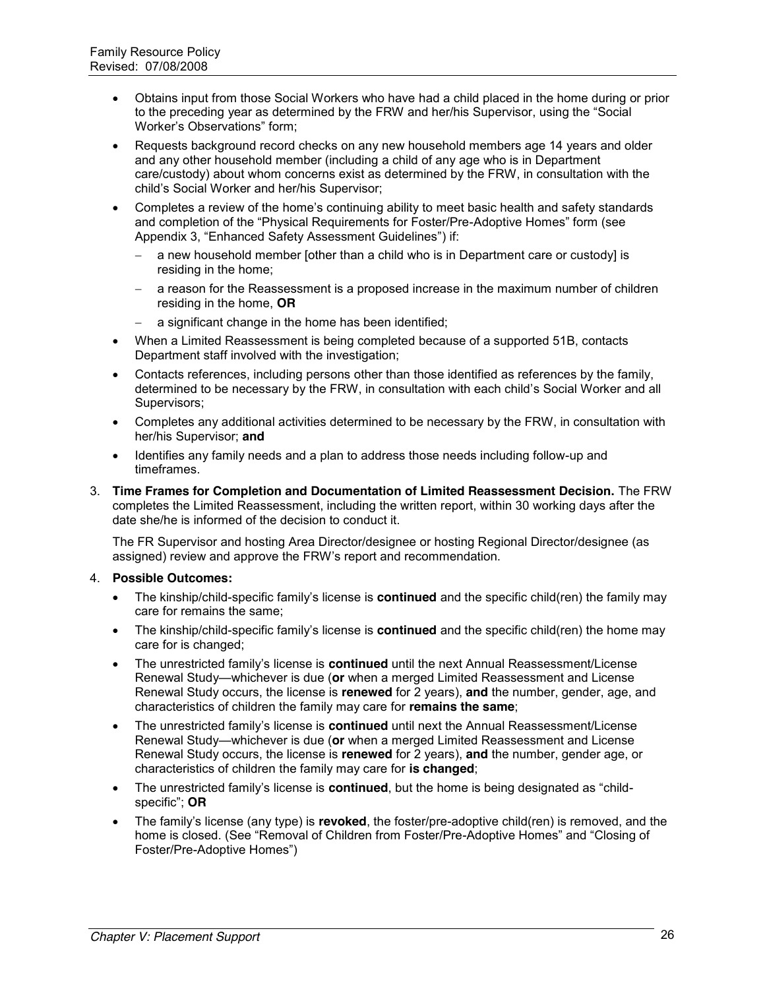- Obtains input from those Social Workers who have had a child placed in the home during or prior to the preceding year as determined by the FRW and her/his Supervisor, using the "Social Worker's Observations" form:
- Requests background record checks on any new household members age 14 years and older and any other household member (including a child of any age who is in Department care/custody) about whom concerns exist as determined by the FRW, in consultation with the child's Social Worker and her/his Supervisor;
- Completes a review of the home's continuing ability to meet basic health and safety standards and completion of the "Physical Requirements for Foster/Pre-Adoptive Homes" form (see Appendix 3, "Enhanced Safety Assessment Guidelines") if:
	- $-$  a new household member [other than a child who is in Department care or custody] is residing in the home;
	- a reason for the Reassessment is a proposed increase in the maximum number of children residing in the home, **OR**
	- a significant change in the home has been identified;
- When a Limited Reassessment is being completed because of a supported 51B, contacts Department staff involved with the investigation;
- $\bullet$  Contacts references, including persons other than those identified as references by the family, determined to be necessary by the FRW, in consultation with each child's Social Worker and all Supervisors;
- Completes any additional activities determined to be necessary by the FRW, in consultation with her/his Supervisor; **and**
- Identifies any family needs and a plan to address those needs including follow-up and timeframes.
- 3. **Time Frames for Completion and Documentation of Limited Reassessment Decision.** The FRW completes the Limited Reassessment, including the written report, within 30 working days after the date she/he is informed of the decision to conduct it.

The FR Supervisor and hosting Area Director/designee or hosting Regional Director/designee (as assigned) review and approve the FRW's report and recommendation.

#### 4. **Possible Outcomes:**

- x The kinship/child-specific family's license is **continued** and the specific child(ren) the family may care for remains the same;
- The kinship/child-specific family's license is **continued** and the specific child(ren) the home may care for is changed;
- The unrestricted family's license is **continued** until the next Annual Reassessment/License Renewal Study—whichever is due (**or** when a merged Limited Reassessment and License Renewal Study occurs, the license is **renewed** for 2 years), **and** the number, gender, age, and characteristics of children the family may care for **remains the same**;
- x The unrestricted family's license is **continued** until next the Annual Reassessment/License Renewal Study—whichever is due (**or** when a merged Limited Reassessment and License Renewal Study occurs, the license is **renewed** for 2 years), **and** the number, gender age, or characteristics of children the family may care for **is changed**;
- The unrestricted family's license is **continued**, but the home is being designated as "childspecific"; OR
- x The family's license (any type) is **revoked**, the foster/pre-adoptive child(ren) is removed, and the home is closed. (See "Removal of Children from Foster/Pre-Adoptive Homes" and "Closing of Foster/Pre-Adoptive Homes")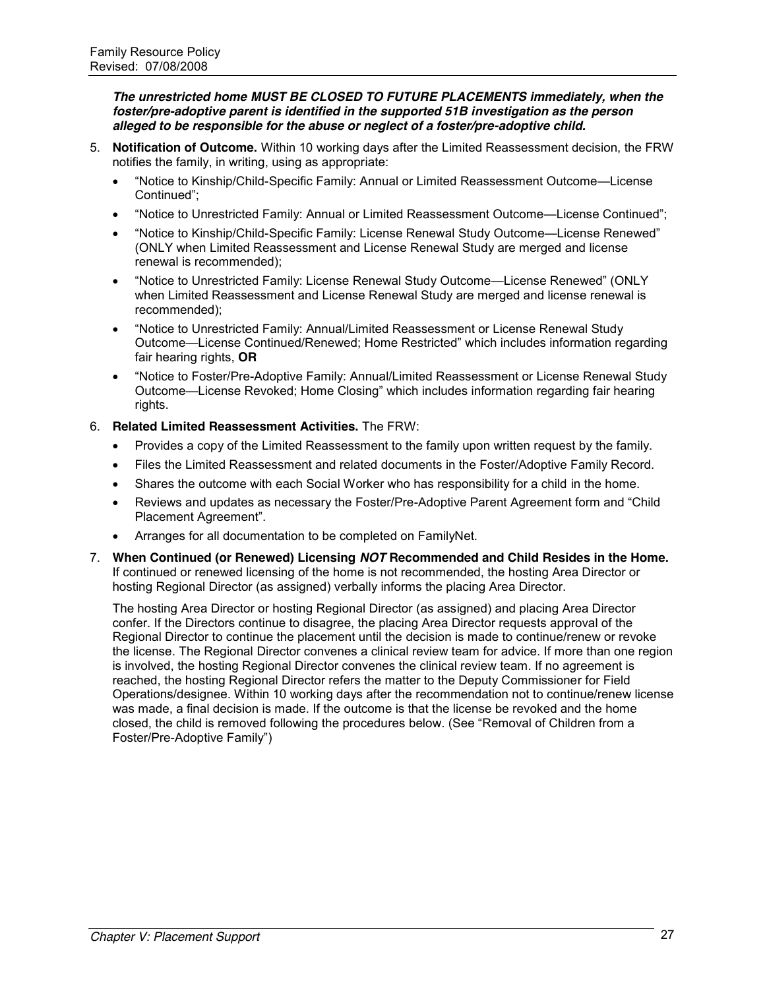*The unrestricted home MUST BE CLOSED TO FUTURE PLACEMENTS immediately, when the foster/pre-adoptive parent is identified in the supported 51B investigation as the person alleged to be responsible for the abuse or neglect of a foster/pre-adoptive child.*

- 5. **Notification of Outcome.** Within 10 working days after the Limited Reassessment decision, the FRW notifies the family, in writing, using as appropriate:
	- "Notice to Kinship/Child-Specific Family: Annual or Limited Reassessment Outcome—License Continued":
	- "Notice to Unrestricted Family: Annual or Limited Reassessment Outcome—License Continued";
	- "Notice to Kinship/Child-Specific Family: License Renewal Study Outcome—License Renewed" (ONLY when Limited Reassessment and License Renewal Study are merged and license renewal is recommended);
	- "Notice to Unrestricted Family: License Renewal Study Outcome—License Renewed" (ONLY when Limited Reassessment and License Renewal Study are merged and license renewal is recommended);
	- "Notice to Unrestricted Family: Annual/Limited Reassessment or License Renewal Study Outcome—License Continued/Renewed; Home Restricted‖ which includes information regarding fair hearing rights, **OR**
	- "Notice to Foster/Pre-Adoptive Family: Annual/Limited Reassessment or License Renewal Study Outcome—License Revoked; Home Closing" which includes information regarding fair hearing rights.
- 6. **Related Limited Reassessment Activities.** The FRW:
	- Provides a copy of the Limited Reassessment to the family upon written request by the family.
	- Files the Limited Reassessment and related documents in the Foster/Adoptive Family Record.
	- Shares the outcome with each Social Worker who has responsibility for a child in the home.
	- Reviews and updates as necessary the Foster/Pre-Adoptive Parent Agreement form and "Child" Placement Agreement".
	- Arranges for all documentation to be completed on FamilyNet.
- 7. **When Continued (or Renewed) Licensing** *NOT* **Recommended and Child Resides in the Home.**  If continued or renewed licensing of the home is not recommended, the hosting Area Director or hosting Regional Director (as assigned) verbally informs the placing Area Director.

The hosting Area Director or hosting Regional Director (as assigned) and placing Area Director confer. If the Directors continue to disagree, the placing Area Director requests approval of the Regional Director to continue the placement until the decision is made to continue/renew or revoke the license. The Regional Director convenes a clinical review team for advice. If more than one region is involved, the hosting Regional Director convenes the clinical review team. If no agreement is reached, the hosting Regional Director refers the matter to the Deputy Commissioner for Field Operations/designee. Within 10 working days after the recommendation not to continue/renew license was made, a final decision is made. If the outcome is that the license be revoked and the home closed, the child is removed following the procedures below. (See "Removal of Children from a Foster/Pre-Adoptive Family")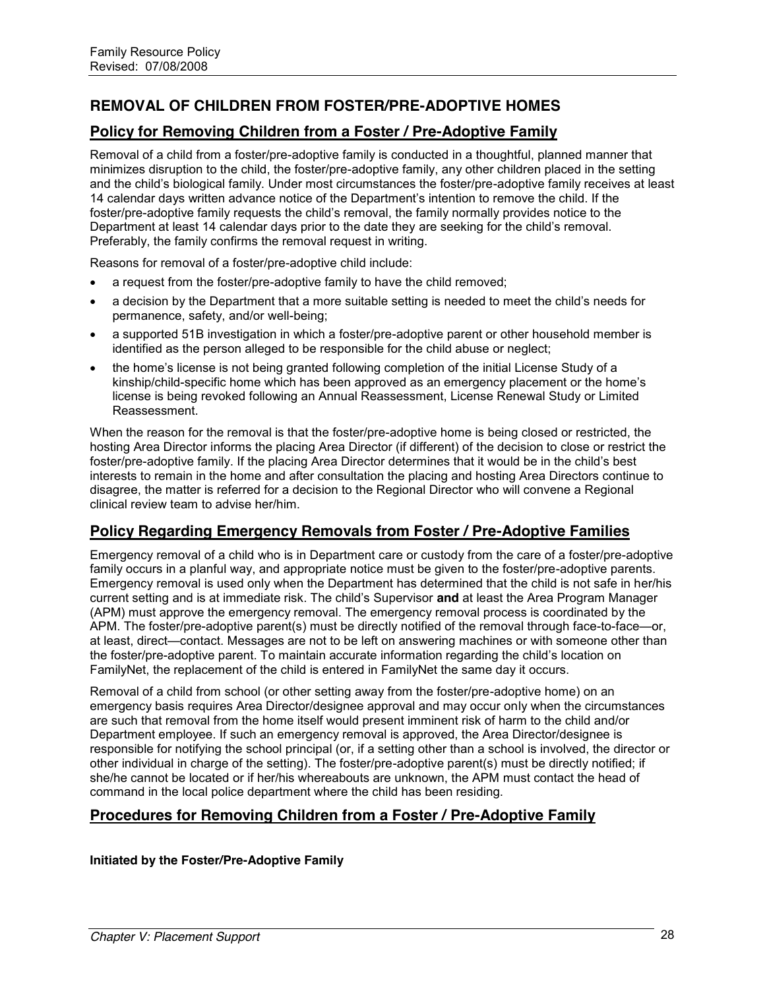# **REMOVAL OF CHILDREN FROM FOSTER/PRE-ADOPTIVE HOMES**

# **Policy for Removing Children from a Foster / Pre-Adoptive Family**

Removal of a child from a foster/pre-adoptive family is conducted in a thoughtful, planned manner that minimizes disruption to the child, the foster/pre-adoptive family, any other children placed in the setting and the child's biological family. Under most circumstances the foster/pre-adoptive family receives at least 14 calendar days written advance notice of the Department's intention to remove the child. If the foster/pre-adoptive family requests the child's removal, the family normally provides notice to the Department at least 14 calendar days prior to the date they are seeking for the child's removal. Preferably, the family confirms the removal request in writing.

Reasons for removal of a foster/pre-adoptive child include:

- a request from the foster/pre-adoptive family to have the child removed;
- a decision by the Department that a more suitable setting is needed to meet the child's needs for permanence, safety, and/or well-being;
- a supported 51B investigation in which a foster/pre-adoptive parent or other household member is identified as the person alleged to be responsible for the child abuse or neglect;
- x the home's license is not being granted following completion of the initial License Study of a kinship/child-specific home which has been approved as an emergency placement or the home's license is being revoked following an Annual Reassessment, License Renewal Study or Limited Reassessment.

When the reason for the removal is that the foster/pre-adoptive home is being closed or restricted, the hosting Area Director informs the placing Area Director (if different) of the decision to close or restrict the foster/pre-adoptive family. If the placing Area Director determines that it would be in the child's best interests to remain in the home and after consultation the placing and hosting Area Directors continue to disagree, the matter is referred for a decision to the Regional Director who will convene a Regional clinical review team to advise her/him.

# **Policy Regarding Emergency Removals from Foster / Pre-Adoptive Families**

Emergency removal of a child who is in Department care or custody from the care of a foster/pre-adoptive family occurs in a planful way, and appropriate notice must be given to the foster/pre-adoptive parents. Emergency removal is used only when the Department has determined that the child is not safe in her/his current setting and is at immediate risk. The child's Supervisor **and** at least the Area Program Manager (APM) must approve the emergency removal. The emergency removal process is coordinated by the APM. The foster/pre-adoptive parent(s) must be directly notified of the removal through face-to-face—or, at least, direct—contact. Messages are not to be left on answering machines or with someone other than the foster/pre-adoptive parent. To maintain accurate information regarding the child's location on FamilyNet, the replacement of the child is entered in FamilyNet the same day it occurs.

Removal of a child from school (or other setting away from the foster/pre-adoptive home) on an emergency basis requires Area Director/designee approval and may occur only when the circumstances are such that removal from the home itself would present imminent risk of harm to the child and/or Department employee. If such an emergency removal is approved, the Area Director/designee is responsible for notifying the school principal (or, if a setting other than a school is involved, the director or other individual in charge of the setting). The foster/pre-adoptive parent(s) must be directly notified; if she/he cannot be located or if her/his whereabouts are unknown, the APM must contact the head of command in the local police department where the child has been residing.

# **Procedures for Removing Children from a Foster / Pre-Adoptive Family**

**Initiated by the Foster/Pre-Adoptive Family**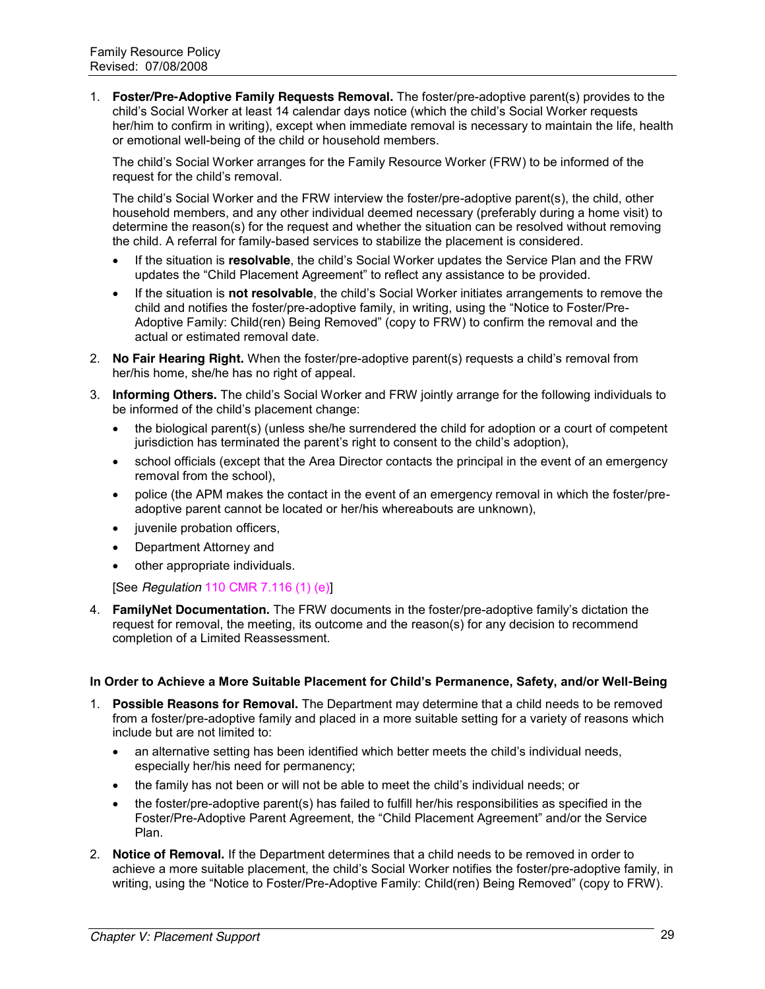1. **Foster/Pre-Adoptive Family Requests Removal.** The foster/pre-adoptive parent(s) provides to the child's Social Worker at least 14 calendar days notice (which the child's Social Worker requests her/him to confirm in writing), except when immediate removal is necessary to maintain the life, health or emotional well-being of the child or household members.

The child's Social Worker arranges for the Family Resource Worker (FRW) to be informed of the request for the child's removal.

The child's Social Worker and the FRW interview the foster/pre-adoptive parent(s), the child, other household members, and any other individual deemed necessary (preferably during a home visit) to determine the reason(s) for the request and whether the situation can be resolved without removing the child. A referral for family-based services to stabilize the placement is considered.

- If the situation is **resolvable**, the child's Social Worker updates the Service Plan and the FRW updates the "Child Placement Agreement" to reflect any assistance to be provided.
- If the situation is **not resolvable**, the child's Social Worker initiates arrangements to remove the child and notifies the foster/pre-adoptive family, in writing, using the "Notice to Foster/Pre-Adoptive Family: Child(ren) Being Removed" (copy to FRW) to confirm the removal and the actual or estimated removal date.
- 2. **No Fair Hearing Right.** When the foster/pre-adoptive parent(s) requests a child's removal from her/his home, she/he has no right of appeal.
- 3. **Informing Others.** The child's Social Worker and FRW jointly arrange for the following individuals to be informed of the child's placement change:
	- the biological parent(s) (unless she/he surrendered the child for adoption or a court of competent jurisdiction has terminated the parent's right to consent to the child's adoption),
	- school officials (except that the Area Director contacts the principal in the event of an emergency removal from the school),
	- police (the APM makes the contact in the event of an emergency removal in which the foster/preadoptive parent cannot be located or her/his whereabouts are unknown),
	- juvenile probation officers,
	- Department Attorney and
	- other appropriate individuals.

[See *Regulation* 110 CMR 7.116 (1) (e)]

4. **FamilyNet Documentation.** The FRW documents in the foster/pre-adoptive family's dictation the request for removal, the meeting, its outcome and the reason(s) for any decision to recommend completion of a Limited Reassessment.

#### **In Order to Achieve a More Suitable Placement for Child's Permanence, Safety, and/or Well-Being**

- 1. **Possible Reasons for Removal.** The Department may determine that a child needs to be removed from a foster/pre-adoptive family and placed in a more suitable setting for a variety of reasons which include but are not limited to:
	- $\bullet$  an alternative setting has been identified which better meets the child's individual needs, especially her/his need for permanency;
	- the family has not been or will not be able to meet the child's individual needs; or
	- the foster/pre-adoptive parent(s) has failed to fulfill her/his responsibilities as specified in the Foster/Pre-Adoptive Parent Agreement, the "Child Placement Agreement" and/or the Service Plan.
- 2. **Notice of Removal.** If the Department determines that a child needs to be removed in order to achieve a more suitable placement, the child's Social Worker notifies the foster/pre-adoptive family, in writing, using the "Notice to Foster/Pre-Adoptive Family: Child(ren) Being Removed" (copy to FRW).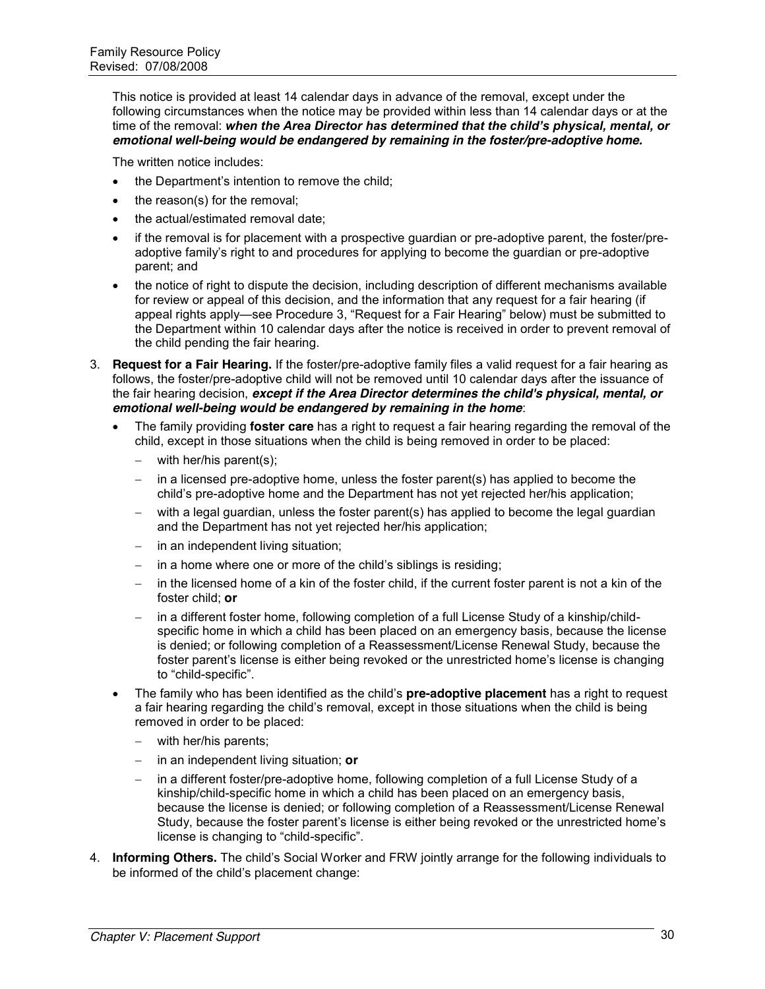This notice is provided at least 14 calendar days in advance of the removal, except under the following circumstances when the notice may be provided within less than 14 calendar days or at the time of the removal: *when the Area Director has determined that the child's physical, mental, or emotional well-being would be endangered by remaining in the foster/pre-adoptive home.*

The written notice includes:

- the Department's intention to remove the child:
- the reason(s) for the removal;
- the actual/estimated removal date:
- if the removal is for placement with a prospective guardian or pre-adoptive parent, the foster/preadoptive family's right to and procedures for applying to become the guardian or pre-adoptive parent; and
- the notice of right to dispute the decision, including description of different mechanisms available for review or appeal of this decision, and the information that any request for a fair hearing (if appeal rights apply—see Procedure 3, "Request for a Fair Hearing" below) must be submitted to the Department within 10 calendar days after the notice is received in order to prevent removal of the child pending the fair hearing.
- 3. **Request for a Fair Hearing.** If the foster/pre-adoptive family files a valid request for a fair hearing as follows, the foster/pre-adoptive child will not be removed until 10 calendar days after the issuance of the fair hearing decision, *except if the Area Director determines the child's physical, mental, or emotional well-being would be endangered by remaining in the home*:
	- The family providing **foster care** has a right to request a fair hearing regarding the removal of the child, except in those situations when the child is being removed in order to be placed:
		- $-$  with her/his parent(s);
		- $-$  in a licensed pre-adoptive home, unless the foster parent(s) has applied to become the child's pre-adoptive home and the Department has not yet rejected her/his application;
		- with a legal guardian, unless the foster parent(s) has applied to become the legal guardian and the Department has not yet rejected her/his application;
		- $-$  in an independent living situation;
		- $-$  in a home where one or more of the child's siblings is residing;
		- in the licensed home of a kin of the foster child, if the current foster parent is not a kin of the foster child; **or**
		- in a different foster home, following completion of a full License Study of a kinship/childspecific home in which a child has been placed on an emergency basis, because the license is denied; or following completion of a Reassessment/License Renewal Study, because the foster parent's license is either being revoked or the unrestricted home's license is changing to "child-specific".
	- x The family who has been identified as the child's **pre-adoptive placement** has a right to request a fair hearing regarding the child's removal, except in those situations when the child is being removed in order to be placed:
		- $-$  with her/his parents;
		- in an independent living situation; **or**
		- in a different foster/pre-adoptive home, following completion of a full License Study of a kinship/child-specific home in which a child has been placed on an emergency basis, because the license is denied; or following completion of a Reassessment/License Renewal Study, because the foster parent's license is either being revoked or the unrestricted home's license is changing to "child-specific".
- 4. **Informing Others.** The child's Social Worker and FRW jointly arrange for the following individuals to be informed of the child's placement change: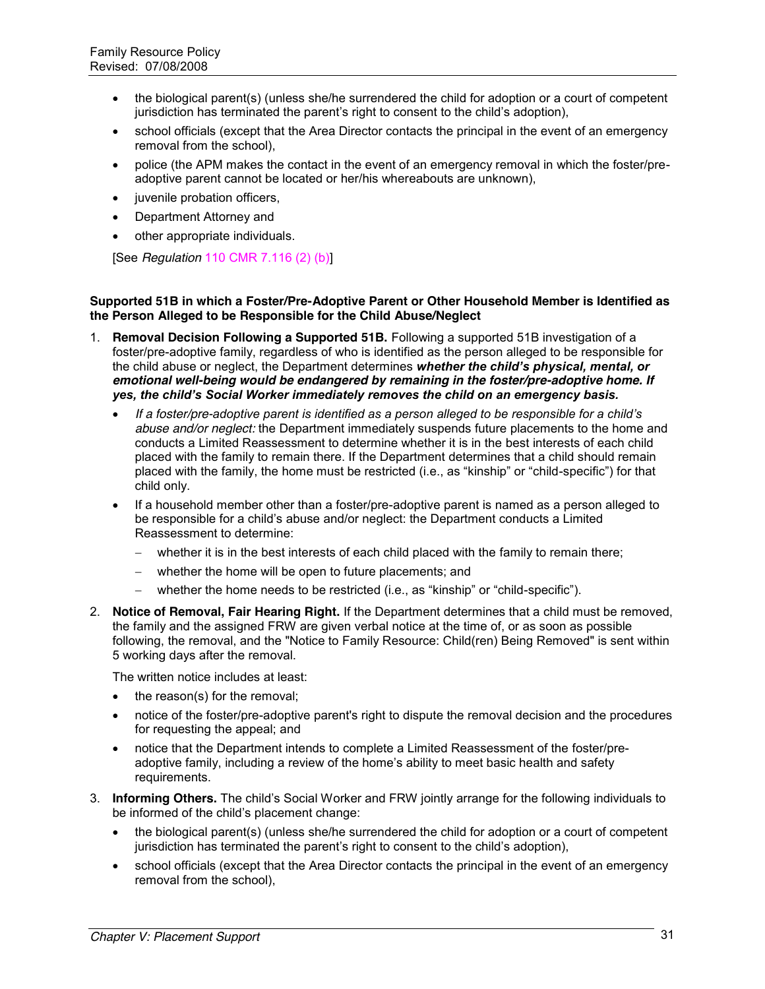- x the biological parent(s) (unless she/he surrendered the child for adoption or a court of competent jurisdiction has terminated the parent's right to consent to the child's adoption),
- school officials (except that the Area Director contacts the principal in the event of an emergency removal from the school),
- police (the APM makes the contact in the event of an emergency removal in which the foster/preadoptive parent cannot be located or her/his whereabouts are unknown),
- juvenile probation officers,
- Department Attorney and
- other appropriate individuals.

[See *Regulation* 110 CMR 7.116 (2) (b)]

#### **Supported 51B in which a Foster/Pre-Adoptive Parent or Other Household Member is Identified as the Person Alleged to be Responsible for the Child Abuse/Neglect**

- 1. **Removal Decision Following a Supported 51B.** Following a supported 51B investigation of a foster/pre-adoptive family, regardless of who is identified as the person alleged to be responsible for the child abuse or neglect, the Department determines *whether the child's physical, mental, or emotional well-being would be endangered by remaining in the foster/pre-adoptive home. If yes, the child's Social Worker immediately removes the child on an emergency basis.*
	- x *If a foster/pre-adoptive parent is identified as a person alleged to be responsible for a child's abuse and/or neglect:* the Department immediately suspends future placements to the home and conducts a Limited Reassessment to determine whether it is in the best interests of each child placed with the family to remain there. If the Department determines that a child should remain placed with the family, the home must be restricted (i.e., as "kinship" or "child-specific") for that child only.
	- If a household member other than a foster/pre-adoptive parent is named as a person alleged to be responsible for a child's abuse and/or neglect: the Department conducts a Limited Reassessment to determine:
		- $-$  whether it is in the best interests of each child placed with the family to remain there;
		- whether the home will be open to future placements; and
		- $-$  whether the home needs to be restricted (i.e., as "kinship" or "child-specific").
- 2. **Notice of Removal, Fair Hearing Right.** If the Department determines that a child must be removed, the family and the assigned FRW are given verbal notice at the time of, or as soon as possible following, the removal, and the "Notice to Family Resource: Child(ren) Being Removed" is sent within 5 working days after the removal.

The written notice includes at least:

- $\bullet$  the reason(s) for the removal:
- notice of the foster/pre-adoptive parent's right to dispute the removal decision and the procedures for requesting the appeal; and
- notice that the Department intends to complete a Limited Reassessment of the foster/preadoptive family, including a review of the home's ability to meet basic health and safety requirements.
- 3. **Informing Others.** The child's Social Worker and FRW jointly arrange for the following individuals to be informed of the child's placement change:
	- the biological parent(s) (unless she/he surrendered the child for adoption or a court of competent jurisdiction has terminated the parent's right to consent to the child's adoption),
	- school officials (except that the Area Director contacts the principal in the event of an emergency removal from the school),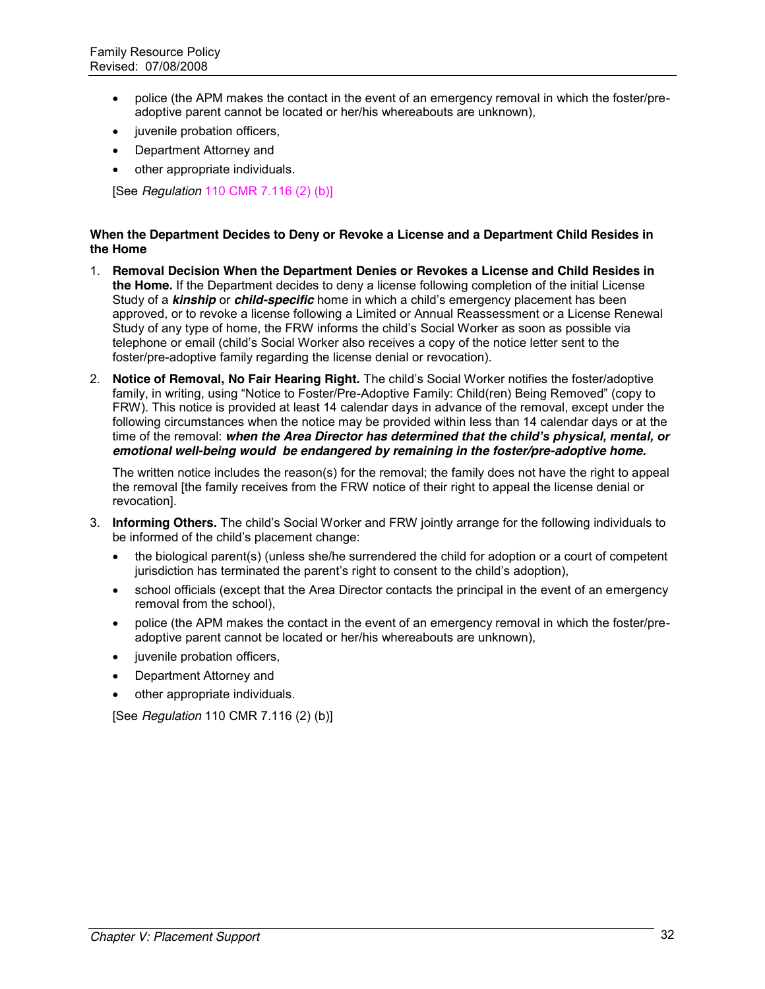- police (the APM makes the contact in the event of an emergency removal in which the foster/preadoptive parent cannot be located or her/his whereabouts are unknown),
- juvenile probation officers,
- Department Attorney and
- other appropriate individuals.

[See *Regulation* 110 CMR 7.116 (2) (b)]

#### **When the Department Decides to Deny or Revoke a License and a Department Child Resides in the Home**

- 1. **Removal Decision When the Department Denies or Revokes a License and Child Resides in the Home.** If the Department decides to deny a license following completion of the initial License Study of a *kinship* or *child-specific* home in which a child's emergency placement has been approved, or to revoke a license following a Limited or Annual Reassessment or a License Renewal Study of any type of home, the FRW informs the child's Social Worker as soon as possible via telephone or email (child's Social Worker also receives a copy of the notice letter sent to the foster/pre-adoptive family regarding the license denial or revocation).
- 2. **Notice of Removal, No Fair Hearing Right.** The child's Social Worker notifies the foster/adoptive family, in writing, using "Notice to Foster/Pre-Adoptive Family: Child(ren) Being Removed" (copy to FRW). This notice is provided at least 14 calendar days in advance of the removal, except under the following circumstances when the notice may be provided within less than 14 calendar days or at the time of the removal: *when the Area Director has determined that the child's physical, mental, or emotional well-being would be endangered by remaining in the foster/pre-adoptive home.*

The written notice includes the reason(s) for the removal; the family does not have the right to appeal the removal [the family receives from the FRW notice of their right to appeal the license denial or revocation].

- 3. **Informing Others.** The child's Social Worker and FRW jointly arrange for the following individuals to be informed of the child's placement change:
	- the biological parent(s) (unless she/he surrendered the child for adoption or a court of competent jurisdiction has terminated the parent's right to consent to the child's adoption),
	- school officials (except that the Area Director contacts the principal in the event of an emergency removal from the school),
	- police (the APM makes the contact in the event of an emergency removal in which the foster/preadoptive parent cannot be located or her/his whereabouts are unknown),
	- juvenile probation officers,
	- Department Attorney and
	- other appropriate individuals.

[See *Regulation* 110 CMR 7.116 (2) (b)]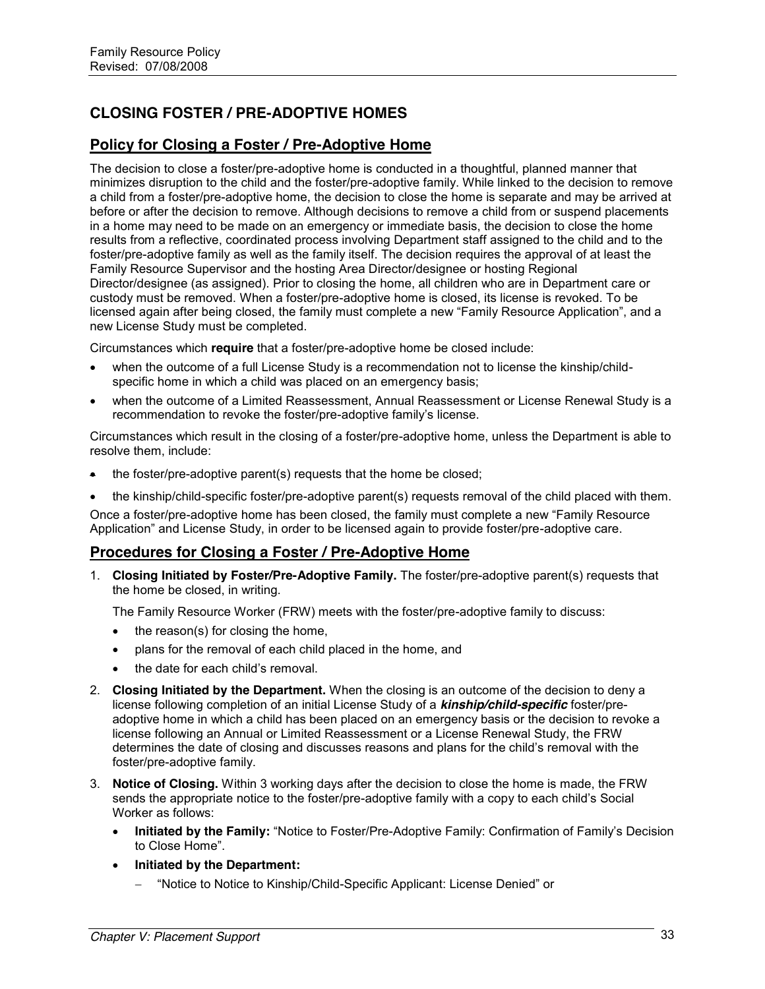# **CLOSING FOSTER / PRE-ADOPTIVE HOMES**

# **Policy for Closing a Foster / Pre-Adoptive Home**

The decision to close a foster/pre-adoptive home is conducted in a thoughtful, planned manner that minimizes disruption to the child and the foster/pre-adoptive family. While linked to the decision to remove a child from a foster/pre-adoptive home, the decision to close the home is separate and may be arrived at before or after the decision to remove. Although decisions to remove a child from or suspend placements in a home may need to be made on an emergency or immediate basis, the decision to close the home results from a reflective, coordinated process involving Department staff assigned to the child and to the foster/pre-adoptive family as well as the family itself. The decision requires the approval of at least the Family Resource Supervisor and the hosting Area Director/designee or hosting Regional Director/designee (as assigned). Prior to closing the home, all children who are in Department care or custody must be removed. When a foster/pre-adoptive home is closed, its license is revoked. To be licensed again after being closed, the family must complete a new "Family Resource Application", and a new License Study must be completed.

Circumstances which **require** that a foster/pre-adoptive home be closed include:

- when the outcome of a full License Study is a recommendation not to license the kinship/childspecific home in which a child was placed on an emergency basis;
- x when the outcome of a Limited Reassessment, Annual Reassessment or License Renewal Study is a recommendation to revoke the foster/pre-adoptive family's license.

Circumstances which result in the closing of a foster/pre-adoptive home, unless the Department is able to resolve them, include:

- the foster/pre-adoptive parent(s) requests that the home be closed;
- the kinship/child-specific foster/pre-adoptive parent(s) requests removal of the child placed with them.

Once a foster/pre-adoptive home has been closed, the family must complete a new "Family Resource" Application" and License Study, in order to be licensed again to provide foster/pre-adoptive care.

# **Procedures for Closing a Foster / Pre-Adoptive Home**

1. **Closing Initiated by Foster/Pre-Adoptive Family.** The foster/pre-adoptive parent(s) requests that the home be closed, in writing.

The Family Resource Worker (FRW) meets with the foster/pre-adoptive family to discuss:

- $\bullet$  the reason(s) for closing the home,
- plans for the removal of each child placed in the home, and
- the date for each child's removal.
- 2. **Closing Initiated by the Department.** When the closing is an outcome of the decision to deny a license following completion of an initial License Study of a *kinship/child-specific* foster/preadoptive home in which a child has been placed on an emergency basis or the decision to revoke a license following an Annual or Limited Reassessment or a License Renewal Study, the FRW determines the date of closing and discusses reasons and plans for the child's removal with the foster/pre-adoptive family.
- 3. **Notice of Closing.** Within 3 working days after the decision to close the home is made, the FRW sends the appropriate notice to the foster/pre-adoptive family with a copy to each child's Social Worker as follows:
	- **Initiated by the Family:** "Notice to Foster/Pre-Adoptive Family: Confirmation of Family's Decision to Close Home".
	- x **Initiated by the Department:** 
		- "Notice to Notice to Kinship/Child-Specific Applicant: License Denied" or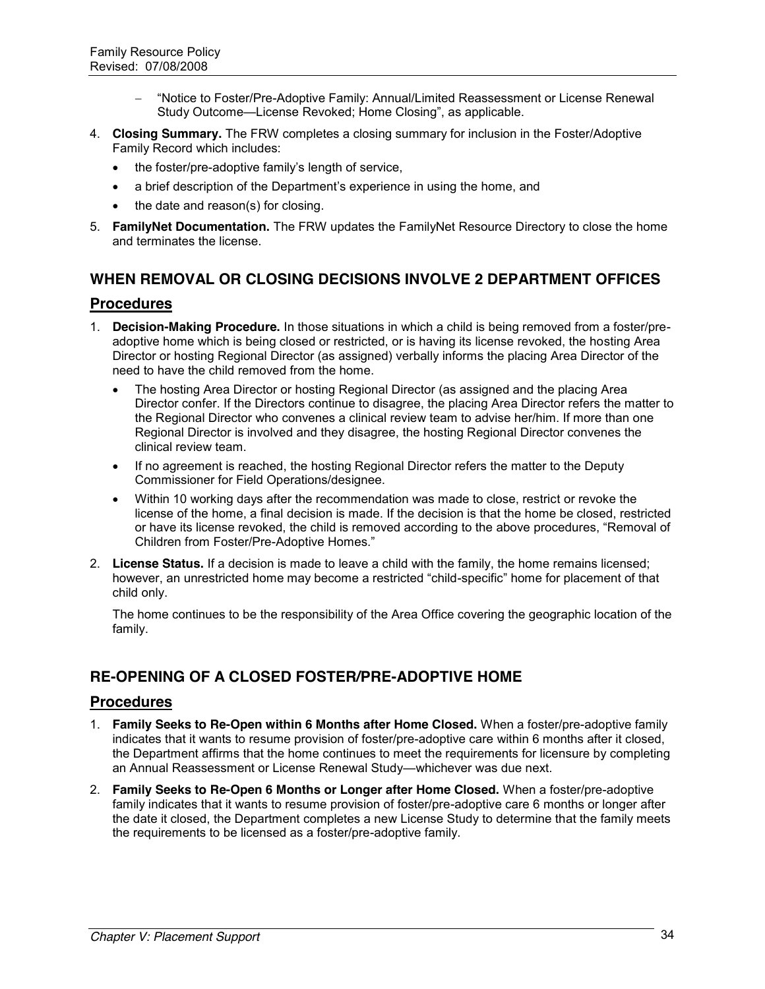- ―Notice to Foster/Pre-Adoptive Family: Annual/Limited Reassessment or License Renewal Study Outcome—License Revoked; Home Closing", as applicable.
- 4. **Closing Summary.** The FRW completes a closing summary for inclusion in the Foster/Adoptive Family Record which includes:
	- $\bullet$  the foster/pre-adoptive family's length of service,
	- a brief description of the Department's experience in using the home, and
	- the date and reason(s) for closing.
- 5. **FamilyNet Documentation.** The FRW updates the FamilyNet Resource Directory to close the home and terminates the license.

# **WHEN REMOVAL OR CLOSING DECISIONS INVOLVE 2 DEPARTMENT OFFICES**

# **Procedures**

- 1. **Decision-Making Procedure.** In those situations in which a child is being removed from a foster/preadoptive home which is being closed or restricted, or is having its license revoked, the hosting Area Director or hosting Regional Director (as assigned) verbally informs the placing Area Director of the need to have the child removed from the home.
	- The hosting Area Director or hosting Regional Director (as assigned and the placing Area Director confer. If the Directors continue to disagree, the placing Area Director refers the matter to the Regional Director who convenes a clinical review team to advise her/him. If more than one Regional Director is involved and they disagree, the hosting Regional Director convenes the clinical review team.
	- If no agreement is reached, the hosting Regional Director refers the matter to the Deputy Commissioner for Field Operations/designee.
	- Within 10 working days after the recommendation was made to close, restrict or revoke the license of the home, a final decision is made. If the decision is that the home be closed, restricted or have its license revoked, the child is removed according to the above procedures, "Removal of Children from Foster/Pre-Adoptive Homes."
- 2. **License Status.** If a decision is made to leave a child with the family, the home remains licensed; however, an unrestricted home may become a restricted "child-specific" home for placement of that child only.

The home continues to be the responsibility of the Area Office covering the geographic location of the family.

# **RE-OPENING OF A CLOSED FOSTER/PRE-ADOPTIVE HOME**

### **Procedures**

- 1. **Family Seeks to Re-Open within 6 Months after Home Closed.** When a foster/pre-adoptive family indicates that it wants to resume provision of foster/pre-adoptive care within 6 months after it closed, the Department affirms that the home continues to meet the requirements for licensure by completing an Annual Reassessment or License Renewal Study—whichever was due next.
- 2. **Family Seeks to Re-Open 6 Months or Longer after Home Closed.** When a foster/pre-adoptive family indicates that it wants to resume provision of foster/pre-adoptive care 6 months or longer after the date it closed, the Department completes a new License Study to determine that the family meets the requirements to be licensed as a foster/pre-adoptive family.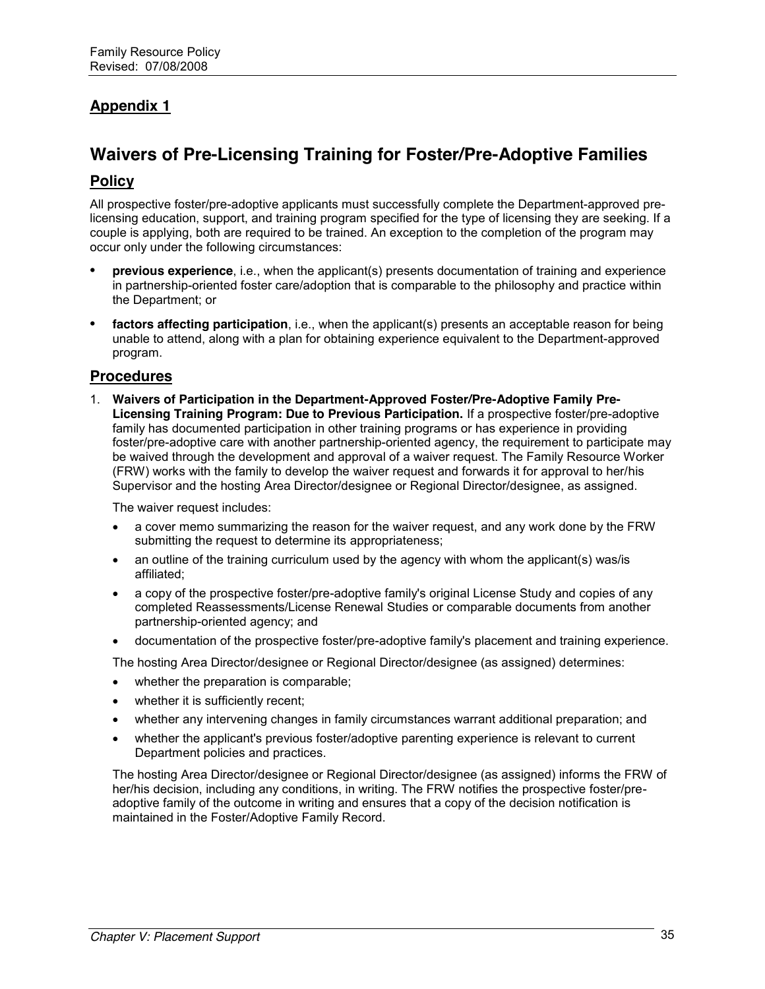# **Appendix 1**

# **Waivers of Pre-Licensing Training for Foster/Pre-Adoptive Families**

### **Policy**

All prospective foster/pre-adoptive applicants must successfully complete the Department-approved prelicensing education, support, and training program specified for the type of licensing they are seeking. If a couple is applying, both are required to be trained. An exception to the completion of the program may occur only under the following circumstances:

- **• previous experience**, i.e., when the applicant(s) presents documentation of training and experience in partnership-oriented foster care/adoption that is comparable to the philosophy and practice within the Department; or
- **• factors affecting participation**, i.e., when the applicant(s) presents an acceptable reason for being unable to attend, along with a plan for obtaining experience equivalent to the Department-approved program.

### **Procedures**

1. **Waivers of Participation in the Department-Approved Foster/Pre-Adoptive Family Pre-Licensing Training Program: Due to Previous Participation.** If a prospective foster/pre-adoptive family has documented participation in other training programs or has experience in providing foster/pre-adoptive care with another partnership-oriented agency, the requirement to participate may be waived through the development and approval of a waiver request. The Family Resource Worker (FRW) works with the family to develop the waiver request and forwards it for approval to her/his Supervisor and the hosting Area Director/designee or Regional Director/designee, as assigned.

The waiver request includes:

- a cover memo summarizing the reason for the waiver request, and any work done by the FRW submitting the request to determine its appropriateness;
- an outline of the training curriculum used by the agency with whom the applicant(s) was/is affiliated;
- a copy of the prospective foster/pre-adoptive family's original License Study and copies of any completed Reassessments/License Renewal Studies or comparable documents from another partnership-oriented agency; and
- documentation of the prospective foster/pre-adoptive family's placement and training experience.

The hosting Area Director/designee or Regional Director/designee (as assigned) determines:

- whether the preparation is comparable;
- whether it is sufficiently recent;
- whether any intervening changes in family circumstances warrant additional preparation; and
- whether the applicant's previous foster/adoptive parenting experience is relevant to current Department policies and practices.

The hosting Area Director/designee or Regional Director/designee (as assigned) informs the FRW of her/his decision, including any conditions, in writing. The FRW notifies the prospective foster/preadoptive family of the outcome in writing and ensures that a copy of the decision notification is maintained in the Foster/Adoptive Family Record.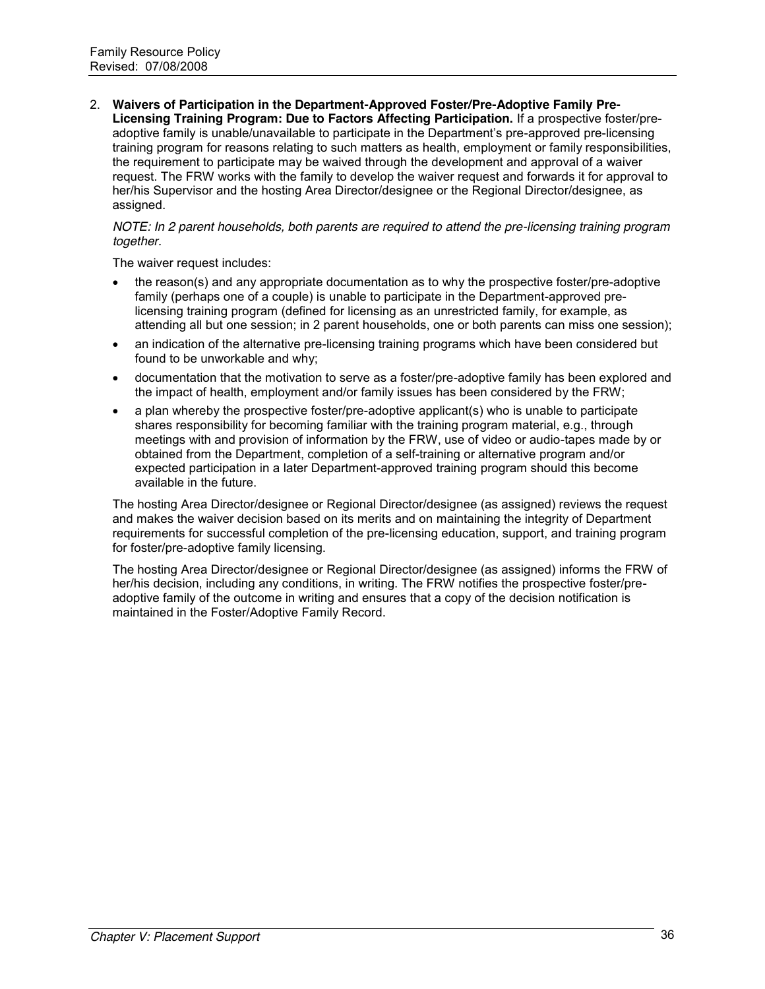2. **Waivers of Participation in the Department-Approved Foster/Pre-Adoptive Family Pre-Licensing Training Program: Due to Factors Affecting Participation.** If a prospective foster/preadoptive family is unable/unavailable to participate in the Department's pre-approved pre-licensing training program for reasons relating to such matters as health, employment or family responsibilities, the requirement to participate may be waived through the development and approval of a waiver request. The FRW works with the family to develop the waiver request and forwards it for approval to her/his Supervisor and the hosting Area Director/designee or the Regional Director/designee, as assigned.

#### *NOTE: In 2 parent households, both parents are required to attend the pre-licensing training program together.*

The waiver request includes:

- the reason(s) and any appropriate documentation as to why the prospective foster/pre-adoptive family (perhaps one of a couple) is unable to participate in the Department-approved prelicensing training program (defined for licensing as an unrestricted family, for example, as attending all but one session; in 2 parent households, one or both parents can miss one session);
- an indication of the alternative pre-licensing training programs which have been considered but found to be unworkable and why;
- documentation that the motivation to serve as a foster/pre-adoptive family has been explored and the impact of health, employment and/or family issues has been considered by the FRW;
- a plan whereby the prospective foster/pre-adoptive applicant(s) who is unable to participate shares responsibility for becoming familiar with the training program material, e.g., through meetings with and provision of information by the FRW, use of video or audio-tapes made by or obtained from the Department, completion of a self-training or alternative program and/or expected participation in a later Department-approved training program should this become available in the future.

The hosting Area Director/designee or Regional Director/designee (as assigned) reviews the request and makes the waiver decision based on its merits and on maintaining the integrity of Department requirements for successful completion of the pre-licensing education, support, and training program for foster/pre-adoptive family licensing.

The hosting Area Director/designee or Regional Director/designee (as assigned) informs the FRW of her/his decision, including any conditions, in writing. The FRW notifies the prospective foster/preadoptive family of the outcome in writing and ensures that a copy of the decision notification is maintained in the Foster/Adoptive Family Record.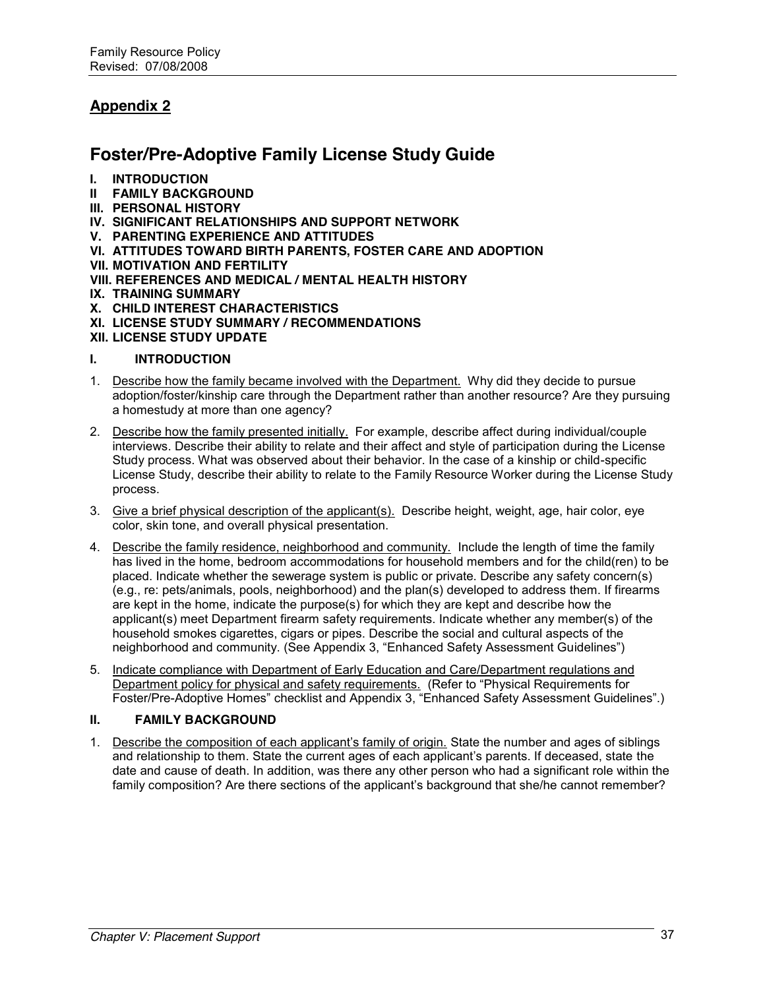# **Appendix 2**

# **Foster/Pre-Adoptive Family License Study Guide**

- **I. INTRODUCTION**
- **II FAMILY BACKGROUND**
- **III. PERSONAL HISTORY**
- **IV. SIGNIFICANT RELATIONSHIPS AND SUPPORT NETWORK**
- **V. PARENTING EXPERIENCE AND ATTITUDES**
- **VI. ATTITUDES TOWARD BIRTH PARENTS, FOSTER CARE AND ADOPTION**
- **VII. MOTIVATION AND FERTILITY**
- **VIII. REFERENCES AND MEDICAL / MENTAL HEALTH HISTORY**
- **IX. TRAINING SUMMARY**
- **X. CHILD INTEREST CHARACTERISTICS**
- **XI. LICENSE STUDY SUMMARY / RECOMMENDATIONS**
- **XII. LICENSE STUDY UPDATE**

#### **I. INTRODUCTION**

- 1. Describe how the family became involved with the Department. Why did they decide to pursue adoption/foster/kinship care through the Department rather than another resource? Are they pursuing a homestudy at more than one agency?
- 2. Describe how the family presented initially. For example, describe affect during individual/couple interviews. Describe their ability to relate and their affect and style of participation during the License Study process. What was observed about their behavior. In the case of a kinship or child-specific License Study, describe their ability to relate to the Family Resource Worker during the License Study process.
- 3. Give a brief physical description of the applicant(s). Describe height, weight, age, hair color, eye color, skin tone, and overall physical presentation.
- 4. Describe the family residence, neighborhood and community. Include the length of time the family has lived in the home, bedroom accommodations for household members and for the child(ren) to be placed. Indicate whether the sewerage system is public or private. Describe any safety concern(s) (e.g., re: pets/animals, pools, neighborhood) and the plan(s) developed to address them. If firearms are kept in the home, indicate the purpose(s) for which they are kept and describe how the applicant(s) meet Department firearm safety requirements. Indicate whether any member(s) of the household smokes cigarettes, cigars or pipes. Describe the social and cultural aspects of the neighborhood and community. (See Appendix 3, "Enhanced Safety Assessment Guidelines")
- 5. Indicate compliance with Department of Early Education and Care/Department regulations and Department policy for physical and safety requirements. (Refer to "Physical Requirements for Foster/Pre-Adoptive Homes" checklist and Appendix 3, "Enhanced Safety Assessment Guidelines".)

#### **II. FAMILY BACKGROUND**

1. Describe the composition of each applicant's family of origin. State the number and ages of siblings and relationship to them. State the current ages of each applicant's parents. If deceased, state the date and cause of death. In addition, was there any other person who had a significant role within the family composition? Are there sections of the applicant's background that she/he cannot remember?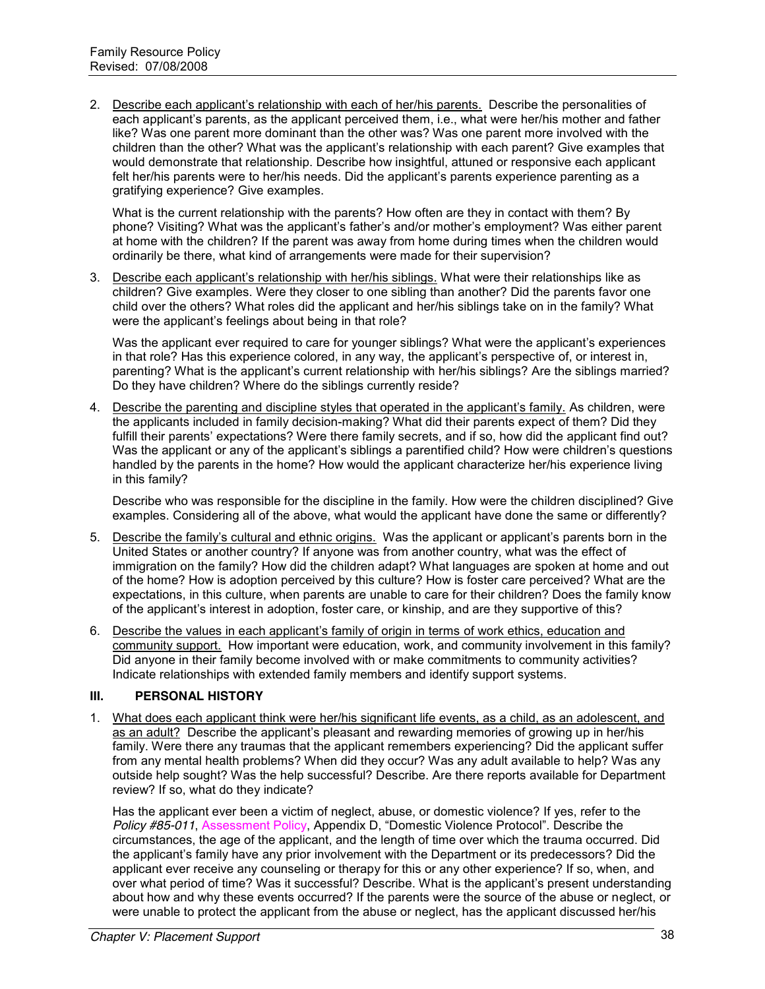2. Describe each applicant's relationship with each of her/his parents. Describe the personalities of each applicant's parents, as the applicant perceived them, i.e., what were her/his mother and father like? Was one parent more dominant than the other was? Was one parent more involved with the children than the other? What was the applicant's relationship with each parent? Give examples that would demonstrate that relationship. Describe how insightful, attuned or responsive each applicant felt her/his parents were to her/his needs. Did the applicant's parents experience parenting as a gratifying experience? Give examples.

What is the current relationship with the parents? How often are they in contact with them? By phone? Visiting? What was the applicant's father's and/or mother's employment? Was either parent at home with the children? If the parent was away from home during times when the children would ordinarily be there, what kind of arrangements were made for their supervision?

3. Describe each applicant's relationship with her/his siblings. What were their relationships like as children? Give examples. Were they closer to one sibling than another? Did the parents favor one child over the others? What roles did the applicant and her/his siblings take on in the family? What were the applicant's feelings about being in that role?

Was the applicant ever required to care for younger siblings? What were the applicant's experiences in that role? Has this experience colored, in any way, the applicant's perspective of, or interest in, parenting? What is the applicant's current relationship with her/his siblings? Are the siblings married? Do they have children? Where do the siblings currently reside?

4. Describe the parenting and discipline styles that operated in the applicant's family. As children, were the applicants included in family decision-making? What did their parents expect of them? Did they fulfill their parents' expectations? Were there family secrets, and if so, how did the applicant find out? Was the applicant or any of the applicant's siblings a parentified child? How were children's questions handled by the parents in the home? How would the applicant characterize her/his experience living in this family?

Describe who was responsible for the discipline in the family. How were the children disciplined? Give examples. Considering all of the above, what would the applicant have done the same or differently?

- 5. Describe the family's cultural and ethnic origins. Was the applicant or applicant's parents born in the United States or another country? If anyone was from another country, what was the effect of immigration on the family? How did the children adapt? What languages are spoken at home and out of the home? How is adoption perceived by this culture? How is foster care perceived? What are the expectations, in this culture, when parents are unable to care for their children? Does the family know of the applicant's interest in adoption, foster care, or kinship, and are they supportive of this?
- 6. Describe the values in each applicant's family of origin in terms of work ethics, education and community support. How important were education, work, and community involvement in this family? Did anyone in their family become involved with or make commitments to community activities? Indicate relationships with extended family members and identify support systems.

#### **III. PERSONAL HISTORY**

1. What does each applicant think were her/his significant life events, as a child, as an adolescent, and as an adult? Describe the applicant's pleasant and rewarding memories of growing up in her/his family. Were there any traumas that the applicant remembers experiencing? Did the applicant suffer from any mental health problems? When did they occur? Was any adult available to help? Was any outside help sought? Was the help successful? Describe. Are there reports available for Department review? If so, what do they indicate?

Has the applicant ever been a victim of neglect, abuse, or domestic violence? If yes, refer to the *Policy #85-011*, Assessment Policy, Appendix D, "Domestic Violence Protocol". Describe the circumstances, the age of the applicant, and the length of time over which the trauma occurred. Did the applicant's family have any prior involvement with the Department or its predecessors? Did the applicant ever receive any counseling or therapy for this or any other experience? If so, when, and over what period of time? Was it successful? Describe. What is the applicant's present understanding about how and why these events occurred? If the parents were the source of the abuse or neglect, or were unable to protect the applicant from the abuse or neglect, has the applicant discussed her/his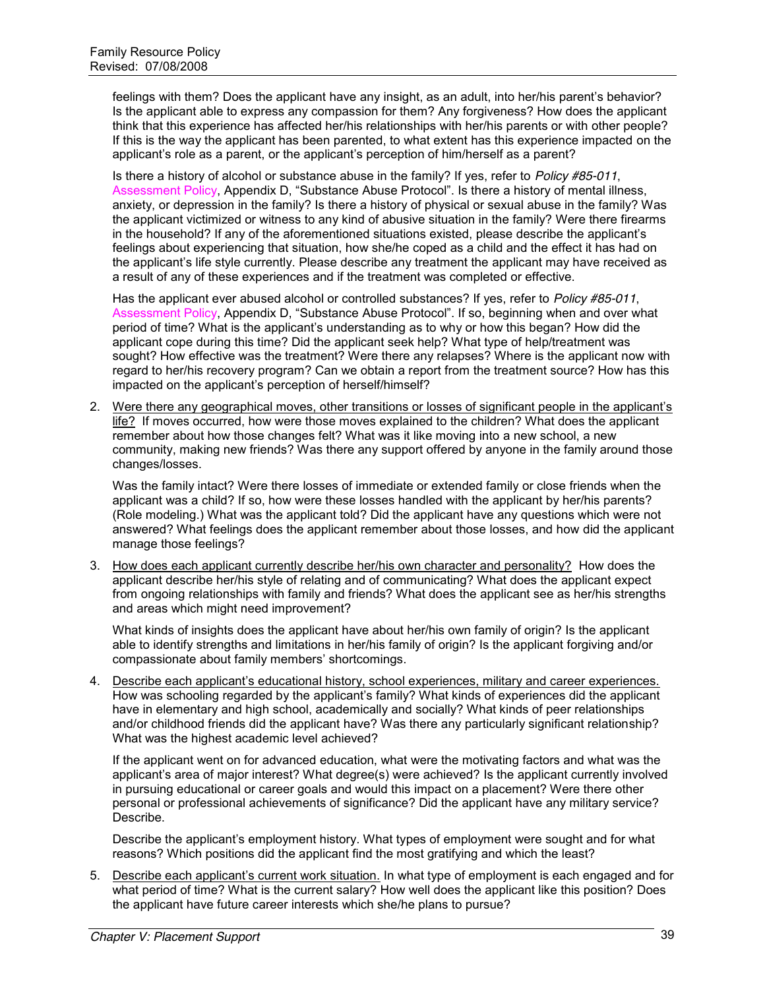feelings with them? Does the applicant have any insight, as an adult, into her/his parent's behavior? Is the applicant able to express any compassion for them? Any forgiveness? How does the applicant think that this experience has affected her/his relationships with her/his parents or with other people? If this is the way the applicant has been parented, to what extent has this experience impacted on the applicant's role as a parent, or the applicant's perception of him/herself as a parent?

Is there a history of alcohol or substance abuse in the family? If yes, refer to *Policy #85-011*, Assessment Policy, Appendix D, "Substance Abuse Protocol". Is there a history of mental illness, anxiety, or depression in the family? Is there a history of physical or sexual abuse in the family? Was the applicant victimized or witness to any kind of abusive situation in the family? Were there firearms in the household? If any of the aforementioned situations existed, please describe the applicant's feelings about experiencing that situation, how she/he coped as a child and the effect it has had on the applicant's life style currently. Please describe any treatment the applicant may have received as a result of any of these experiences and if the treatment was completed or effective.

Has the applicant ever abused alcohol or controlled substances? If yes, refer to *Policy #85-011*, Assessment Policy, Appendix D. "Substance Abuse Protocol". If so, beginning when and over what period of time? What is the applicant's understanding as to why or how this began? How did the applicant cope during this time? Did the applicant seek help? What type of help/treatment was sought? How effective was the treatment? Were there any relapses? Where is the applicant now with regard to her/his recovery program? Can we obtain a report from the treatment source? How has this impacted on the applicant's perception of herself/himself?

2. Were there any geographical moves, other transitions or losses of significant people in the applicant's life? If moves occurred, how were those moves explained to the children? What does the applicant remember about how those changes felt? What was it like moving into a new school, a new community, making new friends? Was there any support offered by anyone in the family around those changes/losses.

Was the family intact? Were there losses of immediate or extended family or close friends when the applicant was a child? If so, how were these losses handled with the applicant by her/his parents? (Role modeling.) What was the applicant told? Did the applicant have any questions which were not answered? What feelings does the applicant remember about those losses, and how did the applicant manage those feelings?

3. How does each applicant currently describe her/his own character and personality? How does the applicant describe her/his style of relating and of communicating? What does the applicant expect from ongoing relationships with family and friends? What does the applicant see as her/his strengths and areas which might need improvement?

What kinds of insights does the applicant have about her/his own family of origin? Is the applicant able to identify strengths and limitations in her/his family of origin? Is the applicant forgiving and/or compassionate about family members' shortcomings.

4. Describe each applicant's educational history, school experiences, military and career experiences. How was schooling regarded by the applicant's family? What kinds of experiences did the applicant have in elementary and high school, academically and socially? What kinds of peer relationships and/or childhood friends did the applicant have? Was there any particularly significant relationship? What was the highest academic level achieved?

If the applicant went on for advanced education, what were the motivating factors and what was the applicant's area of major interest? What degree(s) were achieved? Is the applicant currently involved in pursuing educational or career goals and would this impact on a placement? Were there other personal or professional achievements of significance? Did the applicant have any military service? Describe.

Describe the applicant's employment history. What types of employment were sought and for what reasons? Which positions did the applicant find the most gratifying and which the least?

5. Describe each applicant's current work situation. In what type of employment is each engaged and for what period of time? What is the current salary? How well does the applicant like this position? Does the applicant have future career interests which she/he plans to pursue?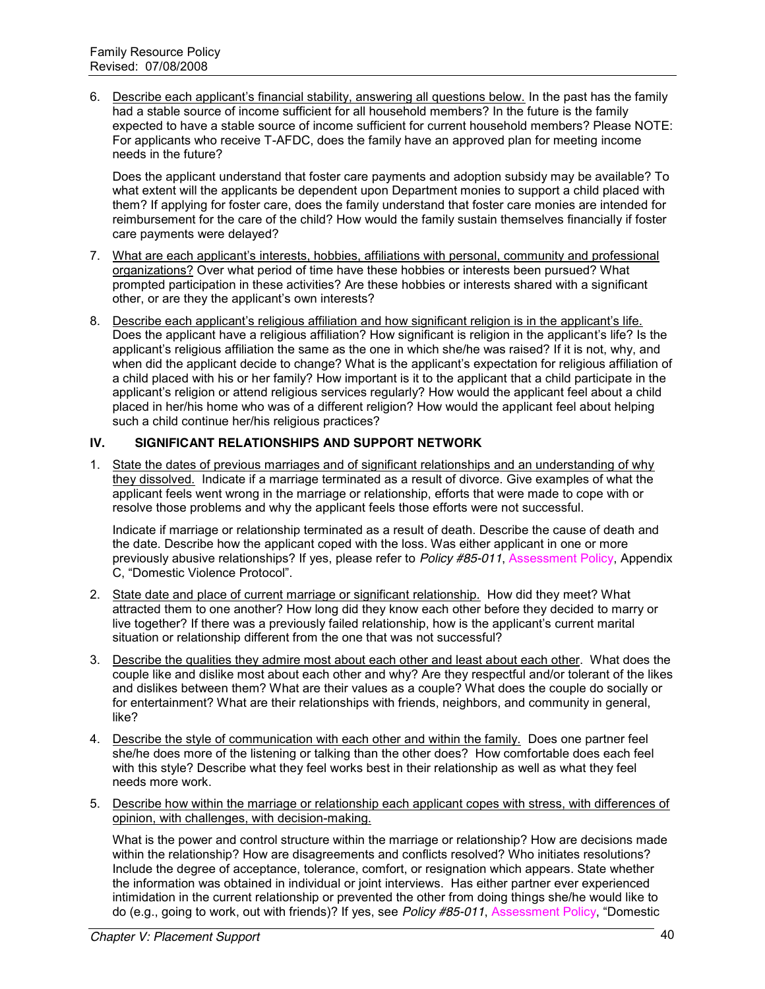6. Describe each applicant's financial stability, answering all questions below. In the past has the family had a stable source of income sufficient for all household members? In the future is the family expected to have a stable source of income sufficient for current household members? Please NOTE: For applicants who receive T-AFDC, does the family have an approved plan for meeting income needs in the future?

Does the applicant understand that foster care payments and adoption subsidy may be available? To what extent will the applicants be dependent upon Department monies to support a child placed with them? If applying for foster care, does the family understand that foster care monies are intended for reimbursement for the care of the child? How would the family sustain themselves financially if foster care payments were delayed?

- 7. What are each applicant's interests, hobbies, affiliations with personal, community and professional organizations? Over what period of time have these hobbies or interests been pursued? What prompted participation in these activities? Are these hobbies or interests shared with a significant other, or are they the applicant's own interests?
- 8. Describe each applicant's religious affiliation and how significant religion is in the applicant's life. Does the applicant have a religious affiliation? How significant is religion in the applicant's life? Is the applicant's religious affiliation the same as the one in which she/he was raised? If it is not, why, and when did the applicant decide to change? What is the applicant's expectation for religious affiliation of a child placed with his or her family? How important is it to the applicant that a child participate in the applicant's religion or attend religious services regularly? How would the applicant feel about a child placed in her/his home who was of a different religion? How would the applicant feel about helping such a child continue her/his religious practices?

#### **IV. SIGNIFICANT RELATIONSHIPS AND SUPPORT NETWORK**

1. State the dates of previous marriages and of significant relationships and an understanding of why they dissolved. Indicate if a marriage terminated as a result of divorce. Give examples of what the applicant feels went wrong in the marriage or relationship, efforts that were made to cope with or resolve those problems and why the applicant feels those efforts were not successful.

Indicate if marriage or relationship terminated as a result of death. Describe the cause of death and the date. Describe how the applicant coped with the loss. Was either applicant in one or more previously abusive relationships? If yes, please refer to *Policy #85-011*, Assessment Policy, Appendix C, "Domestic Violence Protocol".

- 2. State date and place of current marriage or significant relationship. How did they meet? What attracted them to one another? How long did they know each other before they decided to marry or live together? If there was a previously failed relationship, how is the applicant's current marital situation or relationship different from the one that was not successful?
- 3. Describe the qualities they admire most about each other and least about each other. What does the couple like and dislike most about each other and why? Are they respectful and/or tolerant of the likes and dislikes between them? What are their values as a couple? What does the couple do socially or for entertainment? What are their relationships with friends, neighbors, and community in general, like?
- 4. Describe the style of communication with each other and within the family. Does one partner feel she/he does more of the listening or talking than the other does? How comfortable does each feel with this style? Describe what they feel works best in their relationship as well as what they feel needs more work.
- 5. Describe how within the marriage or relationship each applicant copes with stress, with differences of opinion, with challenges, with decision-making.

What is the power and control structure within the marriage or relationship? How are decisions made within the relationship? How are disagreements and conflicts resolved? Who initiates resolutions? Include the degree of acceptance, tolerance, comfort, or resignation which appears. State whether the information was obtained in individual or joint interviews. Has either partner ever experienced intimidation in the current relationship or prevented the other from doing things she/he would like to do (e.g., going to work, out with friends)? If yes, see *Policy #85-011*, Assessment Policy, "Domestic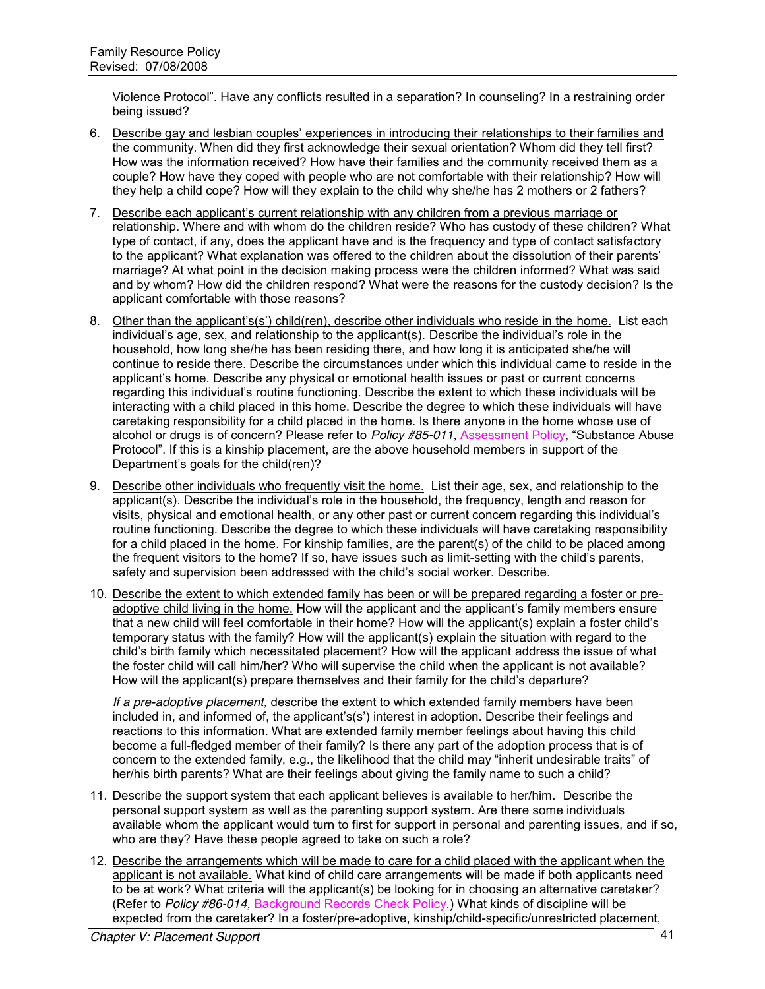Violence Protocol". Have any conflicts resulted in a separation? In counseling? In a restraining order being issued?

- 6. Describe gay and lesbian couples' experiences in introducing their relationships to their families and the community. When did they first acknowledge their sexual orientation? Whom did they tell first? How was the information received? How have their families and the community received them as a couple? How have they coped with people who are not comfortable with their relationship? How will they help a child cope? How will they explain to the child why she/he has 2 mothers or 2 fathers?
- 7. Describe each applicant's current relationship with any children from a previous marriage or relationship. Where and with whom do the children reside? Who has custody of these children? What type of contact, if any, does the applicant have and is the frequency and type of contact satisfactory to the applicant? What explanation was offered to the children about the dissolution of their parents' marriage? At what point in the decision making process were the children informed? What was said and by whom? How did the children respond? What were the reasons for the custody decision? Is the applicant comfortable with those reasons?
- 8. Other than the applicant's(s') child(ren), describe other individuals who reside in the home. List each individual's age, sex, and relationship to the applicant(s). Describe the individual's role in the household, how long she/he has been residing there, and how long it is anticipated she/he will continue to reside there. Describe the circumstances under which this individual came to reside in the applicant's home. Describe any physical or emotional health issues or past or current concerns regarding this individual's routine functioning. Describe the extent to which these individuals will be interacting with a child placed in this home. Describe the degree to which these individuals will have caretaking responsibility for a child placed in the home. Is there anyone in the home whose use of alcohol or drugs is of concern? Please refer to *Policy #85-011*, Assessment Policy, "Substance Abuse Protocol". If this is a kinship placement, are the above household members in support of the Department's goals for the child(ren)?
- 9. Describe other individuals who frequently visit the home. List their age, sex, and relationship to the applicant(s). Describe the individual's role in the household, the frequency, length and reason for visits, physical and emotional health, or any other past or current concern regarding this individual's routine functioning. Describe the degree to which these individuals will have caretaking responsibility for a child placed in the home. For kinship families, are the parent(s) of the child to be placed among the frequent visitors to the home? If so, have issues such as limit-setting with the child's parents, safety and supervision been addressed with the child's social worker. Describe.
- 10. Describe the extent to which extended family has been or will be prepared regarding a foster or preadoptive child living in the home. How will the applicant and the applicant's family members ensure that a new child will feel comfortable in their home? How will the applicant(s) explain a foster child's temporary status with the family? How will the applicant(s) explain the situation with regard to the child's birth family which necessitated placement? How will the applicant address the issue of what the foster child will call him/her? Who will supervise the child when the applicant is not available? How will the applicant(s) prepare themselves and their family for the child's departure?

*If a pre-adoptive placement,* describe the extent to which extended family members have been included in, and informed of, the applicant's(s') interest in adoption. Describe their feelings and reactions to this information. What are extended family member feelings about having this child become a full-fledged member of their family? Is there any part of the adoption process that is of concern to the extended family, e.g., the likelihood that the child may "inherit undesirable traits" of her/his birth parents? What are their feelings about giving the family name to such a child?

- 11. Describe the support system that each applicant believes is available to her/him. Describe the personal support system as well as the parenting support system. Are there some individuals available whom the applicant would turn to first for support in personal and parenting issues, and if so, who are they? Have these people agreed to take on such a role?
- 12. Describe the arrangements which will be made to care for a child placed with the applicant when the applicant is not available. What kind of child care arrangements will be made if both applicants need to be at work? What criteria will the applicant(s) be looking for in choosing an alternative caretaker? (Refer to *Policy #86-014,* Background Records Check Policy.) What kinds of discipline will be expected from the caretaker? In a foster/pre-adoptive, kinship/child-specific/unrestricted placement,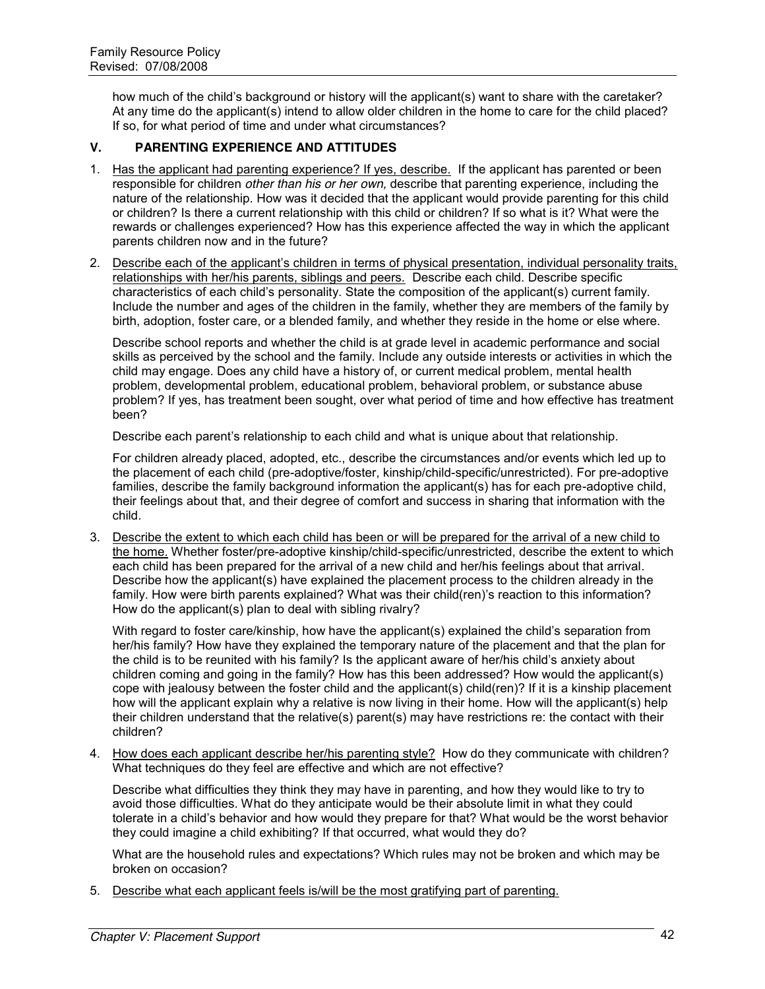how much of the child's background or history will the applicant(s) want to share with the caretaker? At any time do the applicant(s) intend to allow older children in the home to care for the child placed? If so, for what period of time and under what circumstances?

#### **V. PARENTING EXPERIENCE AND ATTITUDES**

- 1. Has the applicant had parenting experience? If yes, describe. If the applicant has parented or been responsible for children *other than his or her own,* describe that parenting experience, including the nature of the relationship. How was it decided that the applicant would provide parenting for this child or children? Is there a current relationship with this child or children? If so what is it? What were the rewards or challenges experienced? How has this experience affected the way in which the applicant parents children now and in the future?
- 2. Describe each of the applicant's children in terms of physical presentation, individual personality traits, relationships with her/his parents, siblings and peers. Describe each child. Describe specific characteristics of each child's personality. State the composition of the applicant(s) current family. Include the number and ages of the children in the family, whether they are members of the family by birth, adoption, foster care, or a blended family, and whether they reside in the home or else where.

Describe school reports and whether the child is at grade level in academic performance and social skills as perceived by the school and the family. Include any outside interests or activities in which the child may engage. Does any child have a history of, or current medical problem, mental health problem, developmental problem, educational problem, behavioral problem, or substance abuse problem? If yes, has treatment been sought, over what period of time and how effective has treatment been?

Describe each parent's relationship to each child and what is unique about that relationship.

For children already placed, adopted, etc., describe the circumstances and/or events which led up to the placement of each child (pre-adoptive/foster, kinship/child-specific/unrestricted). For pre-adoptive families, describe the family background information the applicant(s) has for each pre-adoptive child, their feelings about that, and their degree of comfort and success in sharing that information with the child.

3. Describe the extent to which each child has been or will be prepared for the arrival of a new child to the home. Whether foster/pre-adoptive kinship/child-specific/unrestricted, describe the extent to which each child has been prepared for the arrival of a new child and her/his feelings about that arrival. Describe how the applicant(s) have explained the placement process to the children already in the family. How were birth parents explained? What was their child(ren)'s reaction to this information? How do the applicant(s) plan to deal with sibling rivalry?

With regard to foster care/kinship, how have the applicant(s) explained the child's separation from her/his family? How have they explained the temporary nature of the placement and that the plan for the child is to be reunited with his family? Is the applicant aware of her/his child's anxiety about children coming and going in the family? How has this been addressed? How would the applicant(s) cope with jealousy between the foster child and the applicant(s) child(ren)? If it is a kinship placement how will the applicant explain why a relative is now living in their home. How will the applicant(s) help their children understand that the relative(s) parent(s) may have restrictions re: the contact with their children?

4. How does each applicant describe her/his parenting style? How do they communicate with children? What techniques do they feel are effective and which are not effective?

Describe what difficulties they think they may have in parenting, and how they would like to try to avoid those difficulties. What do they anticipate would be their absolute limit in what they could tolerate in a child's behavior and how would they prepare for that? What would be the worst behavior they could imagine a child exhibiting? If that occurred, what would they do?

What are the household rules and expectations? Which rules may not be broken and which may be broken on occasion?

5. Describe what each applicant feels is/will be the most gratifying part of parenting.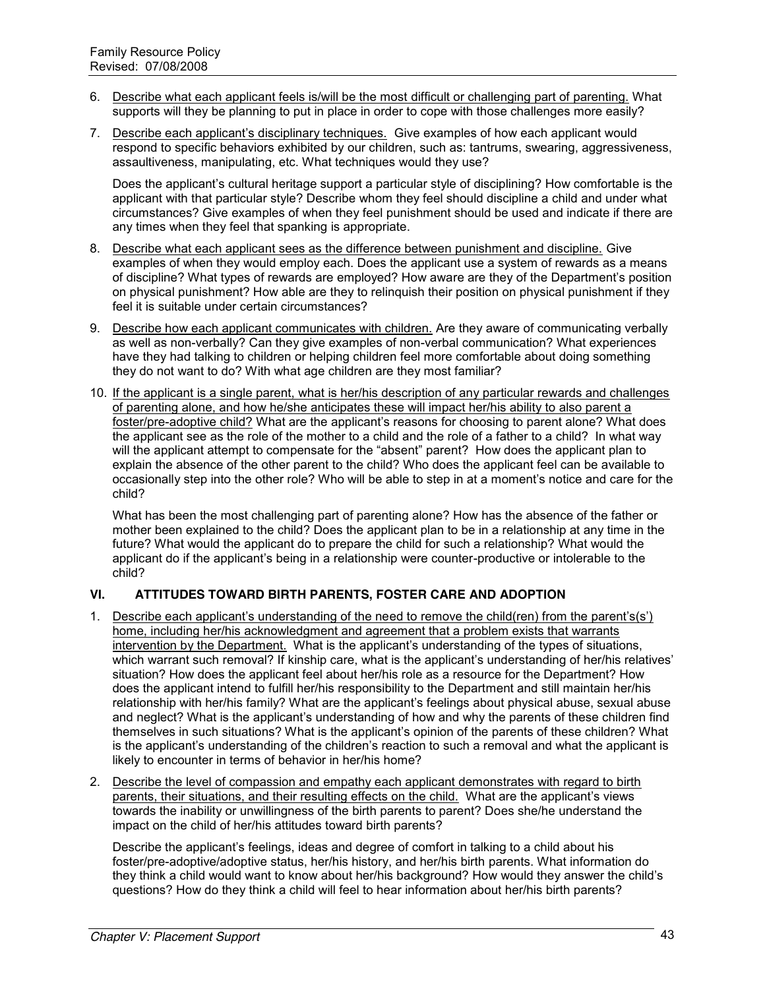- 6. Describe what each applicant feels is/will be the most difficult or challenging part of parenting. What supports will they be planning to put in place in order to cope with those challenges more easily?
- 7. Describe each applicant's disciplinary techniques. Give examples of how each applicant would respond to specific behaviors exhibited by our children, such as: tantrums, swearing, aggressiveness, assaultiveness, manipulating, etc. What techniques would they use?

Does the applicant's cultural heritage support a particular style of disciplining? How comfortable is the applicant with that particular style? Describe whom they feel should discipline a child and under what circumstances? Give examples of when they feel punishment should be used and indicate if there are any times when they feel that spanking is appropriate.

- 8. Describe what each applicant sees as the difference between punishment and discipline. Give examples of when they would employ each. Does the applicant use a system of rewards as a means of discipline? What types of rewards are employed? How aware are they of the Department's position on physical punishment? How able are they to relinquish their position on physical punishment if they feel it is suitable under certain circumstances?
- 9. Describe how each applicant communicates with children. Are they aware of communicating verbally as well as non-verbally? Can they give examples of non-verbal communication? What experiences have they had talking to children or helping children feel more comfortable about doing something they do not want to do? With what age children are they most familiar?
- 10. If the applicant is a single parent, what is her/his description of any particular rewards and challenges of parenting alone, and how he/she anticipates these will impact her/his ability to also parent a foster/pre-adoptive child? What are the applicant's reasons for choosing to parent alone? What does the applicant see as the role of the mother to a child and the role of a father to a child? In what way will the applicant attempt to compensate for the "absent" parent? How does the applicant plan to explain the absence of the other parent to the child? Who does the applicant feel can be available to occasionally step into the other role? Who will be able to step in at a moment's notice and care for the child?

What has been the most challenging part of parenting alone? How has the absence of the father or mother been explained to the child? Does the applicant plan to be in a relationship at any time in the future? What would the applicant do to prepare the child for such a relationship? What would the applicant do if the applicant's being in a relationship were counter-productive or intolerable to the child?

### **VI. ATTITUDES TOWARD BIRTH PARENTS, FOSTER CARE AND ADOPTION**

- 1. Describe each applicant's understanding of the need to remove the child(ren) from the parent's(s') home, including her/his acknowledgment and agreement that a problem exists that warrants intervention by the Department. What is the applicant's understanding of the types of situations, which warrant such removal? If kinship care, what is the applicant's understanding of her/his relatives' situation? How does the applicant feel about her/his role as a resource for the Department? How does the applicant intend to fulfill her/his responsibility to the Department and still maintain her/his relationship with her/his family? What are the applicant's feelings about physical abuse, sexual abuse and neglect? What is the applicant's understanding of how and why the parents of these children find themselves in such situations? What is the applicant's opinion of the parents of these children? What is the applicant's understanding of the children's reaction to such a removal and what the applicant is likely to encounter in terms of behavior in her/his home?
- 2. Describe the level of compassion and empathy each applicant demonstrates with regard to birth parents, their situations, and their resulting effects on the child. What are the applicant's views towards the inability or unwillingness of the birth parents to parent? Does she/he understand the impact on the child of her/his attitudes toward birth parents?

Describe the applicant's feelings, ideas and degree of comfort in talking to a child about his foster/pre-adoptive/adoptive status, her/his history, and her/his birth parents. What information do they think a child would want to know about her/his background? How would they answer the child's questions? How do they think a child will feel to hear information about her/his birth parents?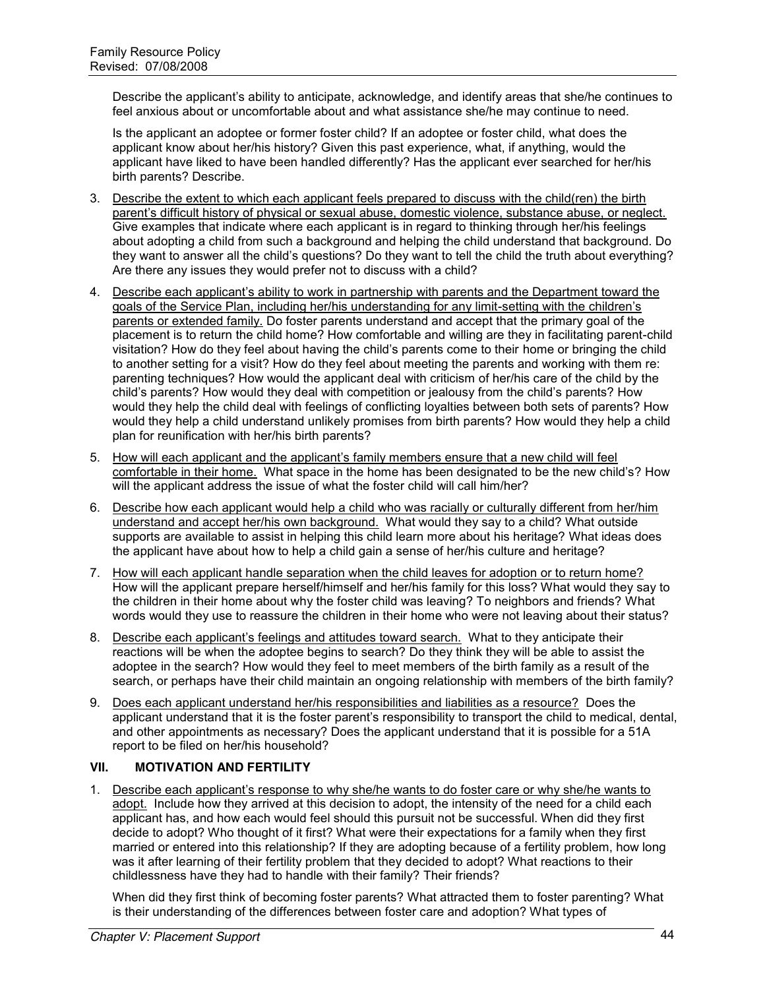Describe the applicant's ability to anticipate, acknowledge, and identify areas that she/he continues to feel anxious about or uncomfortable about and what assistance she/he may continue to need.

Is the applicant an adoptee or former foster child? If an adoptee or foster child, what does the applicant know about her/his history? Given this past experience, what, if anything, would the applicant have liked to have been handled differently? Has the applicant ever searched for her/his birth parents? Describe.

- 3. Describe the extent to which each applicant feels prepared to discuss with the child(ren) the birth parent's difficult history of physical or sexual abuse, domestic violence, substance abuse, or neglect. Give examples that indicate where each applicant is in regard to thinking through her/his feelings about adopting a child from such a background and helping the child understand that background. Do they want to answer all the child's questions? Do they want to tell the child the truth about everything? Are there any issues they would prefer not to discuss with a child?
- 4. Describe each applicant's ability to work in partnership with parents and the Department toward the goals of the Service Plan, including her/his understanding for any limit-setting with the children's parents or extended family. Do foster parents understand and accept that the primary goal of the placement is to return the child home? How comfortable and willing are they in facilitating parent-child visitation? How do they feel about having the child's parents come to their home or bringing the child to another setting for a visit? How do they feel about meeting the parents and working with them re: parenting techniques? How would the applicant deal with criticism of her/his care of the child by the child's parents? How would they deal with competition or jealousy from the child's parents? How would they help the child deal with feelings of conflicting loyalties between both sets of parents? How would they help a child understand unlikely promises from birth parents? How would they help a child plan for reunification with her/his birth parents?
- 5. How will each applicant and the applicant's family members ensure that a new child will feel comfortable in their home. What space in the home has been designated to be the new child's? How will the applicant address the issue of what the foster child will call him/her?
- 6. Describe how each applicant would help a child who was racially or culturally different from her/him understand and accept her/his own background. What would they say to a child? What outside supports are available to assist in helping this child learn more about his heritage? What ideas does the applicant have about how to help a child gain a sense of her/his culture and heritage?
- 7. How will each applicant handle separation when the child leaves for adoption or to return home? How will the applicant prepare herself/himself and her/his family for this loss? What would they say to the children in their home about why the foster child was leaving? To neighbors and friends? What words would they use to reassure the children in their home who were not leaving about their status?
- 8. Describe each applicant's feelings and attitudes toward search. What to they anticipate their reactions will be when the adoptee begins to search? Do they think they will be able to assist the adoptee in the search? How would they feel to meet members of the birth family as a result of the search, or perhaps have their child maintain an ongoing relationship with members of the birth family?
- 9. Does each applicant understand her/his responsibilities and liabilities as a resource? Does the applicant understand that it is the foster parent's responsibility to transport the child to medical, dental, and other appointments as necessary? Does the applicant understand that it is possible for a 51A report to be filed on her/his household?

### **VII. MOTIVATION AND FERTILITY**

1. Describe each applicant's response to why she/he wants to do foster care or why she/he wants to adopt. Include how they arrived at this decision to adopt, the intensity of the need for a child each applicant has, and how each would feel should this pursuit not be successful. When did they first decide to adopt? Who thought of it first? What were their expectations for a family when they first married or entered into this relationship? If they are adopting because of a fertility problem, how long was it after learning of their fertility problem that they decided to adopt? What reactions to their childlessness have they had to handle with their family? Their friends?

When did they first think of becoming foster parents? What attracted them to foster parenting? What is their understanding of the differences between foster care and adoption? What types of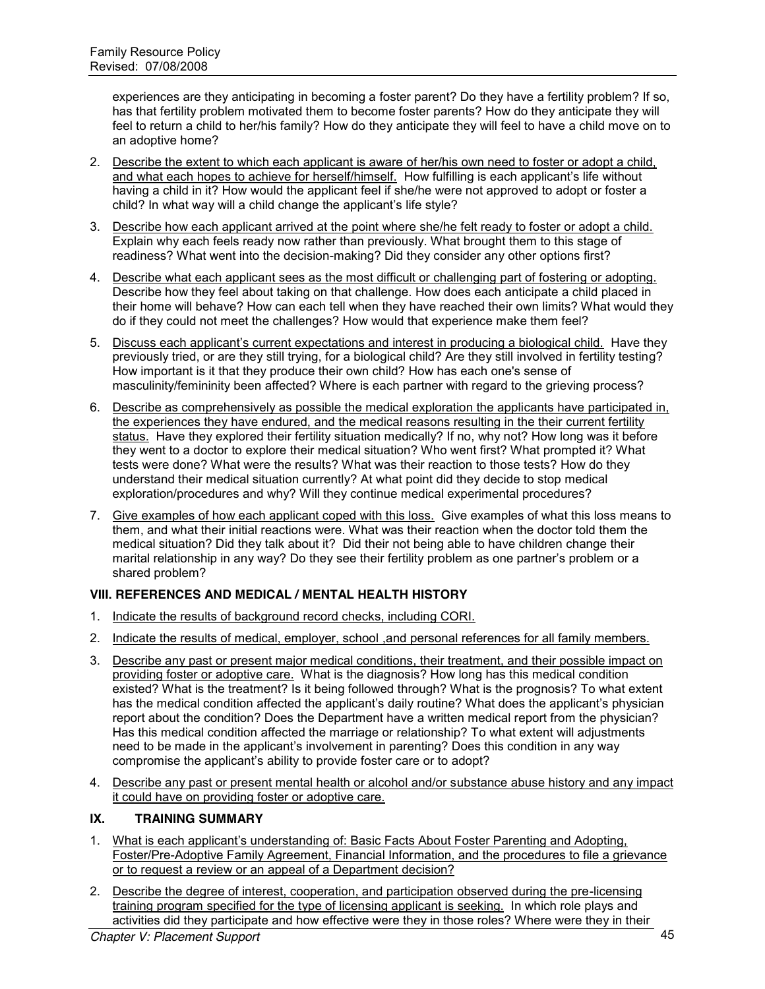experiences are they anticipating in becoming a foster parent? Do they have a fertility problem? If so, has that fertility problem motivated them to become foster parents? How do they anticipate they will feel to return a child to her/his family? How do they anticipate they will feel to have a child move on to an adoptive home?

- 2. Describe the extent to which each applicant is aware of her/his own need to foster or adopt a child, and what each hopes to achieve for herself/himself. How fulfilling is each applicant's life without having a child in it? How would the applicant feel if she/he were not approved to adopt or foster a child? In what way will a child change the applicant's life style?
- 3. Describe how each applicant arrived at the point where she/he felt ready to foster or adopt a child. Explain why each feels ready now rather than previously. What brought them to this stage of readiness? What went into the decision-making? Did they consider any other options first?
- 4. Describe what each applicant sees as the most difficult or challenging part of fostering or adopting. Describe how they feel about taking on that challenge. How does each anticipate a child placed in their home will behave? How can each tell when they have reached their own limits? What would they do if they could not meet the challenges? How would that experience make them feel?
- 5. Discuss each applicant's current expectations and interest in producing a biological child. Have they previously tried, or are they still trying, for a biological child? Are they still involved in fertility testing? How important is it that they produce their own child? How has each one's sense of masculinity/femininity been affected? Where is each partner with regard to the grieving process?
- 6. Describe as comprehensively as possible the medical exploration the applicants have participated in, the experiences they have endured, and the medical reasons resulting in the their current fertility status. Have they explored their fertility situation medically? If no, why not? How long was it before they went to a doctor to explore their medical situation? Who went first? What prompted it? What tests were done? What were the results? What was their reaction to those tests? How do they understand their medical situation currently? At what point did they decide to stop medical exploration/procedures and why? Will they continue medical experimental procedures?
- 7. Give examples of how each applicant coped with this loss. Give examples of what this loss means to them, and what their initial reactions were. What was their reaction when the doctor told them the medical situation? Did they talk about it? Did their not being able to have children change their marital relationship in any way? Do they see their fertility problem as one partner's problem or a shared problem?

# **VIII. REFERENCES AND MEDICAL / MENTAL HEALTH HISTORY**

- 1. Indicate the results of background record checks, including CORI.
- 2. Indicate the results of medical, employer, school ,and personal references for all family members.
- 3. Describe any past or present major medical conditions, their treatment, and their possible impact on providing foster or adoptive care. What is the diagnosis? How long has this medical condition existed? What is the treatment? Is it being followed through? What is the prognosis? To what extent has the medical condition affected the applicant's daily routine? What does the applicant's physician report about the condition? Does the Department have a written medical report from the physician? Has this medical condition affected the marriage or relationship? To what extent will adjustments need to be made in the applicant's involvement in parenting? Does this condition in any way compromise the applicant's ability to provide foster care or to adopt?
- 4. Describe any past or present mental health or alcohol and/or substance abuse history and any impact it could have on providing foster or adoptive care.

### **IX. TRAINING SUMMARY**

- 1. What is each applicant's understanding of: Basic Facts About Foster Parenting and Adopting, Foster/Pre-Adoptive Family Agreement, Financial Information, and the procedures to file a grievance or to request a review or an appeal of a Department decision?
- 2. Describe the degree of interest, cooperation, and participation observed during the pre-licensing training program specified for the type of licensing applicant is seeking. In which role plays and activities did they participate and how effective were they in those roles? Where were they in their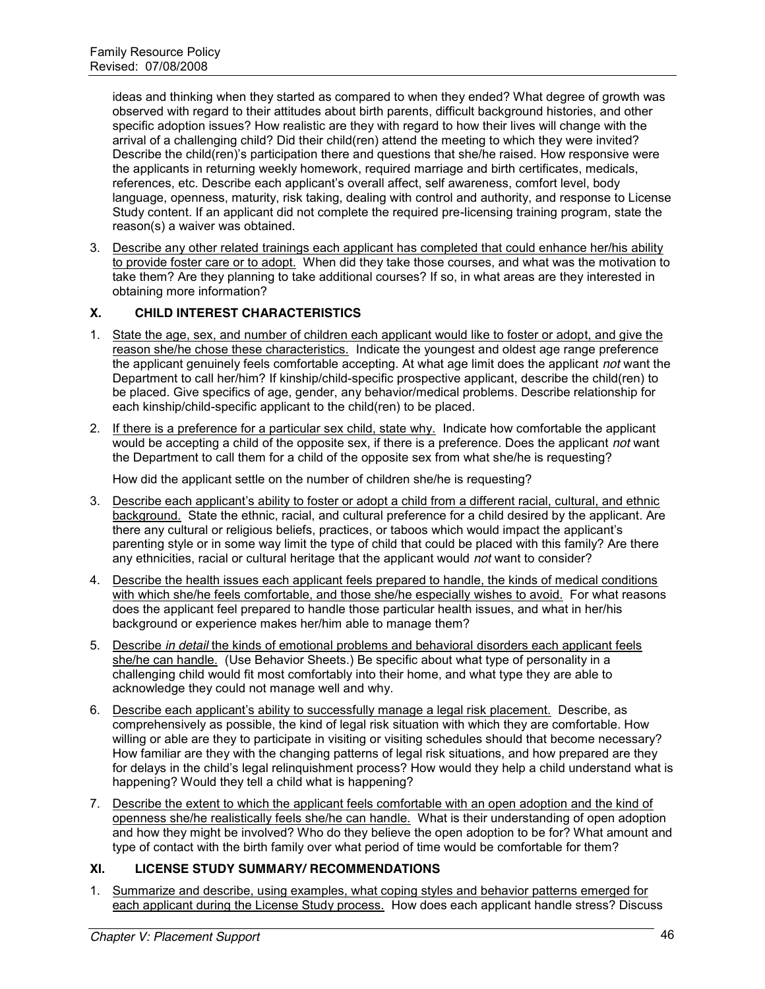ideas and thinking when they started as compared to when they ended? What degree of growth was observed with regard to their attitudes about birth parents, difficult background histories, and other specific adoption issues? How realistic are they with regard to how their lives will change with the arrival of a challenging child? Did their child(ren) attend the meeting to which they were invited? Describe the child(ren)'s participation there and questions that she/he raised. How responsive were the applicants in returning weekly homework, required marriage and birth certificates, medicals, references, etc. Describe each applicant's overall affect, self awareness, comfort level, body language, openness, maturity, risk taking, dealing with control and authority, and response to License Study content. If an applicant did not complete the required pre-licensing training program, state the reason(s) a waiver was obtained.

3. Describe any other related trainings each applicant has completed that could enhance her/his ability to provide foster care or to adopt. When did they take those courses, and what was the motivation to take them? Are they planning to take additional courses? If so, in what areas are they interested in obtaining more information?

#### **X. CHILD INTEREST CHARACTERISTICS**

- 1. State the age, sex, and number of children each applicant would like to foster or adopt, and give the reason she/he chose these characteristics. Indicate the youngest and oldest age range preference the applicant genuinely feels comfortable accepting. At what age limit does the applicant *not* want the Department to call her/him? If kinship/child-specific prospective applicant, describe the child(ren) to be placed. Give specifics of age, gender, any behavior/medical problems. Describe relationship for each kinship/child-specific applicant to the child(ren) to be placed.
- 2. If there is a preference for a particular sex child, state why. Indicate how comfortable the applicant would be accepting a child of the opposite sex, if there is a preference. Does the applicant *not* want the Department to call them for a child of the opposite sex from what she/he is requesting?

How did the applicant settle on the number of children she/he is requesting?

- 3. Describe each applicant's ability to foster or adopt a child from a different racial, cultural, and ethnic background. State the ethnic, racial, and cultural preference for a child desired by the applicant. Are there any cultural or religious beliefs, practices, or taboos which would impact the applicant's parenting style or in some way limit the type of child that could be placed with this family? Are there any ethnicities, racial or cultural heritage that the applicant would *not* want to consider?
- 4. Describe the health issues each applicant feels prepared to handle, the kinds of medical conditions with which she/he feels comfortable, and those she/he especially wishes to avoid. For what reasons does the applicant feel prepared to handle those particular health issues, and what in her/his background or experience makes her/him able to manage them?
- 5. Describe *in detail* the kinds of emotional problems and behavioral disorders each applicant feels she/he can handle. (Use Behavior Sheets.) Be specific about what type of personality in a challenging child would fit most comfortably into their home, and what type they are able to acknowledge they could not manage well and why.
- 6. Describe each applicant's ability to successfully manage a legal risk placement. Describe, as comprehensively as possible, the kind of legal risk situation with which they are comfortable. How willing or able are they to participate in visiting or visiting schedules should that become necessary? How familiar are they with the changing patterns of legal risk situations, and how prepared are they for delays in the child's legal relinquishment process? How would they help a child understand what is happening? Would they tell a child what is happening?
- 7. Describe the extent to which the applicant feels comfortable with an open adoption and the kind of openness she/he realistically feels she/he can handle. What is their understanding of open adoption and how they might be involved? Who do they believe the open adoption to be for? What amount and type of contact with the birth family over what period of time would be comfortable for them?

#### **XI. LICENSE STUDY SUMMARY/ RECOMMENDATIONS**

1. Summarize and describe, using examples, what coping styles and behavior patterns emerged for each applicant during the License Study process. How does each applicant handle stress? Discuss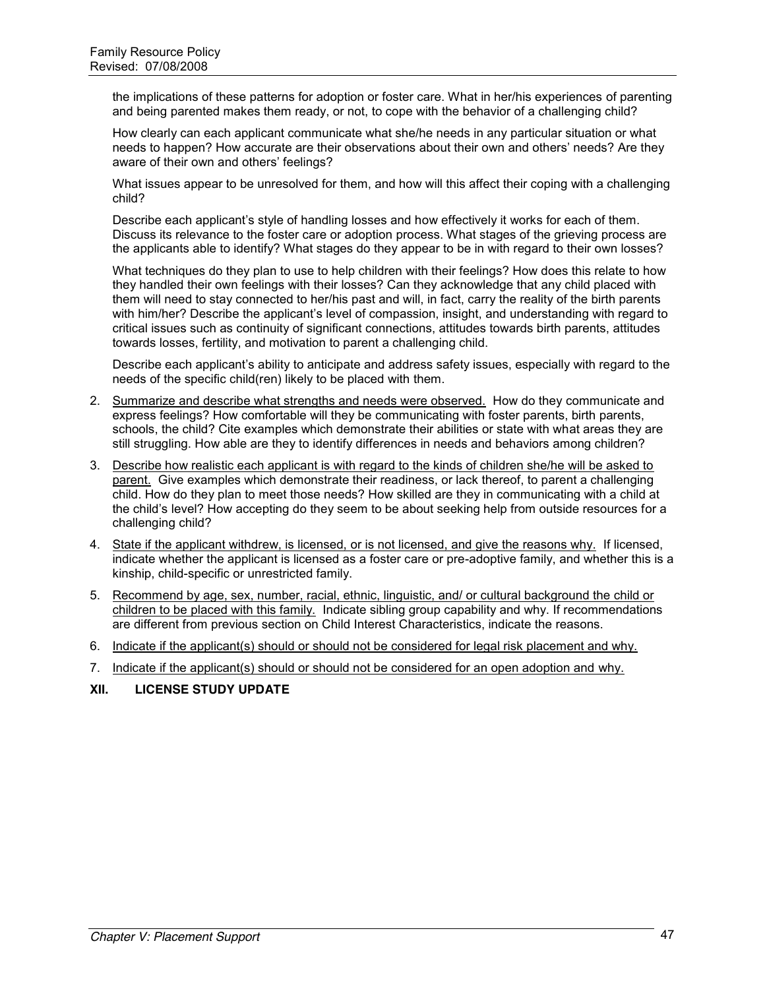the implications of these patterns for adoption or foster care. What in her/his experiences of parenting and being parented makes them ready, or not, to cope with the behavior of a challenging child?

How clearly can each applicant communicate what she/he needs in any particular situation or what needs to happen? How accurate are their observations about their own and others' needs? Are they aware of their own and others' feelings?

What issues appear to be unresolved for them, and how will this affect their coping with a challenging child?

Describe each applicant's style of handling losses and how effectively it works for each of them. Discuss its relevance to the foster care or adoption process. What stages of the grieving process are the applicants able to identify? What stages do they appear to be in with regard to their own losses?

What techniques do they plan to use to help children with their feelings? How does this relate to how they handled their own feelings with their losses? Can they acknowledge that any child placed with them will need to stay connected to her/his past and will, in fact, carry the reality of the birth parents with him/her? Describe the applicant's level of compassion, insight, and understanding with regard to critical issues such as continuity of significant connections, attitudes towards birth parents, attitudes towards losses, fertility, and motivation to parent a challenging child.

Describe each applicant's ability to anticipate and address safety issues, especially with regard to the needs of the specific child(ren) likely to be placed with them.

- 2. Summarize and describe what strengths and needs were observed. How do they communicate and express feelings? How comfortable will they be communicating with foster parents, birth parents, schools, the child? Cite examples which demonstrate their abilities or state with what areas they are still struggling. How able are they to identify differences in needs and behaviors among children?
- 3. Describe how realistic each applicant is with regard to the kinds of children she/he will be asked to parent. Give examples which demonstrate their readiness, or lack thereof, to parent a challenging child. How do they plan to meet those needs? How skilled are they in communicating with a child at the child's level? How accepting do they seem to be about seeking help from outside resources for a challenging child?
- 4. State if the applicant withdrew, is licensed, or is not licensed, and give the reasons why. If licensed, indicate whether the applicant is licensed as a foster care or pre-adoptive family, and whether this is a kinship, child-specific or unrestricted family.
- 5. Recommend by age, sex, number, racial, ethnic, linguistic, and/ or cultural background the child or children to be placed with this family. Indicate sibling group capability and why. If recommendations are different from previous section on Child Interest Characteristics, indicate the reasons.
- 6. Indicate if the applicant(s) should or should not be considered for legal risk placement and why.
- 7. Indicate if the applicant(s) should or should not be considered for an open adoption and why.

#### **XII. LICENSE STUDY UPDATE**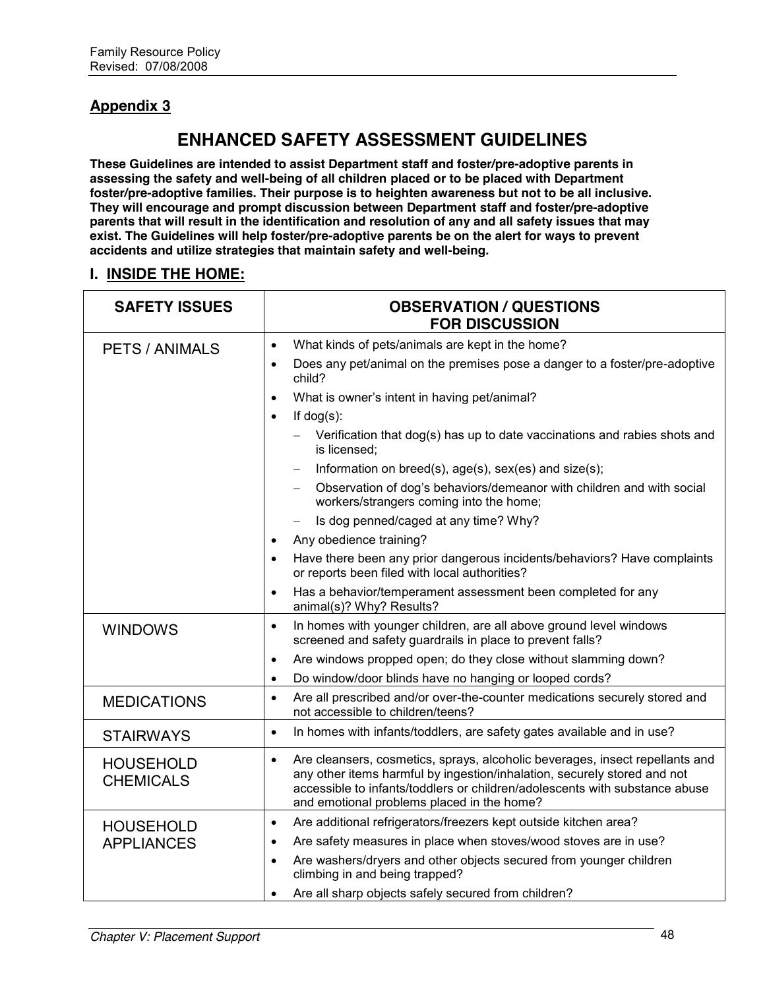# **Appendix 3**

# **ENHANCED SAFETY ASSESSMENT GUIDELINES**

**These Guidelines are intended to assist Department staff and foster/pre-adoptive parents in assessing the safety and well-being of all children placed or to be placed with Department foster/pre-adoptive families. Their purpose is to heighten awareness but not to be all inclusive. They will encourage and prompt discussion between Department staff and foster/pre-adoptive parents that will result in the identification and resolution of any and all safety issues that may exist. The Guidelines will help foster/pre-adoptive parents be on the alert for ways to prevent accidents and utilize strategies that maintain safety and well-being.**

# **I. INSIDE THE HOME:**

| <b>SAFETY ISSUES</b>                 | <b>OBSERVATION / QUESTIONS</b><br><b>FOR DISCUSSION</b>                                                                                                                                                                                                                                            |
|--------------------------------------|----------------------------------------------------------------------------------------------------------------------------------------------------------------------------------------------------------------------------------------------------------------------------------------------------|
| <b>PETS / ANIMALS</b>                | What kinds of pets/animals are kept in the home?<br>$\bullet$                                                                                                                                                                                                                                      |
|                                      | Does any pet/animal on the premises pose a danger to a foster/pre-adoptive<br>$\bullet$<br>child?                                                                                                                                                                                                  |
|                                      | What is owner's intent in having pet/animal?<br>$\bullet$                                                                                                                                                                                                                                          |
|                                      | If $dog(s)$ :<br>$\bullet$                                                                                                                                                                                                                                                                         |
|                                      | Verification that dog(s) has up to date vaccinations and rabies shots and<br>is licensed;                                                                                                                                                                                                          |
|                                      | Information on breed(s), age(s), sex(es) and size(s);                                                                                                                                                                                                                                              |
|                                      | Observation of dog's behaviors/demeanor with children and with social<br>workers/strangers coming into the home;                                                                                                                                                                                   |
|                                      | Is dog penned/caged at any time? Why?<br>$\overline{\phantom{m}}$                                                                                                                                                                                                                                  |
|                                      | Any obedience training?<br>$\bullet$                                                                                                                                                                                                                                                               |
|                                      | Have there been any prior dangerous incidents/behaviors? Have complaints<br>$\bullet$<br>or reports been filed with local authorities?                                                                                                                                                             |
|                                      | Has a behavior/temperament assessment been completed for any<br>$\bullet$<br>animal(s)? Why? Results?                                                                                                                                                                                              |
| <b>WINDOWS</b>                       | In homes with younger children, are all above ground level windows<br>$\bullet$<br>screened and safety guardrails in place to prevent falls?                                                                                                                                                       |
|                                      | Are windows propped open; do they close without slamming down?<br>$\bullet$                                                                                                                                                                                                                        |
|                                      | Do window/door blinds have no hanging or looped cords?<br>$\bullet$                                                                                                                                                                                                                                |
| <b>MEDICATIONS</b>                   | Are all prescribed and/or over-the-counter medications securely stored and<br>$\bullet$<br>not accessible to children/teens?                                                                                                                                                                       |
| <b>STAIRWAYS</b>                     | In homes with infants/toddlers, are safety gates available and in use?<br>$\bullet$                                                                                                                                                                                                                |
| <b>HOUSEHOLD</b><br><b>CHEMICALS</b> | Are cleansers, cosmetics, sprays, alcoholic beverages, insect repellants and<br>$\bullet$<br>any other items harmful by ingestion/inhalation, securely stored and not<br>accessible to infants/toddlers or children/adolescents with substance abuse<br>and emotional problems placed in the home? |
| <b>HOUSEHOLD</b>                     | Are additional refrigerators/freezers kept outside kitchen area?<br>$\bullet$                                                                                                                                                                                                                      |
| <b>APPLIANCES</b>                    | Are safety measures in place when stoves/wood stoves are in use?<br>$\bullet$                                                                                                                                                                                                                      |
|                                      | Are washers/dryers and other objects secured from younger children<br>$\bullet$<br>climbing in and being trapped?                                                                                                                                                                                  |
|                                      | Are all sharp objects safely secured from children?<br>$\bullet$                                                                                                                                                                                                                                   |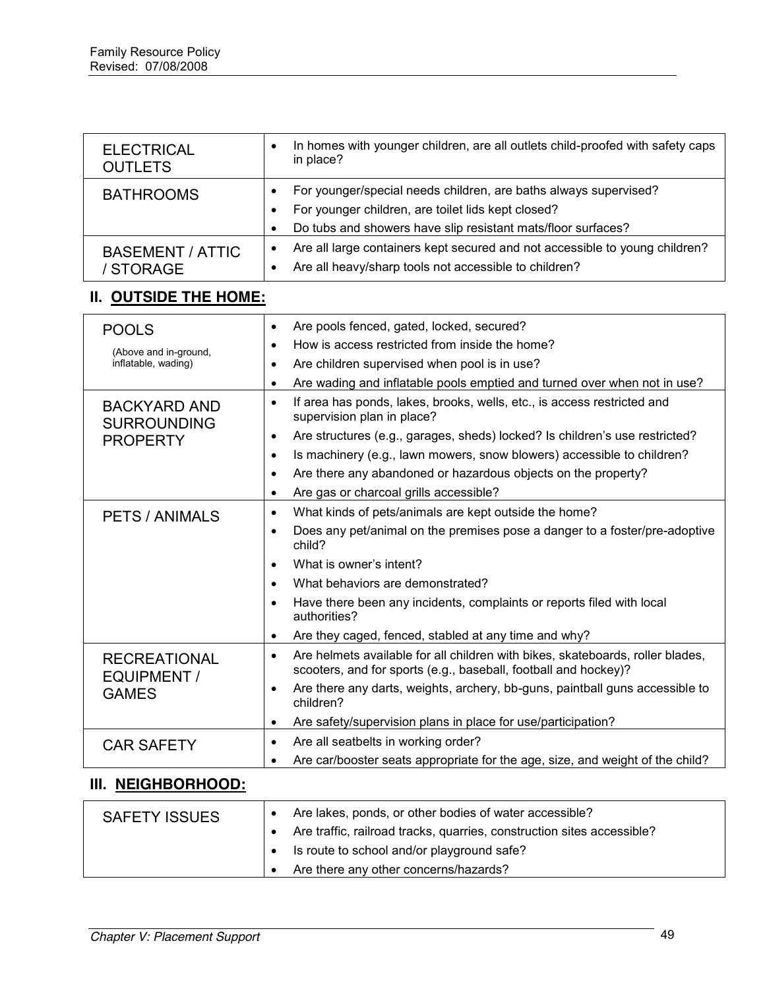| <b>ELECTRICAL</b><br><b>OUTLETS</b>       | In homes with younger children, are all outlets child-proofed with safety caps<br>$\bullet$<br>in place?                                                       |
|-------------------------------------------|----------------------------------------------------------------------------------------------------------------------------------------------------------------|
| <b>BATHROOMS</b>                          | For younger/special needs children, are baths always supervised?<br>$\bullet$                                                                                  |
|                                           | For younger children, are toilet lids kept closed?<br>$\bullet$                                                                                                |
|                                           | Do tubs and showers have slip resistant mats/floor surfaces?<br>$\bullet$                                                                                      |
| <b>BASEMENT / ATTIC</b>                   | Are all large containers kept secured and not accessible to young children?<br>$\bullet$                                                                       |
| / STORAGE                                 | Are all heavy/sharp tools not accessible to children?<br>$\bullet$                                                                                             |
| II. OUTSIDE THE HOME:                     |                                                                                                                                                                |
| <b>POOLS</b>                              | Are pools fenced, gated, locked, secured?<br>$\bullet$                                                                                                         |
| (Above and in-ground,                     | How is access restricted from inside the home?<br>$\bullet$                                                                                                    |
| inflatable, wading)                       | Are children supervised when pool is in use?<br>$\bullet$                                                                                                      |
|                                           | Are wading and inflatable pools emptied and turned over when not in use?<br>$\bullet$                                                                          |
| <b>BACKYARD AND</b><br><b>SURROUNDING</b> | If area has ponds, lakes, brooks, wells, etc., is access restricted and<br>$\bullet$<br>supervision plan in place?                                             |
| <b>PROPERTY</b>                           | Are structures (e.g., garages, sheds) locked? Is children's use restricted?<br>$\bullet$                                                                       |
|                                           | Is machinery (e.g., lawn mowers, snow blowers) accessible to children?<br>$\bullet$                                                                            |
|                                           | Are there any abandoned or hazardous objects on the property?<br>$\bullet$                                                                                     |
|                                           | Are gas or charcoal grills accessible?<br>$\bullet$                                                                                                            |
| <b>PETS / ANIMALS</b>                     | What kinds of pets/animals are kept outside the home?<br>$\bullet$                                                                                             |
|                                           | Does any pet/animal on the premises pose a danger to a foster/pre-adoptive<br>$\bullet$<br>child?                                                              |
|                                           | What is owner's intent?<br>$\bullet$                                                                                                                           |
|                                           | What behaviors are demonstrated?<br>$\bullet$                                                                                                                  |
|                                           | Have there been any incidents, complaints or reports filed with local<br>$\bullet$<br>authorities?                                                             |
|                                           | Are they caged, fenced, stabled at any time and why?<br>$\bullet$                                                                                              |
| <b>RECREATIONAL</b><br>EQUIPMENT /        | Are helmets available for all children with bikes, skateboards, roller blades,<br>$\bullet$<br>scooters, and for sports (e.g., baseball, football and hockey)? |
| <b>GAMES</b>                              | Are there any darts, weights, archery, bb-guns, paintball guns accessible to<br>$\bullet$<br>children?                                                         |
|                                           | Are safety/supervision plans in place for use/participation?<br>$\bullet$                                                                                      |
| <b>CAR SAFETY</b>                         | Are all seatbelts in working order?<br>$\bullet$                                                                                                               |
|                                           | Are car/booster seats appropriate for the age, size, and weight of the child?                                                                                  |

# **III. NEIGHBORHOOD:**

| <b>SAFETY ISSUES</b> |                                            | Are lakes, ponds, or other bodies of water accessible?                   |
|----------------------|--------------------------------------------|--------------------------------------------------------------------------|
|                      |                                            | • Are traffic, railroad tracks, quarries, construction sites accessible? |
|                      | Is route to school and/or playground safe? |                                                                          |
|                      |                                            | Are there any other concerns/hazards?                                    |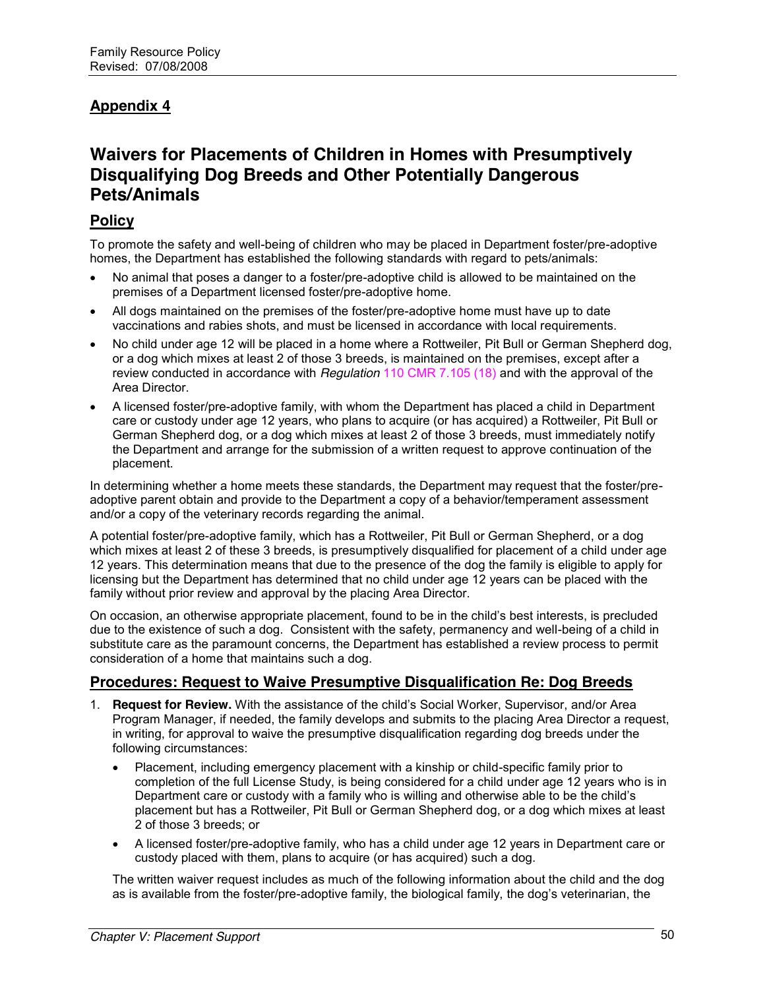# **Appendix 4**

# **Waivers for Placements of Children in Homes with Presumptively Disqualifying Dog Breeds and Other Potentially Dangerous Pets/Animals**

### **Policy**

To promote the safety and well-being of children who may be placed in Department foster/pre-adoptive homes, the Department has established the following standards with regard to pets/animals:

- No animal that poses a danger to a foster/pre-adoptive child is allowed to be maintained on the premises of a Department licensed foster/pre-adoptive home.
- All dogs maintained on the premises of the foster/pre-adoptive home must have up to date vaccinations and rabies shots, and must be licensed in accordance with local requirements.
- No child under age 12 will be placed in a home where a Rottweiler, Pit Bull or German Shepherd dog, or a dog which mixes at least 2 of those 3 breeds, is maintained on the premises, except after a review conducted in accordance with *Regulation* 110 CMR 7.105 (18) and with the approval of the Area Director.
- A licensed foster/pre-adoptive family, with whom the Department has placed a child in Department care or custody under age 12 years, who plans to acquire (or has acquired) a Rottweiler, Pit Bull or German Shepherd dog, or a dog which mixes at least 2 of those 3 breeds, must immediately notify the Department and arrange for the submission of a written request to approve continuation of the placement.

In determining whether a home meets these standards, the Department may request that the foster/preadoptive parent obtain and provide to the Department a copy of a behavior/temperament assessment and/or a copy of the veterinary records regarding the animal.

A potential foster/pre-adoptive family, which has a Rottweiler, Pit Bull or German Shepherd, or a dog which mixes at least 2 of these 3 breeds, is presumptively disqualified for placement of a child under age 12 years. This determination means that due to the presence of the dog the family is eligible to apply for licensing but the Department has determined that no child under age 12 years can be placed with the family without prior review and approval by the placing Area Director.

On occasion, an otherwise appropriate placement, found to be in the child's best interests, is precluded due to the existence of such a dog. Consistent with the safety, permanency and well-being of a child in substitute care as the paramount concerns, the Department has established a review process to permit consideration of a home that maintains such a dog.

# **Procedures: Request to Waive Presumptive Disqualification Re: Dog Breeds**

- 1. **Request for Review.** With the assistance of the child's Social Worker, Supervisor, and/or Area Program Manager, if needed, the family develops and submits to the placing Area Director a request, in writing, for approval to waive the presumptive disqualification regarding dog breeds under the following circumstances:
	- Placement, including emergency placement with a kinship or child-specific family prior to completion of the full License Study, is being considered for a child under age 12 years who is in Department care or custody with a family who is willing and otherwise able to be the child's placement but has a Rottweiler, Pit Bull or German Shepherd dog, or a dog which mixes at least 2 of those 3 breeds; or
	- x A licensed foster/pre-adoptive family, who has a child under age 12 years in Department care or custody placed with them, plans to acquire (or has acquired) such a dog.

The written waiver request includes as much of the following information about the child and the dog as is available from the foster/pre-adoptive family, the biological family, the dog's veterinarian, the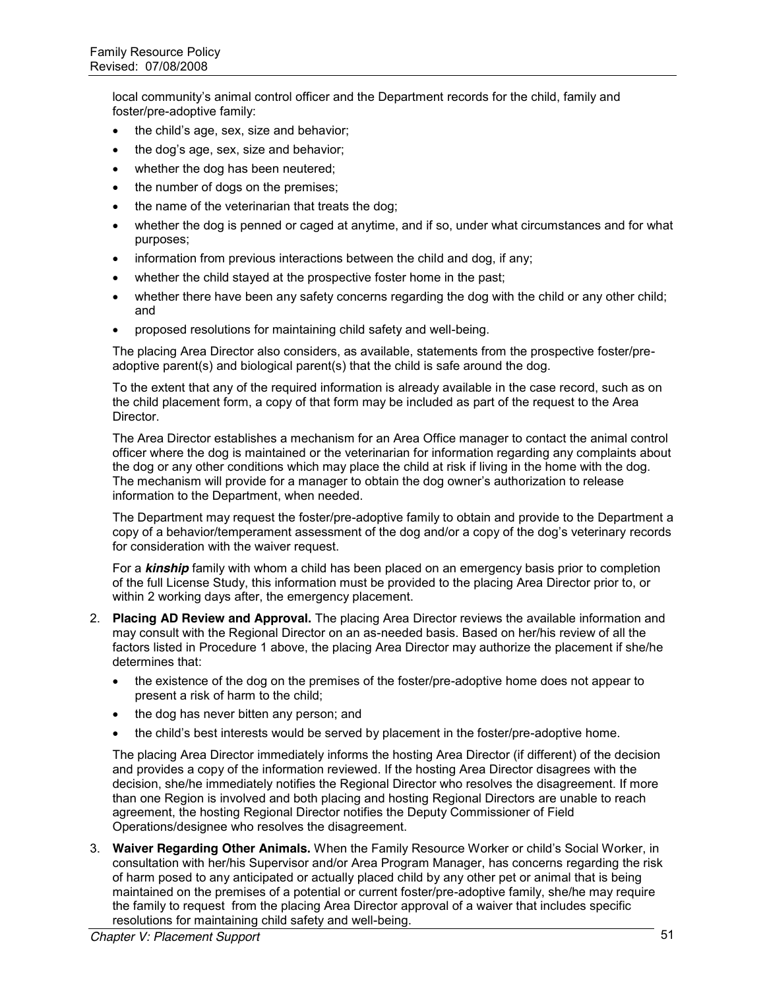local community's animal control officer and the Department records for the child, family and foster/pre-adoptive family:

- $\bullet$  the child's age, sex, size and behavior;
- the dog's age, sex, size and behavior;
- whether the dog has been neutered;
- the number of dogs on the premises;
- $\bullet$  the name of the veterinarian that treats the dog;
- whether the dog is penned or caged at anytime, and if so, under what circumstances and for what purposes;
- information from previous interactions between the child and dog, if any;
- whether the child stayed at the prospective foster home in the past;
- whether there have been any safety concerns regarding the dog with the child or any other child; and
- proposed resolutions for maintaining child safety and well-being.

The placing Area Director also considers, as available, statements from the prospective foster/preadoptive parent(s) and biological parent(s) that the child is safe around the dog.

To the extent that any of the required information is already available in the case record, such as on the child placement form, a copy of that form may be included as part of the request to the Area Director.

The Area Director establishes a mechanism for an Area Office manager to contact the animal control officer where the dog is maintained or the veterinarian for information regarding any complaints about the dog or any other conditions which may place the child at risk if living in the home with the dog. The mechanism will provide for a manager to obtain the dog owner's authorization to release information to the Department, when needed.

The Department may request the foster/pre-adoptive family to obtain and provide to the Department a copy of a behavior/temperament assessment of the dog and/or a copy of the dog's veterinary records for consideration with the waiver request.

For a *kinship* family with whom a child has been placed on an emergency basis prior to completion of the full License Study, this information must be provided to the placing Area Director prior to, or within 2 working days after, the emergency placement.

- 2. **Placing AD Review and Approval.** The placing Area Director reviews the available information and may consult with the Regional Director on an as-needed basis. Based on her/his review of all the factors listed in Procedure 1 above, the placing Area Director may authorize the placement if she/he determines that:
	- the existence of the dog on the premises of the foster/pre-adoptive home does not appear to present a risk of harm to the child;
	- the dog has never bitten any person; and
	- the child's best interests would be served by placement in the foster/pre-adoptive home.

The placing Area Director immediately informs the hosting Area Director (if different) of the decision and provides a copy of the information reviewed. If the hosting Area Director disagrees with the decision, she/he immediately notifies the Regional Director who resolves the disagreement. If more than one Region is involved and both placing and hosting Regional Directors are unable to reach agreement, the hosting Regional Director notifies the Deputy Commissioner of Field Operations/designee who resolves the disagreement.

3. **Waiver Regarding Other Animals.** When the Family Resource Worker or child's Social Worker, in consultation with her/his Supervisor and/or Area Program Manager, has concerns regarding the risk of harm posed to any anticipated or actually placed child by any other pet or animal that is being maintained on the premises of a potential or current foster/pre-adoptive family, she/he may require the family to request from the placing Area Director approval of a waiver that includes specific resolutions for maintaining child safety and well-being.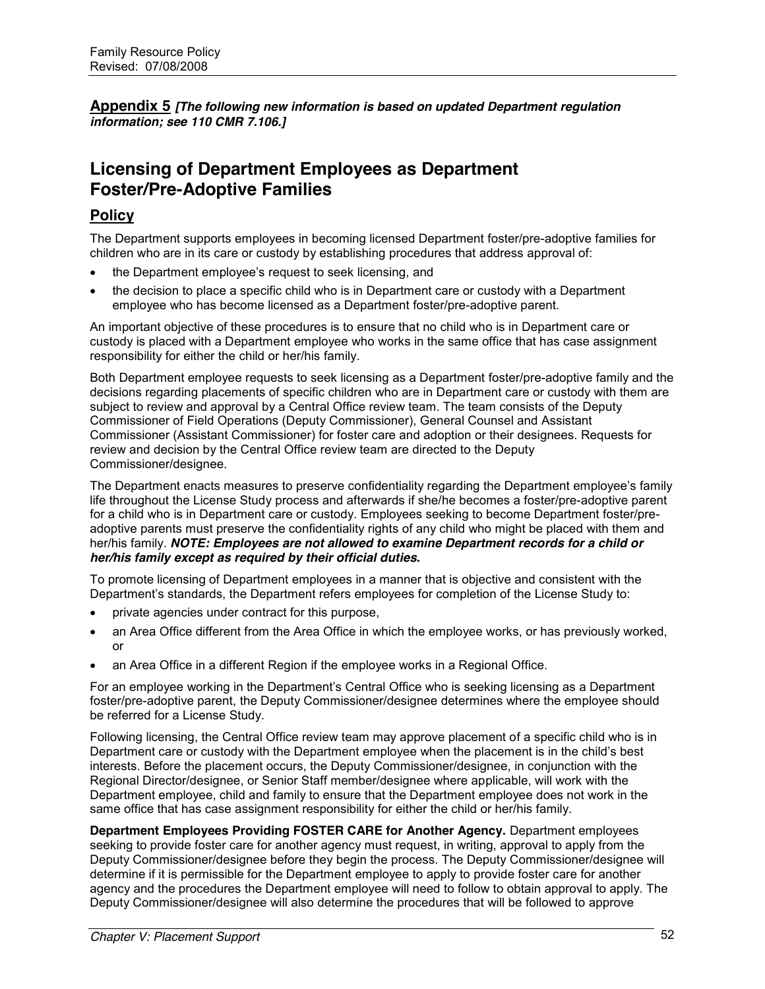**Appendix 5** *[The following new information is based on updated Department regulation information; see 110 CMR 7.106.]*

# **Licensing of Department Employees as Department Foster/Pre-Adoptive Families**

# **Policy**

The Department supports employees in becoming licensed Department foster/pre-adoptive families for children who are in its care or custody by establishing procedures that address approval of:

- the Department employee's request to seek licensing, and
- the decision to place a specific child who is in Department care or custody with a Department employee who has become licensed as a Department foster/pre-adoptive parent.

An important objective of these procedures is to ensure that no child who is in Department care or custody is placed with a Department employee who works in the same office that has case assignment responsibility for either the child or her/his family.

Both Department employee requests to seek licensing as a Department foster/pre-adoptive family and the decisions regarding placements of specific children who are in Department care or custody with them are subject to review and approval by a Central Office review team. The team consists of the Deputy Commissioner of Field Operations (Deputy Commissioner), General Counsel and Assistant Commissioner (Assistant Commissioner) for foster care and adoption or their designees. Requests for review and decision by the Central Office review team are directed to the Deputy Commissioner/designee.

The Department enacts measures to preserve confidentiality regarding the Department employee's family life throughout the License Study process and afterwards if she/he becomes a foster/pre-adoptive parent for a child who is in Department care or custody. Employees seeking to become Department foster/preadoptive parents must preserve the confidentiality rights of any child who might be placed with them and her/his family. *NOTE: Employees are not allowed to examine Department records for a child or her/his family except as required by their official duties.*

To promote licensing of Department employees in a manner that is objective and consistent with the Department's standards, the Department refers employees for completion of the License Study to:

- private agencies under contract for this purpose,
- an Area Office different from the Area Office in which the employee works, or has previously worked, or
- an Area Office in a different Region if the employee works in a Regional Office.

For an employee working in the Department's Central Office who is seeking licensing as a Department foster/pre-adoptive parent, the Deputy Commissioner/designee determines where the employee should be referred for a License Study.

Following licensing, the Central Office review team may approve placement of a specific child who is in Department care or custody with the Department employee when the placement is in the child's best interests. Before the placement occurs, the Deputy Commissioner/designee, in conjunction with the Regional Director/designee, or Senior Staff member/designee where applicable, will work with the Department employee, child and family to ensure that the Department employee does not work in the same office that has case assignment responsibility for either the child or her/his family.

**Department Employees Providing FOSTER CARE for Another Agency.** Department employees seeking to provide foster care for another agency must request, in writing, approval to apply from the Deputy Commissioner/designee before they begin the process. The Deputy Commissioner/designee will determine if it is permissible for the Department employee to apply to provide foster care for another agency and the procedures the Department employee will need to follow to obtain approval to apply. The Deputy Commissioner/designee will also determine the procedures that will be followed to approve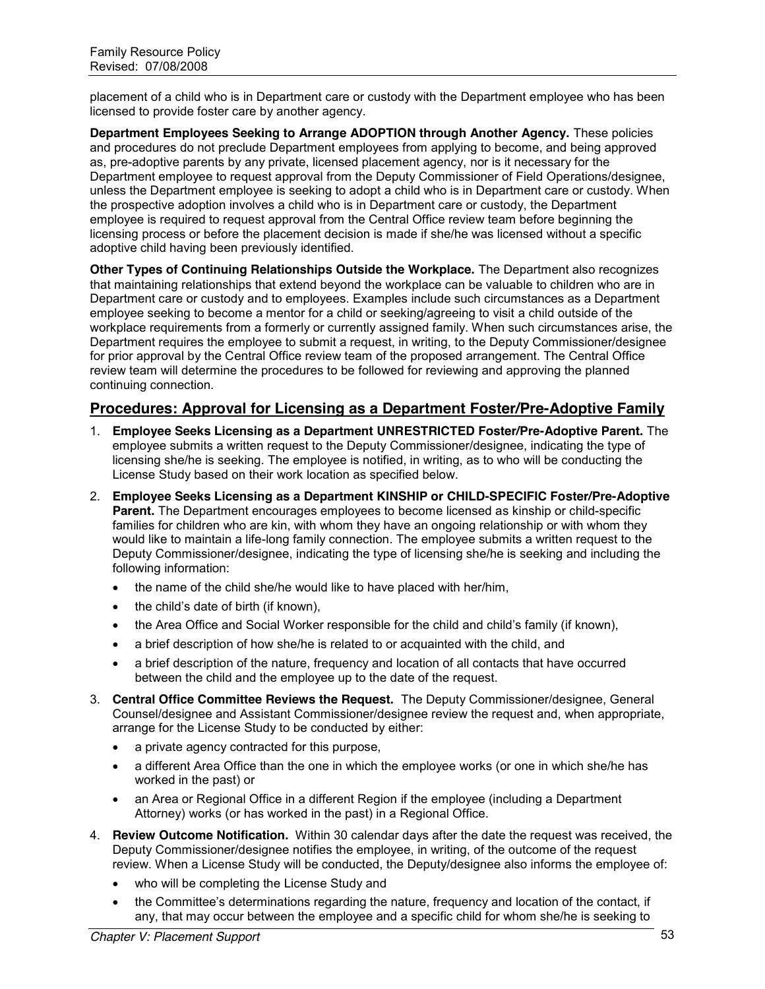placement of a child who is in Department care or custody with the Department employee who has been licensed to provide foster care by another agency.

**Department Employees Seeking to Arrange ADOPTION through Another Agency.** These policies and procedures do not preclude Department employees from applying to become, and being approved as, pre-adoptive parents by any private, licensed placement agency, nor is it necessary for the Department employee to request approval from the Deputy Commissioner of Field Operations/designee, unless the Department employee is seeking to adopt a child who is in Department care or custody. When the prospective adoption involves a child who is in Department care or custody, the Department employee is required to request approval from the Central Office review team before beginning the licensing process or before the placement decision is made if she/he was licensed without a specific adoptive child having been previously identified.

**Other Types of Continuing Relationships Outside the Workplace.** The Department also recognizes that maintaining relationships that extend beyond the workplace can be valuable to children who are in Department care or custody and to employees. Examples include such circumstances as a Department employee seeking to become a mentor for a child or seeking/agreeing to visit a child outside of the workplace requirements from a formerly or currently assigned family. When such circumstances arise, the Department requires the employee to submit a request, in writing, to the Deputy Commissioner/designee for prior approval by the Central Office review team of the proposed arrangement. The Central Office review team will determine the procedures to be followed for reviewing and approving the planned continuing connection.

# **Procedures: Approval for Licensing as a Department Foster/Pre-Adoptive Family**

- 1. **Employee Seeks Licensing as a Department UNRESTRICTED Foster/Pre-Adoptive Parent.** The employee submits a written request to the Deputy Commissioner/designee, indicating the type of licensing she/he is seeking. The employee is notified, in writing, as to who will be conducting the License Study based on their work location as specified below.
- 2. **Employee Seeks Licensing as a Department KINSHIP or CHILD-SPECIFIC Foster/Pre-Adoptive Parent.** The Department encourages employees to become licensed as kinship or child-specific families for children who are kin, with whom they have an ongoing relationship or with whom they would like to maintain a life-long family connection. The employee submits a written request to the Deputy Commissioner/designee, indicating the type of licensing she/he is seeking and including the following information:
	- $\bullet$  the name of the child she/he would like to have placed with her/him,
	- $\bullet$  the child's date of birth (if known).
	- the Area Office and Social Worker responsible for the child and child's family (if known),
	- a brief description of how she/he is related to or acquainted with the child, and
	- a brief description of the nature, frequency and location of all contacts that have occurred between the child and the employee up to the date of the request.
- 3. **Central Office Committee Reviews the Request.** The Deputy Commissioner/designee, General Counsel/designee and Assistant Commissioner/designee review the request and, when appropriate, arrange for the License Study to be conducted by either:
	- a private agency contracted for this purpose,
	- a different Area Office than the one in which the employee works (or one in which she/he has worked in the past) or
	- an Area or Regional Office in a different Region if the employee (including a Department Attorney) works (or has worked in the past) in a Regional Office.
- 4. **Review Outcome Notification.** Within 30 calendar days after the date the request was received, the Deputy Commissioner/designee notifies the employee, in writing, of the outcome of the request review. When a License Study will be conducted, the Deputy/designee also informs the employee of:
	- who will be completing the License Study and
	- the Committee's determinations regarding the nature, frequency and location of the contact, if any, that may occur between the employee and a specific child for whom she/he is seeking to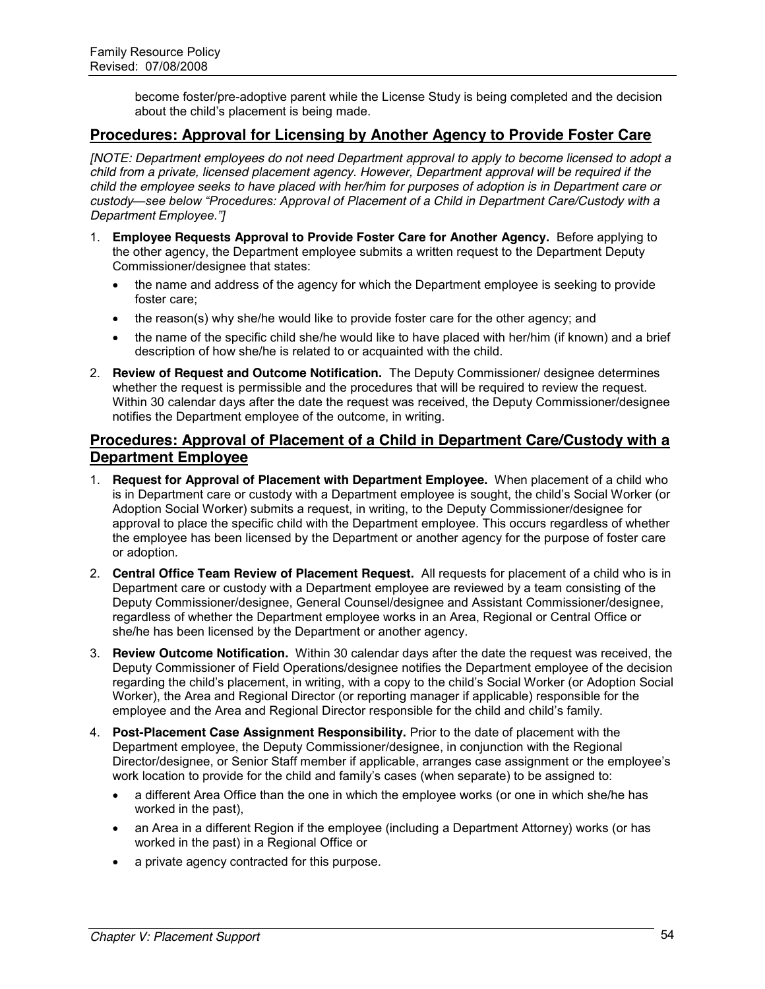become foster/pre-adoptive parent while the License Study is being completed and the decision about the child's placement is being made.

# **Procedures: Approval for Licensing by Another Agency to Provide Foster Care**

*[NOTE: Department employees do not need Department approval to apply to become licensed to adopt a child from a private, licensed placement agency. However, Department approval will be required if the child the employee seeks to have placed with her/him for purposes of adoption is in Department care or custody—see below "Procedures: Approval of Placement of a Child in Department Care/Custody with a Department Employee."]*

- 1. **Employee Requests Approval to Provide Foster Care for Another Agency.** Before applying to the other agency, the Department employee submits a written request to the Department Deputy Commissioner/designee that states:
	- the name and address of the agency for which the Department employee is seeking to provide foster care;
	- the reason(s) why she/he would like to provide foster care for the other agency; and
	- the name of the specific child she/he would like to have placed with her/him (if known) and a brief description of how she/he is related to or acquainted with the child.
- 2. **Review of Request and Outcome Notification.** The Deputy Commissioner/ designee determines whether the request is permissible and the procedures that will be required to review the request. Within 30 calendar days after the date the request was received, the Deputy Commissioner/designee notifies the Department employee of the outcome, in writing.

# **Procedures: Approval of Placement of a Child in Department Care/Custody with a Department Employee**

- 1. **Request for Approval of Placement with Department Employee.** When placement of a child who is in Department care or custody with a Department employee is sought, the child's Social Worker (or Adoption Social Worker) submits a request, in writing, to the Deputy Commissioner/designee for approval to place the specific child with the Department employee. This occurs regardless of whether the employee has been licensed by the Department or another agency for the purpose of foster care or adoption.
- 2. **Central Office Team Review of Placement Request.** All requests for placement of a child who is in Department care or custody with a Department employee are reviewed by a team consisting of the Deputy Commissioner/designee, General Counsel/designee and Assistant Commissioner/designee, regardless of whether the Department employee works in an Area, Regional or Central Office or she/he has been licensed by the Department or another agency.
- 3. **Review Outcome Notification.** Within 30 calendar days after the date the request was received, the Deputy Commissioner of Field Operations/designee notifies the Department employee of the decision regarding the child's placement, in writing, with a copy to the child's Social Worker (or Adoption Social Worker), the Area and Regional Director (or reporting manager if applicable) responsible for the employee and the Area and Regional Director responsible for the child and child's family.
- 4. **Post-Placement Case Assignment Responsibility.** Prior to the date of placement with the Department employee, the Deputy Commissioner/designee, in conjunction with the Regional Director/designee, or Senior Staff member if applicable, arranges case assignment or the employee's work location to provide for the child and family's cases (when separate) to be assigned to:
	- a different Area Office than the one in which the employee works (or one in which she/he has worked in the past),
	- an Area in a different Region if the employee (including a Department Attorney) works (or has worked in the past) in a Regional Office or
	- a private agency contracted for this purpose.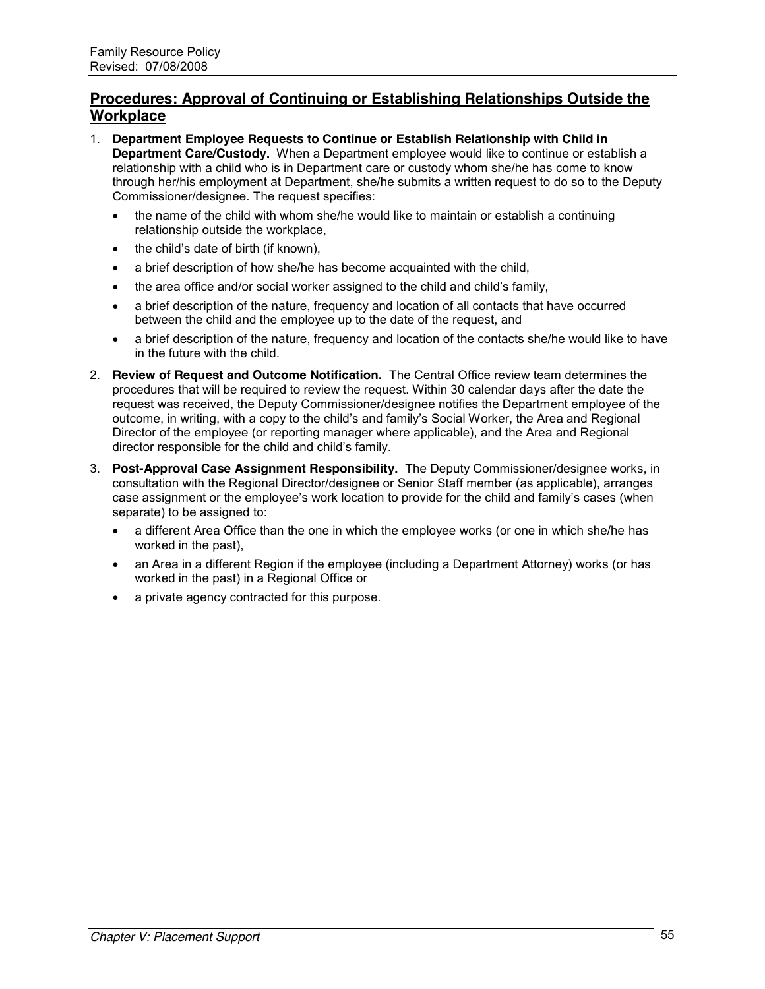# **Procedures: Approval of Continuing or Establishing Relationships Outside the Workplace**

- 1. **Department Employee Requests to Continue or Establish Relationship with Child in Department Care/Custody.** When a Department employee would like to continue or establish a relationship with a child who is in Department care or custody whom she/he has come to know through her/his employment at Department, she/he submits a written request to do so to the Deputy Commissioner/designee. The request specifies:
	- the name of the child with whom she/he would like to maintain or establish a continuing relationship outside the workplace,
	- $\bullet$  the child's date of birth (if known),
	- a brief description of how she/he has become acquainted with the child,
	- $\bullet$  the area office and/or social worker assigned to the child and child's family,
	- a brief description of the nature, frequency and location of all contacts that have occurred between the child and the employee up to the date of the request, and
	- a brief description of the nature, frequency and location of the contacts she/he would like to have in the future with the child.
- 2. **Review of Request and Outcome Notification.** The Central Office review team determines the procedures that will be required to review the request. Within 30 calendar days after the date the request was received, the Deputy Commissioner/designee notifies the Department employee of the outcome, in writing, with a copy to the child's and family's Social Worker, the Area and Regional Director of the employee (or reporting manager where applicable), and the Area and Regional director responsible for the child and child's family.
- 3. **Post-Approval Case Assignment Responsibility.** The Deputy Commissioner/designee works, in consultation with the Regional Director/designee or Senior Staff member (as applicable), arranges case assignment or the employee's work location to provide for the child and family's cases (when separate) to be assigned to:
	- a different Area Office than the one in which the employee works (or one in which she/he has worked in the past),
	- an Area in a different Region if the employee (including a Department Attorney) works (or has worked in the past) in a Regional Office or
	- a private agency contracted for this purpose.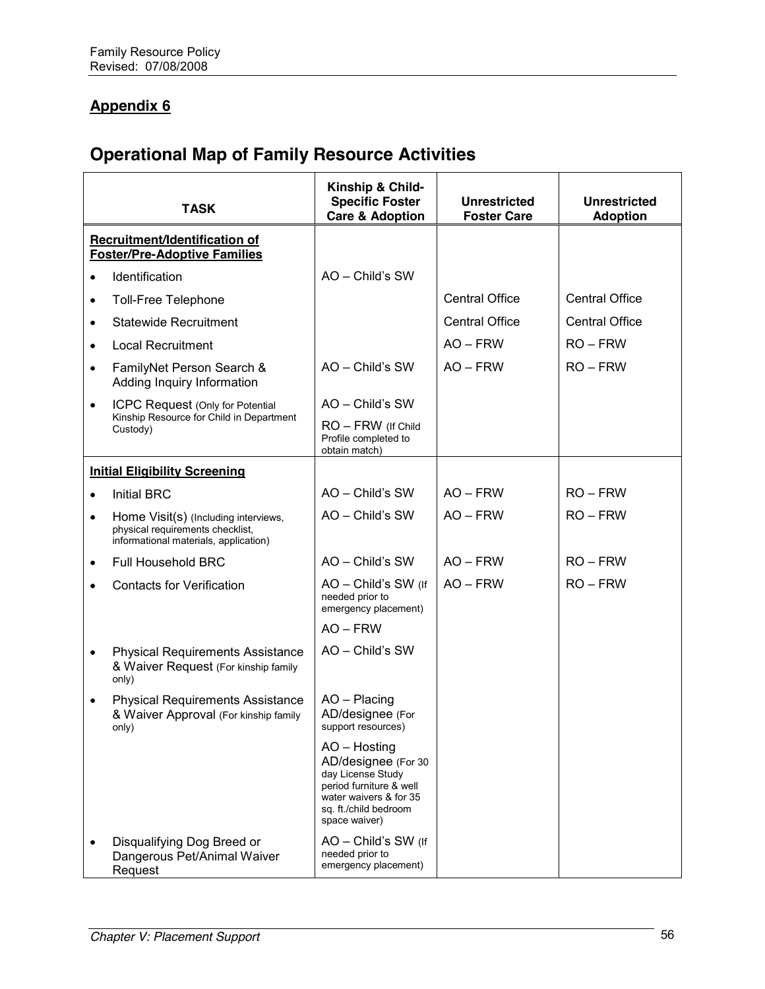# **Appendix 6**

# **Operational Map of Family Resource Activities**

|                                                                      | <b>TASK</b>                                                                                                       | Kinship & Child-<br><b>Specific Foster</b><br><b>Care &amp; Adoption</b>                                                                                | <b>Unrestricted</b><br><b>Foster Care</b> | <b>Unrestricted</b><br><b>Adoption</b> |
|----------------------------------------------------------------------|-------------------------------------------------------------------------------------------------------------------|---------------------------------------------------------------------------------------------------------------------------------------------------------|-------------------------------------------|----------------------------------------|
| Recruitment/Identification of<br><b>Foster/Pre-Adoptive Families</b> |                                                                                                                   |                                                                                                                                                         |                                           |                                        |
| $\bullet$                                                            | Identification                                                                                                    | AO - Child's SW                                                                                                                                         |                                           |                                        |
| $\bullet$                                                            | Toll-Free Telephone                                                                                               |                                                                                                                                                         | <b>Central Office</b>                     | <b>Central Office</b>                  |
| $\bullet$                                                            | <b>Statewide Recruitment</b>                                                                                      |                                                                                                                                                         | <b>Central Office</b>                     | <b>Central Office</b>                  |
| $\bullet$                                                            | <b>Local Recruitment</b>                                                                                          |                                                                                                                                                         | $AO - FRW$                                | $RO - FRW$                             |
| $\bullet$                                                            | FamilyNet Person Search &<br>Adding Inquiry Information                                                           | AO - Child's SW                                                                                                                                         | $AO - FRW$                                | $RO - FRW$                             |
| $\bullet$                                                            | <b>ICPC Request (Only for Potential</b>                                                                           | AO - Child's SW                                                                                                                                         |                                           |                                        |
|                                                                      | Kinship Resource for Child in Department<br>Custody)                                                              | RO - FRW (If Child<br>Profile completed to<br>obtain match)                                                                                             |                                           |                                        |
|                                                                      | <b>Initial Eligibility Screening</b>                                                                              |                                                                                                                                                         |                                           |                                        |
| $\bullet$                                                            | <b>Initial BRC</b>                                                                                                | AO - Child's SW                                                                                                                                         | $AO - FRW$                                | $RO - FRW$                             |
| $\bullet$                                                            | Home Visit(s) (Including interviews,<br>physical requirements checklist,<br>informational materials, application) | AO - Child's SW                                                                                                                                         | $AO - FRW$                                | $RO - FRW$                             |
| $\bullet$                                                            | <b>Full Household BRC</b>                                                                                         | $AO - Child's SW$                                                                                                                                       | $AO - FRW$                                | $RO - FRW$                             |
| $\bullet$                                                            | <b>Contacts for Verification</b>                                                                                  | AO - Child's SW (If<br>needed prior to<br>emergency placement)                                                                                          | $AO - FRW$                                | $RO$ – $FRW$                           |
|                                                                      |                                                                                                                   | $AO - FRW$                                                                                                                                              |                                           |                                        |
| $\bullet$                                                            | <b>Physical Requirements Assistance</b><br>& Waiver Request (For kinship family<br>only)                          | AO - Child's SW                                                                                                                                         |                                           |                                        |
| $\bullet$                                                            | <b>Physical Requirements Assistance</b><br>& Waiver Approval (For kinship family<br>only)                         | AO - Placing<br>AD/designee (For<br>support resources)                                                                                                  |                                           |                                        |
|                                                                      |                                                                                                                   | AO - Hosting<br>AD/designee (For 30<br>day License Study<br>period furniture & well<br>water waivers & for 35<br>sa. ft./child bedroom<br>space waiver) |                                           |                                        |
| $\bullet$                                                            | Disqualifying Dog Breed or<br>Dangerous Pet/Animal Waiver<br>Request                                              | AO - Child's SW (If<br>needed prior to<br>emergency placement)                                                                                          |                                           |                                        |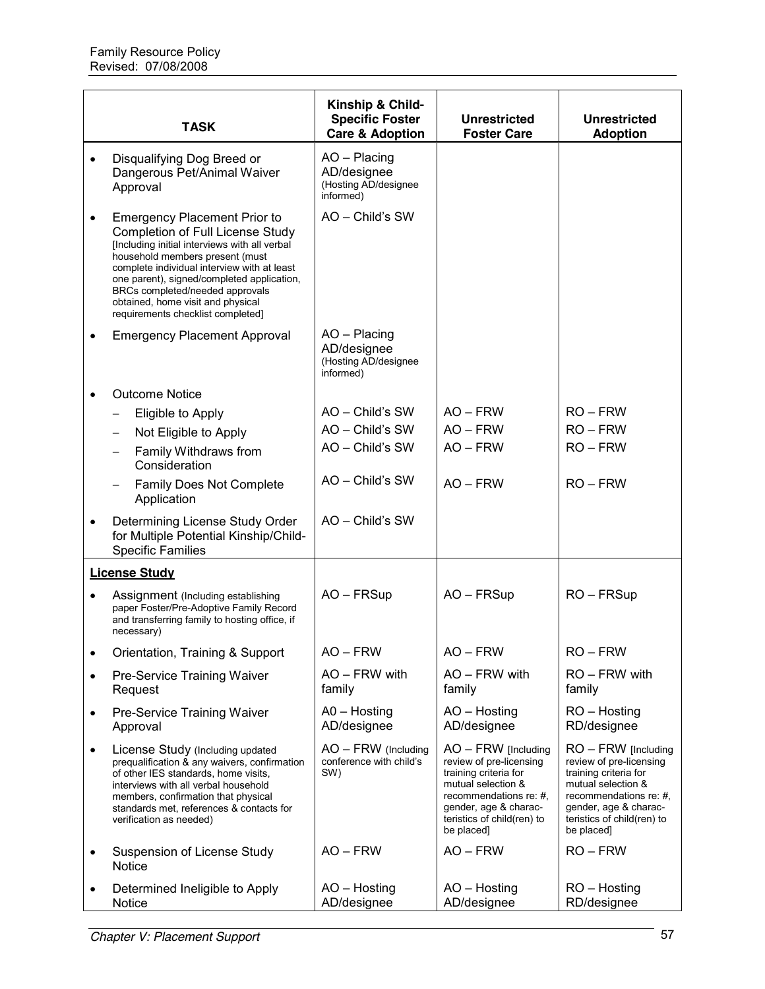|           | <b>TASK</b>                                                                                                                                                                                                                                                                                                                                                                  | Kinship & Child-<br><b>Specific Foster</b><br><b>Care &amp; Adoption</b> | <b>Unrestricted</b><br><b>Foster Care</b>                                                                                                                                                      | <b>Unrestricted</b><br><b>Adoption</b>                                                                                                                                                         |
|-----------|------------------------------------------------------------------------------------------------------------------------------------------------------------------------------------------------------------------------------------------------------------------------------------------------------------------------------------------------------------------------------|--------------------------------------------------------------------------|------------------------------------------------------------------------------------------------------------------------------------------------------------------------------------------------|------------------------------------------------------------------------------------------------------------------------------------------------------------------------------------------------|
|           | Disqualifying Dog Breed or<br>Dangerous Pet/Animal Waiver<br>Approval                                                                                                                                                                                                                                                                                                        | $AO - Placing$<br>AD/designee<br>(Hosting AD/designee<br>informed)       |                                                                                                                                                                                                |                                                                                                                                                                                                |
|           | <b>Emergency Placement Prior to</b><br><b>Completion of Full License Study</b><br>[Including initial interviews with all verbal<br>household members present (must<br>complete individual interview with at least<br>one parent), signed/completed application,<br>BRCs completed/needed approvals<br>obtained, home visit and physical<br>requirements checklist completed] | AO - Child's SW                                                          |                                                                                                                                                                                                |                                                                                                                                                                                                |
|           | <b>Emergency Placement Approval</b>                                                                                                                                                                                                                                                                                                                                          | AO - Placing<br>AD/designee<br>(Hosting AD/designee<br>informed)         |                                                                                                                                                                                                |                                                                                                                                                                                                |
|           | <b>Outcome Notice</b>                                                                                                                                                                                                                                                                                                                                                        |                                                                          |                                                                                                                                                                                                |                                                                                                                                                                                                |
|           | Eligible to Apply                                                                                                                                                                                                                                                                                                                                                            | AO - Child's SW                                                          | $AO - FRW$                                                                                                                                                                                     | $RO - FRW$                                                                                                                                                                                     |
|           | Not Eligible to Apply<br>$\overline{\phantom{0}}$                                                                                                                                                                                                                                                                                                                            | AO - Child's SW                                                          | $AO - FRW$                                                                                                                                                                                     | $RO - FRW$                                                                                                                                                                                     |
|           | Family Withdraws from<br>Consideration                                                                                                                                                                                                                                                                                                                                       | AO - Child's SW                                                          | $AO - FRW$                                                                                                                                                                                     | $RO$ – $FRW$                                                                                                                                                                                   |
|           | Family Does Not Complete<br>Application                                                                                                                                                                                                                                                                                                                                      | AO - Child's SW                                                          | $AO - FRW$                                                                                                                                                                                     | $RO - FRW$                                                                                                                                                                                     |
|           | Determining License Study Order<br>for Multiple Potential Kinship/Child-<br><b>Specific Families</b>                                                                                                                                                                                                                                                                         | AO - Child's SW                                                          |                                                                                                                                                                                                |                                                                                                                                                                                                |
|           | <b>License Study</b>                                                                                                                                                                                                                                                                                                                                                         |                                                                          |                                                                                                                                                                                                |                                                                                                                                                                                                |
|           | Assignment (Including establishing<br>paper Foster/Pre-Adoptive Family Record<br>and transferring family to hosting office, if<br>necessary)                                                                                                                                                                                                                                 | AO - FRSup                                                               | AO - FRSup                                                                                                                                                                                     | RO-FRSup                                                                                                                                                                                       |
| ٠         | Orientation, Training & Support                                                                                                                                                                                                                                                                                                                                              | AO – FRW                                                                 | AO – FRW                                                                                                                                                                                       | RO – FRW                                                                                                                                                                                       |
| $\bullet$ | Pre-Service Training Waiver<br>Request                                                                                                                                                                                                                                                                                                                                       | AO - FRW with<br>family                                                  | AO - FRW with<br>family                                                                                                                                                                        | RO - FRW with<br>family                                                                                                                                                                        |
| $\bullet$ | Pre-Service Training Waiver<br>Approval                                                                                                                                                                                                                                                                                                                                      | $AO - Hosting$<br>AD/designee                                            | AO - Hosting<br>AD/designee                                                                                                                                                                    | RO - Hosting<br>RD/designee                                                                                                                                                                    |
| ٠         | License Study (Including updated<br>prequalification & any waivers, confirmation<br>of other IES standards, home visits,<br>interviews with all verbal household<br>members, confirmation that physical<br>standards met, references & contacts for<br>verification as needed)                                                                                               | AO - FRW (Including<br>conference with child's<br>SW)                    | $AO - FRW$ [Including<br>review of pre-licensing<br>training criteria for<br>mutual selection &<br>recommendations re: #,<br>gender, age & charac-<br>teristics of child(ren) to<br>be placed] | $RO$ – FRW [Including<br>review of pre-licensing<br>training criteria for<br>mutual selection &<br>recommendations re: #,<br>gender, age & charac-<br>teristics of child(ren) to<br>be placed] |
| $\bullet$ | Suspension of License Study<br>Notice                                                                                                                                                                                                                                                                                                                                        | $AO - FRW$                                                               | $AO - FRW$                                                                                                                                                                                     | $RO$ – $FRW$                                                                                                                                                                                   |
| ٠         | Determined Ineligible to Apply<br>Notice                                                                                                                                                                                                                                                                                                                                     | AO - Hosting<br>AD/designee                                              | AO - Hosting<br>AD/designee                                                                                                                                                                    | RO - Hosting<br>RD/designee                                                                                                                                                                    |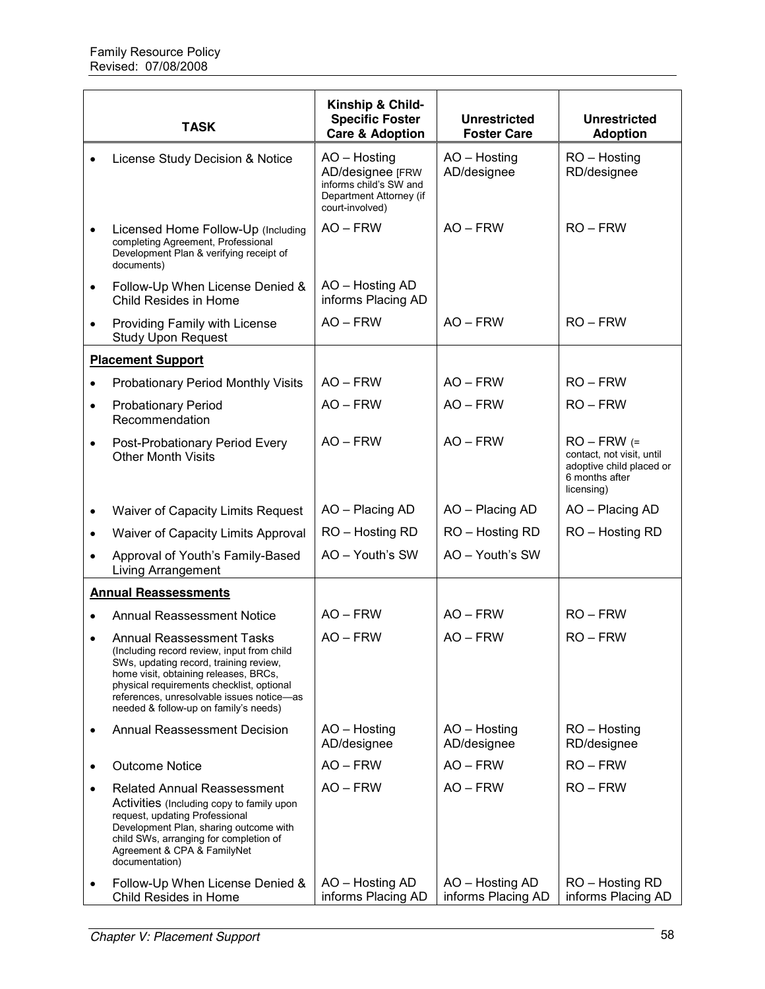|           | <b>TASK</b>                                                                                                                                                                                                                                                                                          | Kinship & Child-<br><b>Specific Foster</b><br><b>Care &amp; Adoption</b>                                 | <b>Unrestricted</b><br><b>Foster Care</b> | <b>Unrestricted</b><br><b>Adoption</b>                                                                 |
|-----------|------------------------------------------------------------------------------------------------------------------------------------------------------------------------------------------------------------------------------------------------------------------------------------------------------|----------------------------------------------------------------------------------------------------------|-------------------------------------------|--------------------------------------------------------------------------------------------------------|
|           | License Study Decision & Notice                                                                                                                                                                                                                                                                      | AO - Hosting<br>AD/designee [FRW<br>informs child's SW and<br>Department Attorney (if<br>court-involved) | AO - Hosting<br>AD/designee               | RO - Hosting<br>RD/designee                                                                            |
|           | Licensed Home Follow-Up (Including<br>completing Agreement, Professional<br>Development Plan & verifying receipt of<br>documents)                                                                                                                                                                    | $AO - FRW$                                                                                               | $AO - FRW$                                | $RO - FRW$                                                                                             |
| $\bullet$ | Follow-Up When License Denied &<br>Child Resides in Home                                                                                                                                                                                                                                             | AO - Hosting AD<br>informs Placing AD                                                                    |                                           |                                                                                                        |
| $\bullet$ | Providing Family with License<br><b>Study Upon Request</b>                                                                                                                                                                                                                                           | $AO - FRW$                                                                                               | $AO - FRW$                                | $RO - FRW$                                                                                             |
|           | <b>Placement Support</b>                                                                                                                                                                                                                                                                             |                                                                                                          |                                           |                                                                                                        |
| $\bullet$ | <b>Probationary Period Monthly Visits</b>                                                                                                                                                                                                                                                            | $AO - FRW$                                                                                               | $AO - FRW$                                | $RO - FRW$                                                                                             |
| $\bullet$ | <b>Probationary Period</b><br>Recommendation                                                                                                                                                                                                                                                         | $AO - FRW$                                                                                               | $AO - FRW$                                | $RO - FRW$                                                                                             |
| $\bullet$ | Post-Probationary Period Every<br><b>Other Month Visits</b>                                                                                                                                                                                                                                          | $AO - FRW$                                                                                               | $AO - FRW$                                | $RO - FRW (=$<br>contact, not visit, until<br>adoptive child placed or<br>6 months after<br>licensing) |
| $\bullet$ | Waiver of Capacity Limits Request                                                                                                                                                                                                                                                                    | AO - Placing AD                                                                                          | AO - Placing AD                           | AO - Placing AD                                                                                        |
| $\bullet$ | Waiver of Capacity Limits Approval                                                                                                                                                                                                                                                                   | RO - Hosting RD                                                                                          | RO - Hosting RD                           | RO - Hosting RD                                                                                        |
|           | Approval of Youth's Family-Based<br>Living Arrangement                                                                                                                                                                                                                                               | AO - Youth's SW                                                                                          | AO - Youth's SW                           |                                                                                                        |
|           | <b>Annual Reassessments</b>                                                                                                                                                                                                                                                                          |                                                                                                          |                                           |                                                                                                        |
|           | <b>Annual Reassessment Notice</b>                                                                                                                                                                                                                                                                    | $AO - FRW$                                                                                               | $AO - FRW$                                | $RO - FRW$                                                                                             |
|           | <b>Annual Reassessment Tasks</b><br>(Including record review, input from child<br>SWs, updating record, training review,<br>home visit, obtaining releases, BRCs,<br>physical requirements checklist, optional<br>references, unresolvable issues notice-as<br>needed & follow-up on family's needs) | $AO - FRW$                                                                                               | $AO - FRW$                                | $RO - FRW$                                                                                             |
| $\bullet$ | <b>Annual Reassessment Decision</b>                                                                                                                                                                                                                                                                  | AO - Hosting<br>AD/designee                                                                              | AO - Hosting<br>AD/designee               | RO - Hosting<br>RD/designee                                                                            |
| $\bullet$ | <b>Outcome Notice</b>                                                                                                                                                                                                                                                                                | $AO - FRW$                                                                                               | $AO - FRW$                                | $RO - FRW$                                                                                             |
| $\bullet$ | <b>Related Annual Reassessment</b><br>Activities (Including copy to family upon<br>request, updating Professional<br>Development Plan, sharing outcome with<br>child SWs, arranging for completion of<br>Agreement & CPA & FamilyNet<br>documentation)                                               | $AO - FRW$                                                                                               | $AO - FRW$                                | $RO - FRW$                                                                                             |
|           | Follow-Up When License Denied &<br>Child Resides in Home                                                                                                                                                                                                                                             | AO - Hosting AD<br>informs Placing AD                                                                    | AO - Hosting AD<br>informs Placing AD     | RO - Hosting RD<br>informs Placing AD                                                                  |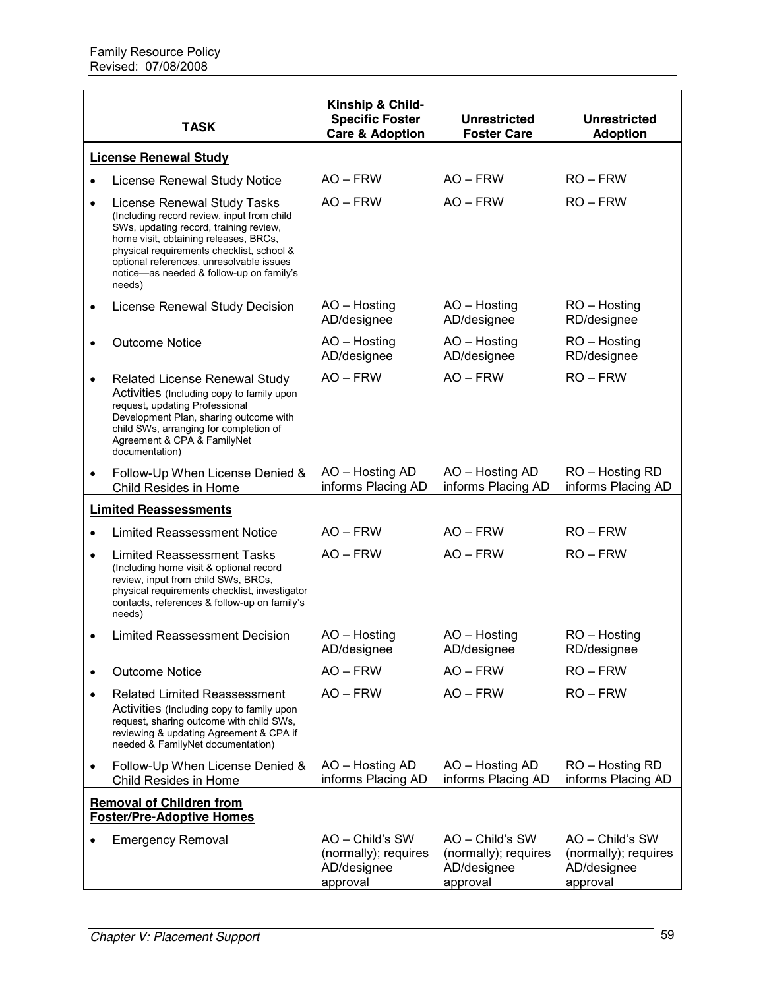|           | <b>TASK</b>                                                                                                                                                                                                                                                                                                 | Kinship & Child-<br><b>Specific Foster</b><br><b>Care &amp; Adoption</b> | <b>Unrestricted</b><br><b>Foster Care</b>                          | <b>Unrestricted</b><br><b>Adoption</b>                             |
|-----------|-------------------------------------------------------------------------------------------------------------------------------------------------------------------------------------------------------------------------------------------------------------------------------------------------------------|--------------------------------------------------------------------------|--------------------------------------------------------------------|--------------------------------------------------------------------|
|           | <b>License Renewal Study</b>                                                                                                                                                                                                                                                                                |                                                                          |                                                                    |                                                                    |
|           | License Renewal Study Notice                                                                                                                                                                                                                                                                                | $AO - FRW$                                                               | $AO - FRW$                                                         | $RO - FRW$                                                         |
| $\bullet$ | License Renewal Study Tasks<br>(Including record review, input from child<br>SWs, updating record, training review,<br>home visit, obtaining releases, BRCs,<br>physical requirements checklist, school &<br>optional references, unresolvable issues<br>notice-as needed & follow-up on family's<br>needs) | $AO - FRW$                                                               | $AO - FRW$                                                         | $RO - FRW$                                                         |
| ٠         | License Renewal Study Decision                                                                                                                                                                                                                                                                              | AO - Hosting<br>AD/designee                                              | AO - Hosting<br>AD/designee                                        | RO - Hosting<br>RD/designee                                        |
|           | <b>Outcome Notice</b>                                                                                                                                                                                                                                                                                       | AO - Hosting<br>AD/designee                                              | AO - Hosting<br>AD/designee                                        | RO - Hosting<br>RD/designee                                        |
| $\bullet$ | <b>Related License Renewal Study</b><br>Activities (Including copy to family upon<br>request, updating Professional<br>Development Plan, sharing outcome with<br>child SWs, arranging for completion of<br>Agreement & CPA & FamilyNet<br>documentation)                                                    | $AO - FRW$                                                               | $AO - FRW$                                                         | $RO - FRW$                                                         |
| $\bullet$ | Follow-Up When License Denied &<br>Child Resides in Home                                                                                                                                                                                                                                                    | AO - Hosting AD<br>informs Placing AD                                    | AO - Hosting AD<br>informs Placing AD                              | RO - Hosting RD<br>informs Placing AD                              |
|           | <b>Limited Reassessments</b>                                                                                                                                                                                                                                                                                |                                                                          |                                                                    |                                                                    |
|           | <b>Limited Reassessment Notice</b>                                                                                                                                                                                                                                                                          | $AO - FRW$                                                               | $AO - FRW$                                                         | $RO - FRW$                                                         |
| $\bullet$ | <b>Limited Reassessment Tasks</b><br>(Including home visit & optional record<br>review, input from child SWs, BRCs,<br>physical requirements checklist, investigator<br>contacts, references & follow-up on family's<br>needs)                                                                              | $AO - FRW$                                                               | $AO - FRW$                                                         | $RO - FRW$                                                         |
|           | <b>Limited Reassessment Decision</b>                                                                                                                                                                                                                                                                        | AO - Hosting<br>AD/designee                                              | AO - Hosting<br>AD/designee                                        | RO - Hosting<br>RD/designee                                        |
|           | <b>Outcome Notice</b>                                                                                                                                                                                                                                                                                       | $AO - FRW$                                                               | $AO - FRW$                                                         | $RO - FRW$                                                         |
|           | <b>Related Limited Reassessment</b><br>Activities (Including copy to family upon<br>request, sharing outcome with child SWs,<br>reviewing & updating Agreement & CPA if<br>needed & FamilyNet documentation)                                                                                                | $AO - FRW$                                                               | $AO - FRW$                                                         | $RO - FRW$                                                         |
|           | Follow-Up When License Denied &<br>Child Resides in Home                                                                                                                                                                                                                                                    | AO - Hosting AD<br>informs Placing AD                                    | AO - Hosting AD<br>informs Placing AD                              | RO - Hosting RD<br>informs Placing AD                              |
|           | <b>Removal of Children from</b><br><b>Foster/Pre-Adoptive Homes</b>                                                                                                                                                                                                                                         |                                                                          |                                                                    |                                                                    |
|           | <b>Emergency Removal</b>                                                                                                                                                                                                                                                                                    | AO - Child's SW<br>(normally); requires<br>AD/designee<br>approval       | AO - Child's SW<br>(normally); requires<br>AD/designee<br>approval | AO - Child's SW<br>(normally); requires<br>AD/designee<br>approval |